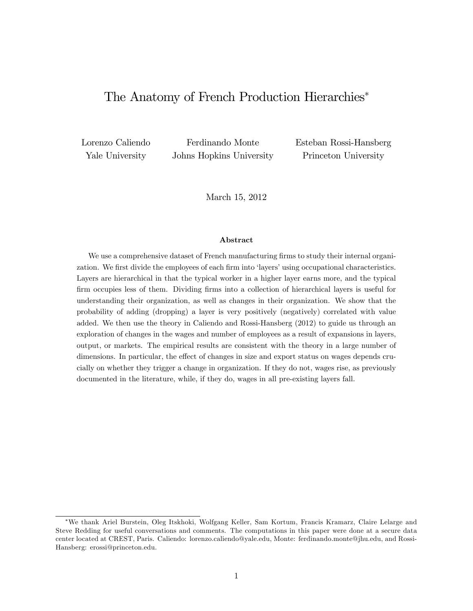# The Anatomy of French Production Hierarchies

Lorenzo Caliendo Yale University

Ferdinando Monte Johns Hopkins University Esteban Rossi-Hansberg Princeton University

March 15, 2012

#### Abstract

We use a comprehensive dataset of French manufacturing firms to study their internal organization. We first divide the employees of each firm into 'layers' using occupational characteristics. Layers are hierarchical in that the typical worker in a higher layer earns more, and the typical firm occupies less of them. Dividing firms into a collection of hierarchical layers is useful for understanding their organization, as well as changes in their organization. We show that the probability of adding (dropping) a layer is very positively (negatively) correlated with value added. We then use the theory in Caliendo and Rossi-Hansberg (2012) to guide us through an exploration of changes in the wages and number of employees as a result of expansions in layers, output, or markets. The empirical results are consistent with the theory in a large number of dimensions. In particular, the effect of changes in size and export status on wages depends crucially on whether they trigger a change in organization. If they do not, wages rise, as previously documented in the literature, while, if they do, wages in all pre-existing layers fall.

We thank Ariel Burstein, Oleg Itskhoki, Wolfgang Keller, Sam Kortum, Francis Kramarz, Claire Lelarge and Steve Redding for useful conversations and comments. The computations in this paper were done at a secure data center located at CREST, Paris. Caliendo: lorenzo.caliendo@yale.edu, Monte: ferdinando.monte@jhu.edu, and Rossi-Hansberg: erossi@princeton.edu.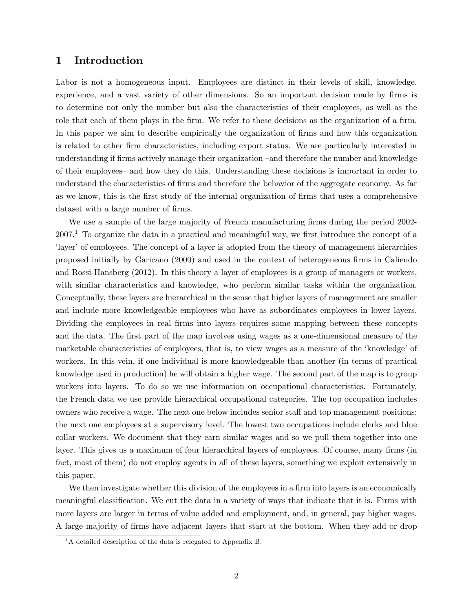### 1 Introduction

Labor is not a homogeneous input. Employees are distinct in their levels of skill, knowledge, experience, and a vast variety of other dimensions. So an important decision made by firms is to determine not only the number but also the characteristics of their employees, as well as the role that each of them plays in the firm. We refer to these decisions as the organization of a firm. In this paper we aim to describe empirically the organization of firms and how this organization is related to other firm characteristics, including export status. We are particularly interested in understanding if firms actively manage their organization – and therefore the number and knowledge of their employees– and how they do this. Understanding these decisions is important in order to understand the characteristics of firms and therefore the behavior of the aggregate economy. As far as we know, this is the first study of the internal organization of firms that uses a comprehensive dataset with a large number of firms.

We use a sample of the large majority of French manufacturing firms during the period 2002- $2007<sup>1</sup>$  To organize the data in a practical and meaningful way, we first introduce the concept of a 'layer' of employees. The concept of a layer is adopted from the theory of management hierarchies proposed initially by Garicano (2000) and used in the context of heterogeneous Örms in Caliendo and Rossi-Hansberg (2012). In this theory a layer of employees is a group of managers or workers, with similar characteristics and knowledge, who perform similar tasks within the organization. Conceptually, these layers are hierarchical in the sense that higher layers of management are smaller and include more knowledgeable employees who have as subordinates employees in lower layers. Dividing the employees in real firms into layers requires some mapping between these concepts and the data. The first part of the map involves using wages as a one-dimensional measure of the marketable characteristics of employees, that is, to view wages as a measure of the 'knowledge' of workers. In this vein, if one individual is more knowledgeable than another (in terms of practical knowledge used in production) he will obtain a higher wage. The second part of the map is to group workers into layers. To do so we use information on occupational characteristics. Fortunately, the French data we use provide hierarchical occupational categories. The top occupation includes owners who receive a wage. The next one below includes senior staff and top management positions; the next one employees at a supervisory level. The lowest two occupations include clerks and blue collar workers. We document that they earn similar wages and so we pull them together into one layer. This gives us a maximum of four hierarchical layers of employees. Of course, many firms (in fact, most of them) do not employ agents in all of these layers, something we exploit extensively in this paper.

We then investigate whether this division of the employees in a firm into layers is an economically meaningful classification. We cut the data in a variety of ways that indicate that it is. Firms with more layers are larger in terms of value added and employment, and, in general, pay higher wages. A large majority of Örms have adjacent layers that start at the bottom. When they add or drop

<sup>&</sup>lt;sup>1</sup>A detailed description of the data is relegated to Appendix B.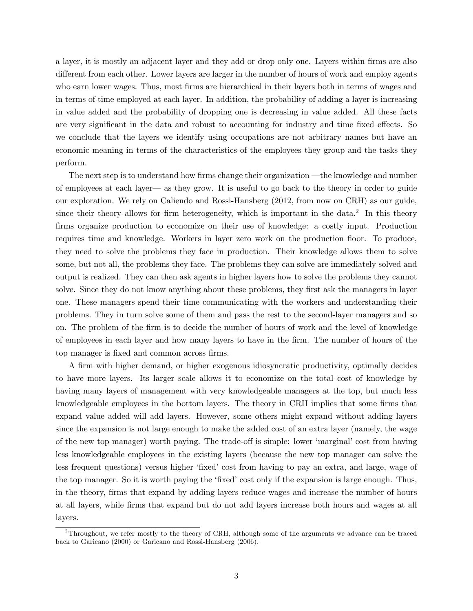a layer, it is mostly an adjacent layer and they add or drop only one. Layers within firms are also different from each other. Lower layers are larger in the number of hours of work and employ agents who earn lower wages. Thus, most firms are hierarchical in their layers both in terms of wages and in terms of time employed at each layer. In addition, the probability of adding a layer is increasing in value added and the probability of dropping one is decreasing in value added. All these facts are very significant in the data and robust to accounting for industry and time fixed effects. So we conclude that the layers we identify using occupations are not arbitrary names but have an economic meaning in terms of the characteristics of the employees they group and the tasks they perform.

The next step is to understand how firms change their organization —the knowledge and number of employees at each layer— as they grow. It is useful to go back to the theory in order to guide our exploration. We rely on Caliendo and Rossi-Hansberg (2012, from now on CRH) as our guide, since their theory allows for firm heterogeneity, which is important in the data.<sup>2</sup> In this theory firms organize production to economize on their use of knowledge: a costly input. Production requires time and knowledge. Workers in layer zero work on the production floor. To produce, they need to solve the problems they face in production. Their knowledge allows them to solve some, but not all, the problems they face. The problems they can solve are immediately solved and output is realized. They can then ask agents in higher layers how to solve the problems they cannot solve. Since they do not know anything about these problems, they first ask the managers in layer one. These managers spend their time communicating with the workers and understanding their problems. They in turn solve some of them and pass the rest to the second-layer managers and so on. The problem of the Örm is to decide the number of hours of work and the level of knowledge of employees in each layer and how many layers to have in the Örm. The number of hours of the top manager is fixed and common across firms.

A Örm with higher demand, or higher exogenous idiosyncratic productivity, optimally decides to have more layers. Its larger scale allows it to economize on the total cost of knowledge by having many layers of management with very knowledgeable managers at the top, but much less knowledgeable employees in the bottom layers. The theory in CRH implies that some firms that expand value added will add layers. However, some others might expand without adding layers since the expansion is not large enough to make the added cost of an extra layer (namely, the wage of the new top manager) worth paying. The trade-off is simple: lower 'marginal' cost from having less knowledgeable employees in the existing layers (because the new top manager can solve the less frequent questions) versus higher 'fixed' cost from having to pay an extra, and large, wage of the top manager. So it is worth paying the 'fixed' cost only if the expansion is large enough. Thus, in the theory, firms that expand by adding layers reduce wages and increase the number of hours at all layers, while firms that expand but do not add layers increase both hours and wages at all layers.

 $2$ Throughout, we refer mostly to the theory of CRH, although some of the arguments we advance can be traced back to Garicano (2000) or Garicano and Rossi-Hansberg (2006).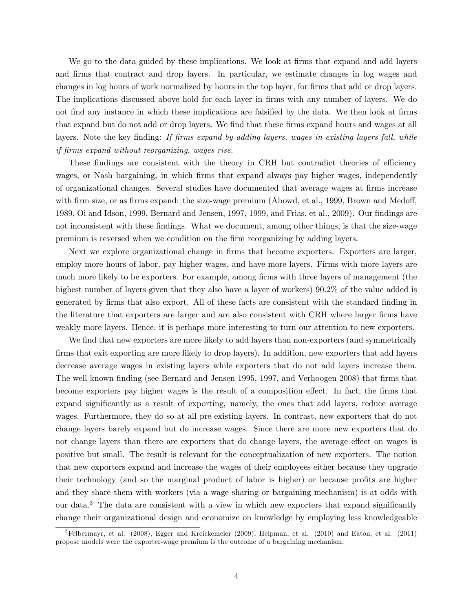We go to the data guided by these implications. We look at firms that expand and add layers and firms that contract and drop layers. In particular, we estimate changes in log wages and changes in log hours of work normalized by hours in the top layer, for firms that add or drop layers. The implications discussed above hold for each layer in firms with any number of layers. We do not find any instance in which these implications are falsified by the data. We then look at firms that expand but do not add or drop layers. We find that these firms expand hours and wages at all layers. Note the key finding: If firms expand by adding layers, wages in existing layers fall, while if Örms expand without reorganizing, wages rise.

These findings are consistent with the theory in CRH but contradict theories of efficiency wages, or Nash bargaining, in which firms that expand always pay higher wages, independently of organizational changes. Several studies have documented that average wages at Örms increase with firm size, or as firms expand: the size-wage premium (Abowd, et al., 1999, Brown and Medoff, 1989, Oi and Idson, 1999, Bernard and Jensen, 1997, 1999, and Frias, et al., 2009). Our findings are not inconsistent with these findings. What we document, among other things, is that the size-wage premium is reversed when we condition on the Örm reorganizing by adding layers.

Next we explore organizational change in firms that become exporters. Exporters are larger, employ more hours of labor, pay higher wages, and have more layers. Firms with more layers are much more likely to be exporters. For example, among firms with three layers of management (the highest number of layers given that they also have a layer of workers) 90.2% of the value added is generated by firms that also export. All of these facts are consistent with the standard finding in the literature that exporters are larger and are also consistent with CRH where larger firms have weakly more layers. Hence, it is perhaps more interesting to turn our attention to new exporters.

We find that new exporters are more likely to add layers than non-exporters (and symmetrically firms that exit exporting are more likely to drop layers). In addition, new exporters that add layers decrease average wages in existing layers while exporters that do not add layers increase them. The well-known finding (see Bernard and Jensen 1995, 1997, and Verhoogen 2008) that firms that become exporters pay higher wages is the result of a composition effect. In fact, the firms that expand significantly as a result of exporting, namely, the ones that add layers, reduce average wages. Furthermore, they do so at all pre-existing layers. In contrast, new exporters that do not change layers barely expand but do increase wages. Since there are more new exporters that do not change layers than there are exporters that do change layers, the average effect on wages is positive but small. The result is relevant for the conceptualization of new exporters. The notion that new exporters expand and increase the wages of their employees either because they upgrade their technology (and so the marginal product of labor is higher) or because profits are higher and they share them with workers (via a wage sharing or bargaining mechanism) is at odds with our data.<sup>3</sup> The data are consistent with a view in which new exporters that expand significantly change their organizational design and economize on knowledge by employing less knowledgeable

<sup>3</sup>Felbermayr, et al. (2008), Egger and Kreickemeier (2009), Helpman, et al. (2010) and Eaton, et al. (2011) propose models were the exporter-wage premium is the outcome of a bargaining mechanism.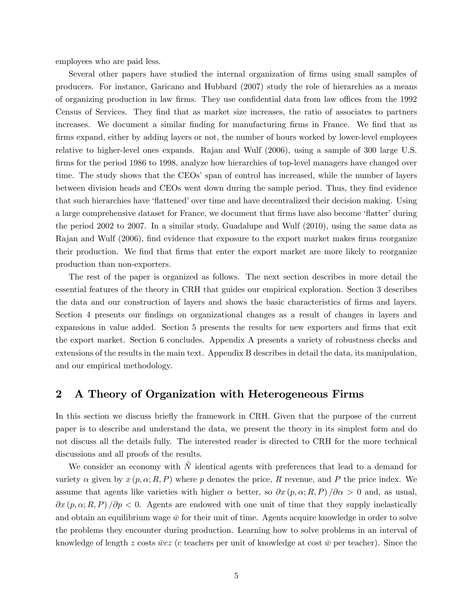employees who are paid less.

Several other papers have studied the internal organization of firms using small samples of producers. For instance, Garicano and Hubbard (2007) study the role of hierarchies as a means of organizing production in law firms. They use confidential data from law offices from the 1992 Census of Services. They Önd that as market size increases, the ratio of associates to partners increases. We document a similar finding for manufacturing firms in France. We find that as firms expand, either by adding layers or not, the number of hours worked by lower-level employees relative to higher-level ones expands. Rajan and Wulf (2006), using a sample of 300 large U.S. firms for the period 1986 to 1998, analyze how hierarchies of top-level managers have changed over time. The study shows that the CEOs' span of control has increased, while the number of layers between division heads and CEOs went down during the sample period. Thus, they find evidence that such hierarchies have 'flattened' over time and have decentralized their decision making. Using a large comprehensive dataset for France, we document that firms have also become 'flatter' during the period 2002 to 2007. In a similar study, Guadalupe and Wulf (2010), using the same data as Rajan and Wulf (2006), find evidence that exposure to the export market makes firms reorganize their production. We find that firms that enter the export market are more likely to reorganize production than non-exporters.

The rest of the paper is organized as follows. The next section describes in more detail the essential features of the theory in CRH that guides our empirical exploration. Section 3 describes the data and our construction of layers and shows the basic characteristics of firms and layers. Section 4 presents our findings on organizational changes as a result of changes in layers and expansions in value added. Section 5 presents the results for new exporters and firms that exit the export market. Section 6 concludes. Appendix A presents a variety of robustness checks and extensions of the results in the main text. Appendix B describes in detail the data, its manipulation, and our empirical methodology.

### 2 A Theory of Organization with Heterogeneous Firms

In this section we discuss briefly the framework in CRH. Given that the purpose of the current paper is to describe and understand the data, we present the theory in its simplest form and do not discuss all the details fully. The interested reader is directed to CRH for the more technical discussions and all proofs of the results.

We consider an economy with  $N$  identical agents with preferences that lead to a demand for variety  $\alpha$  given by  $x (p, \alpha; R, P)$  where p denotes the price, R revenue, and P the price index. We assume that agents like varieties with higher  $\alpha$  better, so  $\partial x (p, \alpha; R, P) / \partial \alpha > 0$  and, as usual,  $\partial x (p, \alpha; R, P) / \partial p < 0$ . Agents are endowed with one unit of time that they supply inelastically and obtain an equilibrium wage  $\bar{w}$  for their unit of time. Agents acquire knowledge in order to solve the problems they encounter during production. Learning how to solve problems in an interval of knowledge of length z costs  $\bar{w}cz$  (c teachers per unit of knowledge at cost  $\bar{w}$  per teacher). Since the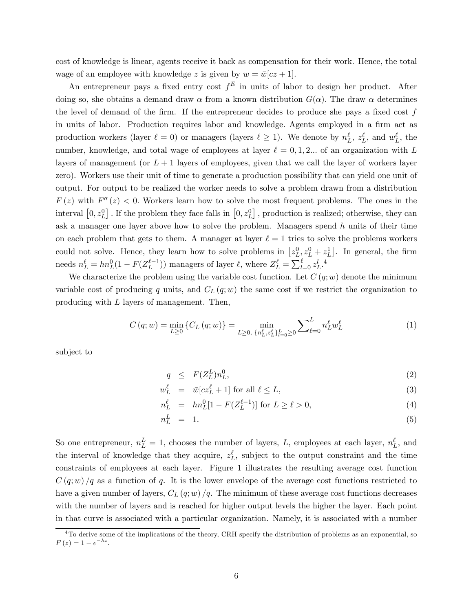cost of knowledge is linear, agents receive it back as compensation for their work. Hence, the total wage of an employee with knowledge z is given by  $w = \bar{w}[cz + 1]$ .

An entrepreneur pays a fixed entry cost  $f^E$  in units of labor to design her product. After doing so, she obtains a demand draw  $\alpha$  from a known distribution  $G(\alpha)$ . The draw  $\alpha$  determines the level of demand of the firm. If the entrepreneur decides to produce she pays a fixed cost  $f$ in units of labor. Production requires labor and knowledge. Agents employed in a firm act as production workers (layer  $\ell = 0$ ) or managers (layers  $\ell \geq 1$ ). We denote by  $n_L^{\ell}$ ,  $z_L^{\ell}$ , and  $w_L^{\ell}$ , the number, knowledge, and total wage of employees at layer  $\ell = 0, 1, 2...$  of an organization with L layers of management (or  $L + 1$  layers of employees, given that we call the layer of workers layer zero). Workers use their unit of time to generate a production possibility that can yield one unit of output. For output to be realized the worker needs to solve a problem drawn from a distribution  $F(z)$  with  $F''(z) < 0$ . Workers learn how to solve the most frequent problems. The ones in the interval  $[0, z_L^0]$ . If the problem they face falls in  $[0, z_L^0]$  , production is realized; otherwise, they can ask a manager one layer above how to solve the problem. Managers spend  $h$  units of their time on each problem that gets to them. A manager at layer  $\ell = 1$  tries to solve the problems workers could not solve. Hence, they learn how to solve problems in  $[z_L^0, z_L^0 + z_L^1]$ . In general, the firm needs  $n_L^{\ell} = h n_L^0 (1 - F(Z_L^{\ell-1}))$  managers of layer  $\ell$ , where  $Z_L^{\ell} = \sum_{l=0}^{\ell} z_L^l$ .<sup>4</sup>

We characterize the problem using the variable cost function. Let  $C(q; w)$  denote the minimum variable cost of producing q units, and  $C<sub>L</sub>(q; w)$  the same cost if we restrict the organization to producing with L layers of management. Then,

$$
C(q; w) = \min_{L \ge 0} \{ C_L(q; w) \} = \min_{L \ge 0, \ \{ n_L^{\ell}, z_L^{\ell} \}_{L=0}^L \ge 0} \sum_{\ell=0}^L n_L^{\ell} w_L^{\ell}
$$
 (1)

subject to

$$
q \leq F(Z_L^L) n_L^0, \tag{2}
$$

$$
w_L^{\ell} = \bar{w}[cz_L^{\ell} + 1] \text{ for all } \ell \le L,
$$
\n(3)

$$
n_L^{\ell} = h n_L^0 [1 - F(Z_L^{\ell - 1})] \text{ for } L \ge \ell > 0,
$$
\n(4)

$$
n_L^L = 1. \t\t(5)
$$

So one entrepreneur,  $n_L^L = 1$ , chooses the number of layers, L, employees at each layer,  $n_L^{\ell}$ , and the interval of knowledge that they acquire,  $z_L^{\ell}$ , subject to the output constraint and the time constraints of employees at each layer. Figure 1 illustrates the resulting average cost function  $C(q; w)$  /q as a function of q. It is the lower envelope of the average cost functions restricted to have a given number of layers,  $C_L(q; w)/q$ . The minimum of these average cost functions decreases with the number of layers and is reached for higher output levels the higher the layer. Each point in that curve is associated with a particular organization. Namely, it is associated with a number

 $4$ To derive some of the implications of the theory, CRH specify the distribution of problems as an exponential, so  $F(z) = 1 - e^{-\lambda z}.$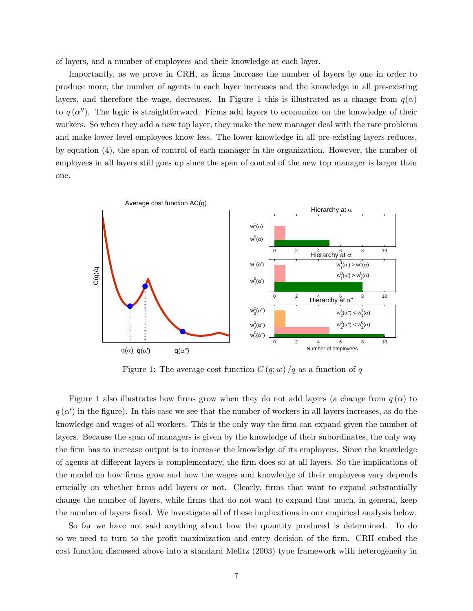of layers, and a number of employees and their knowledge at each layer.

Importantly, as we prove in CRH, as firms increase the number of layers by one in order to produce more, the number of agents in each layer increases and the knowledge in all pre-existing layers, and therefore the wage, decreases. In Figure 1 this is illustrated as a change from  $q(\alpha)$ to  $q(\alpha'')$ . The logic is straightforward. Firms add layers to economize on the knowledge of their workers. So when they add a new top layer, they make the new manager deal with the rare problems and make lower level employees know less. The lower knowledge in all pre-existing layers reduces, by equation (4), the span of control of each manager in the organization. However, the number of employees in all layers still goes up since the span of control of the new top manager is larger than one.



Figure 1: The average cost function  $C(q; w)/q$  as a function of q

Figure 1 also illustrates how firms grow when they do not add layers (a change from  $q(\alpha)$  to  $q(\alpha')$  in the figure). In this case we see that the number of workers in all layers increases, as do the knowledge and wages of all workers. This is the only way the firm can expand given the number of layers. Because the span of managers is given by the knowledge of their subordinates, the only way the Örm has to increase output is to increase the knowledge of its employees. Since the knowledge of agents at different layers is complementary, the firm does so at all layers. So the implications of the model on how firms grow and how the wages and knowledge of their employees vary depends crucially on whether firms add layers or not. Clearly, firms that want to expand substantially change the number of layers, while firms that do not want to expand that much, in general, keep the number of layers fixed. We investigate all of these implications in our empirical analysis below.

So far we have not said anything about how the quantity produced is determined. To do so we need to turn to the profit maximization and entry decision of the firm. CRH embed the cost function discussed above into a standard Melitz (2003) type framework with heterogeneity in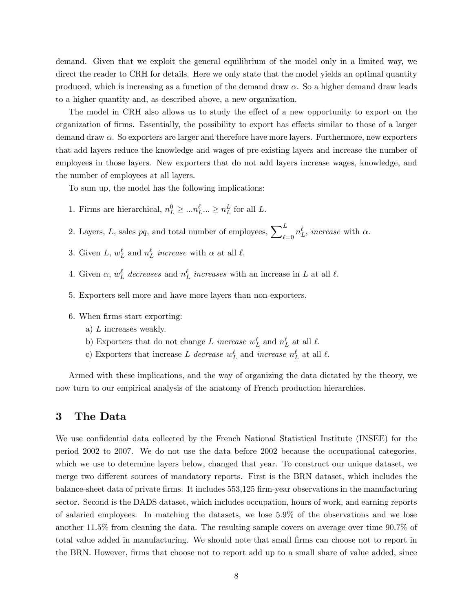demand. Given that we exploit the general equilibrium of the model only in a limited way, we direct the reader to CRH for details. Here we only state that the model yields an optimal quantity produced, which is increasing as a function of the demand draw  $\alpha$ . So a higher demand draw leads to a higher quantity and, as described above, a new organization.

The model in CRH also allows us to study the effect of a new opportunity to export on the organization of firms. Essentially, the possibility to export has effects similar to those of a larger demand draw  $\alpha$ . So exporters are larger and therefore have more layers. Furthermore, new exporters that add layers reduce the knowledge and wages of pre-existing layers and increase the number of employees in those layers. New exporters that do not add layers increase wages, knowledge, and the number of employees at all layers.

To sum up, the model has the following implications:

1. Firms are hierarchical,  $n_L^0 \geq ... n_L^{\ell} ... \geq n_L^L$  for all L.

2. Layers, L, sales pq, and total number of employees,  $\sum_{\ell=0}^{L} n_L^{\ell}$ , *increase* with  $\alpha$ .

- 3. Given L,  $w_L^{\ell}$  and  $n_L^{\ell}$  increase with  $\alpha$  at all  $\ell$ .
- 4. Given  $\alpha$ ,  $w_L^{\ell}$  decreases and  $n_L^{\ell}$  increases with an increase in L at all  $\ell$ .
- 5. Exporters sell more and have more layers than non-exporters.
- 6. When firms start exporting:
	- a) L increases weakly.
	- b) Exporters that do not change L increase  $w_L^{\ell}$  and  $n_L^{\ell}$  at all  $\ell$ .
	- c) Exporters that increase L decrease  $w_L^{\ell}$  and increase  $n_L^{\ell}$  at all  $\ell$ .

Armed with these implications, and the way of organizing the data dictated by the theory, we now turn to our empirical analysis of the anatomy of French production hierarchies.

### 3 The Data

We use confidential data collected by the French National Statistical Institute (INSEE) for the period 2002 to 2007. We do not use the data before 2002 because the occupational categories, which we use to determine layers below, changed that year. To construct our unique dataset, we merge two different sources of mandatory reports. First is the BRN dataset, which includes the balance-sheet data of private firms. It includes  $553,125$  firm-year observations in the manufacturing sector. Second is the DADS dataset, which includes occupation, hours of work, and earning reports of salaried employees. In matching the datasets, we lose 5.9% of the observations and we lose another 11.5% from cleaning the data. The resulting sample covers on average over time 90.7% of total value added in manufacturing. We should note that small Örms can choose not to report in the BRN. However, firms that choose not to report add up to a small share of value added, since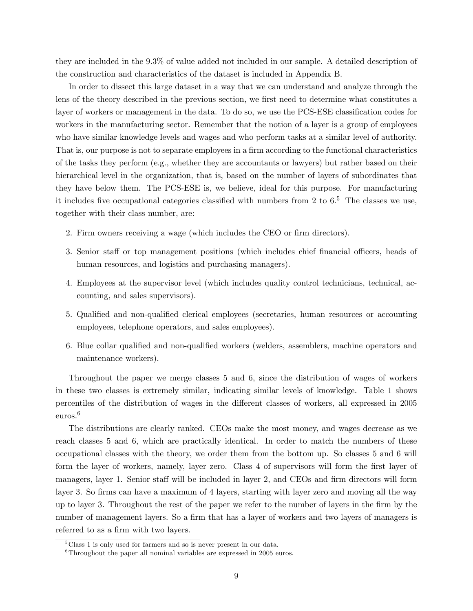they are included in the 9.3% of value added not included in our sample. A detailed description of the construction and characteristics of the dataset is included in Appendix B.

In order to dissect this large dataset in a way that we can understand and analyze through the lens of the theory described in the previous section, we first need to determine what constitutes a layer of workers or management in the data. To do so, we use the PCS-ESE classification codes for workers in the manufacturing sector. Remember that the notion of a layer is a group of employees who have similar knowledge levels and wages and who perform tasks at a similar level of authority. That is, our purpose is not to separate employees in a firm according to the functional characteristics of the tasks they perform (e.g., whether they are accountants or lawyers) but rather based on their hierarchical level in the organization, that is, based on the number of layers of subordinates that they have below them. The PCS-ESE is, we believe, ideal for this purpose. For manufacturing it includes five occupational categories classified with numbers from 2 to  $6<sup>5</sup>$ . The classes we use, together with their class number, are:

- 2. Firm owners receiving a wage (which includes the CEO or firm directors).
- 3. Senior staff or top management positions (which includes chief financial officers, heads of human resources, and logistics and purchasing managers).
- 4. Employees at the supervisor level (which includes quality control technicians, technical, accounting, and sales supervisors).
- 5. Qualified and non-qualified clerical employees (secretaries, human resources or accounting employees, telephone operators, and sales employees).
- 6. Blue collar qualified and non-qualified workers (welders, assemblers, machine operators and maintenance workers).

Throughout the paper we merge classes 5 and 6, since the distribution of wages of workers in these two classes is extremely similar, indicating similar levels of knowledge. Table 1 shows percentiles of the distribution of wages in the different classes of workers, all expressed in 2005 euros.<sup>6</sup>

The distributions are clearly ranked. CEOs make the most money, and wages decrease as we reach classes 5 and 6, which are practically identical. In order to match the numbers of these occupational classes with the theory, we order them from the bottom up. So classes 5 and 6 will form the layer of workers, namely, layer zero. Class 4 of supervisors will form the first layer of managers, layer 1. Senior staff will be included in layer 2, and CEOs and firm directors will form layer 3. So firms can have a maximum of 4 layers, starting with layer zero and moving all the way up to layer 3. Throughout the rest of the paper we refer to the number of layers in the Örm by the number of management layers. So a firm that has a layer of workers and two layers of managers is referred to as a firm with two layers.

 $5C$ lass 1 is only used for farmers and so is never present in our data.

 $6$ Throughout the paper all nominal variables are expressed in 2005 euros.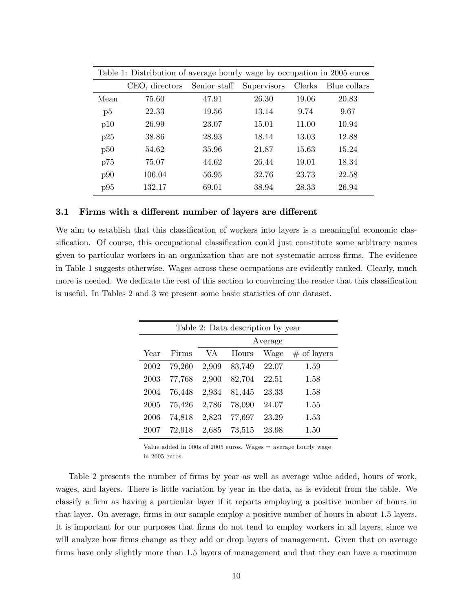| Table 1: Distribution of average hourly wage by occupation in 2005 euros |                |              |             |        |              |  |  |  |
|--------------------------------------------------------------------------|----------------|--------------|-------------|--------|--------------|--|--|--|
|                                                                          | CEO, directors | Senior staff | Supervisors | Clerks | Blue collars |  |  |  |
| Mean                                                                     | 75.60          | 47.91        | 26.30       | 19.06  | 20.83        |  |  |  |
| p5                                                                       | 22.33          | 19.56        | 13.14       | 9.74   | 9.67         |  |  |  |
| p10                                                                      | 26.99          | 23.07        | 15.01       | 11.00  | 10.94        |  |  |  |
| p25                                                                      | 38.86          | 28.93        | 18.14       | 13.03  | 12.88        |  |  |  |
| p50                                                                      | 54.62          | 35.96        | 21.87       | 15.63  | 15.24        |  |  |  |
| p75                                                                      | 75.07          | 44.62        | 26.44       | 19.01  | 18.34        |  |  |  |
| p90                                                                      | 106.04         | 56.95        | 32.76       | 23.73  | 22.58        |  |  |  |
| p95                                                                      | 132.17         | 69.01        | 38.94       | 28.33  | 26.94        |  |  |  |

#### 3.1 Firms with a different number of layers are different

We aim to establish that this classification of workers into layers is a meaningful economic classification. Of course, this occupational classification could just constitute some arbitrary names given to particular workers in an organization that are not systematic across firms. The evidence in Table 1 suggests otherwise. Wages across these occupations are evidently ranked. Clearly, much more is needed. We dedicate the rest of this section to convincing the reader that this classification is useful. In Tables 2 and 3 we present some basic statistics of our dataset.

| Table 2: Data description by year |        |       |        |         |               |  |  |  |
|-----------------------------------|--------|-------|--------|---------|---------------|--|--|--|
|                                   |        |       |        | Average |               |  |  |  |
| Year                              | Firms  | VA    | Hours  | Wage    | $#$ of layers |  |  |  |
| 2002                              | 79,260 | 2,909 | 83,749 | 22.07   | 1.59          |  |  |  |
| 2003                              | 77,768 | 2,900 | 82,704 | 22.51   | 1.58          |  |  |  |
| 2004                              | 76,448 | 2,934 | 81,445 | 23.33   | 1.58          |  |  |  |
| 2005                              | 75,426 | 2,786 | 78,090 | 24.07   | 1.55          |  |  |  |
| 2006                              | 74,818 | 2,823 | 77,697 | 23.29   | 1.53          |  |  |  |
| 2007                              | 72,918 | 2,685 | 73,515 | 23.98   | 1.50          |  |  |  |

Value added in  $000s$  of  $2005$  euros. Wages = average hourly wage in 2005 euros.

Table 2 presents the number of firms by year as well as average value added, hours of work, wages, and layers. There is little variation by year in the data, as is evident from the table. We classify a firm as having a particular layer if it reports employing a positive number of hours in that layer. On average, firms in our sample employ a positive number of hours in about 1.5 layers. It is important for our purposes that firms do not tend to employ workers in all layers, since we will analyze how firms change as they add or drop layers of management. Given that on average firms have only slightly more than 1.5 layers of management and that they can have a maximum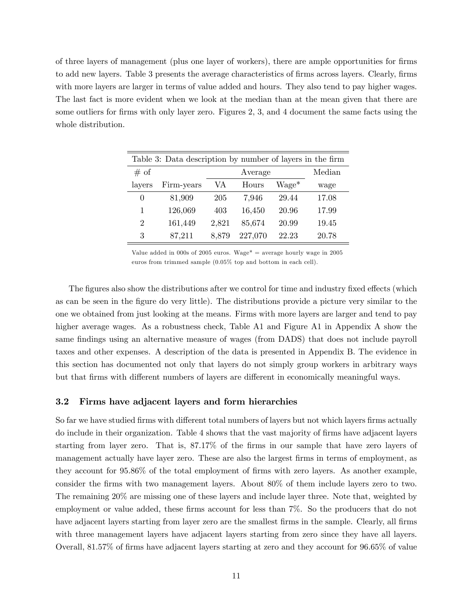of three layers of management (plus one layer of workers), there are ample opportunities for firms to add new layers. Table 3 presents the average characteristics of firms across layers. Clearly, firms with more layers are larger in terms of value added and hours. They also tend to pay higher wages. The last fact is more evident when we look at the median than at the mean given that there are some outliers for firms with only layer zero. Figures 2, 3, and 4 document the same facts using the whole distribution.

| Table 3: Data description by number of layers in the firm |            |       |                   |         |       |  |  |  |
|-----------------------------------------------------------|------------|-------|-------------------|---------|-------|--|--|--|
| # of                                                      |            |       | Median<br>Average |         |       |  |  |  |
| layers                                                    | Firm-years | VA    | Hours             | $Wage*$ | wage  |  |  |  |
| $\left( \right)$                                          | 81,909     | 205   | 7,946             | 29.44   | 17.08 |  |  |  |
| 1                                                         | 126,069    | 403   | 16,450            | 20.96   | 17.99 |  |  |  |
| $\mathfrak{D}$                                            | 161,449    | 2,821 | 85,674            | 20.99   | 19.45 |  |  |  |
| 3                                                         | 87,211     | 8.879 | 227,070           | 22.23   | 20.78 |  |  |  |

Value added in 000s of 2005 euros. Wage<sup>\*</sup> = average hourly wage in 2005 euros from trimmed sample (0.05% top and bottom in each cell).

The figures also show the distributions after we control for time and industry fixed effects (which as can be seen in the figure do very little). The distributions provide a picture very similar to the one we obtained from just looking at the means. Firms with more layers are larger and tend to pay higher average wages. As a robustness check, Table A1 and Figure A1 in Appendix A show the same findings using an alternative measure of wages (from DADS) that does not include payroll taxes and other expenses. A description of the data is presented in Appendix B. The evidence in this section has documented not only that layers do not simply group workers in arbitrary ways but that firms with different numbers of layers are different in economically meaningful ways.

#### 3.2 Firms have adjacent layers and form hierarchies

So far we have studied firms with different total numbers of layers but not which layers firms actually do include in their organization. Table 4 shows that the vast majority of firms have adjacent layers starting from layer zero. That is,  $87.17\%$  of the firms in our sample that have zero layers of management actually have layer zero. These are also the largest firms in terms of employment, as they account for 95.86% of the total employment of firms with zero layers. As another example, consider the firms with two management layers. About 80% of them include layers zero to two. The remaining 20% are missing one of these layers and include layer three. Note that, weighted by employment or value added, these firms account for less than 7%. So the producers that do not have adjacent layers starting from layer zero are the smallest firms in the sample. Clearly, all firms with three management layers have adjacent layers starting from zero since they have all layers. Overall, 81.57% of firms have adjacent layers starting at zero and they account for 96.65% of value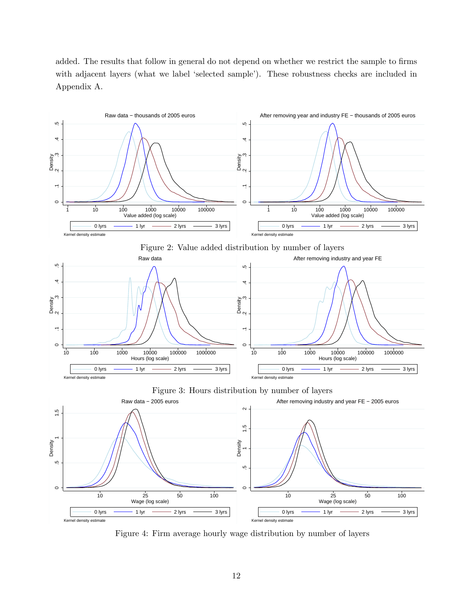added. The results that follow in general do not depend on whether we restrict the sample to firms with adjacent layers (what we label 'selected sample'). These robustness checks are included in Appendix A.



Figure 2: Value added distribution by number of layers



Figure 3: Hours distribution by number of layers



Figure 4: Firm average hourly wage distribution by number of layers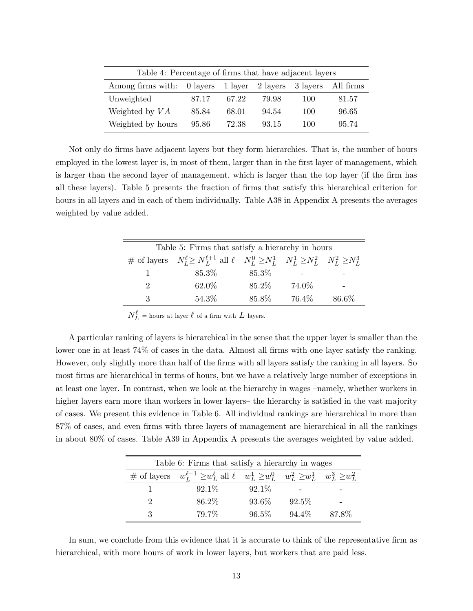| Table 4: Percentage of firms that have adjacent layers |       |       |          |          |           |  |  |  |
|--------------------------------------------------------|-------|-------|----------|----------|-----------|--|--|--|
| Among firms with: 0 layers 1 layer                     |       |       | 2 layers | 3 layers | All firms |  |  |  |
| Unweighted                                             | 87.17 | 67.22 | 79.98    | 100      | 81.57     |  |  |  |
| Weighted by $VA$                                       | 85.84 | 68.01 | 94.54    | 100      | 96.65     |  |  |  |
| Weighted by hours                                      | 95.86 | 72.38 | 93.15    | 100      | 95.74     |  |  |  |

Not only do firms have adjacent layers but they form hierarchies. That is, the number of hours employed in the lowest layer is, in most of them, larger than in the first layer of management, which is larger than the second layer of management, which is larger than the top layer (if the firm has all these layers). Table 5 presents the fraction of Örms that satisfy this hierarchical criterion for hours in all layers and in each of them individually. Table A38 in Appendix A presents the averages weighted by value added.

| Table 5: Firms that satisfy a hierarchy in hours |                                                                                                            |        |        |       |  |  |  |  |
|--------------------------------------------------|------------------------------------------------------------------------------------------------------------|--------|--------|-------|--|--|--|--|
|                                                  | # of layers $N_L^{\ell} \ge N_L^{\ell+1}$ all $\ell$ $N_L^0 \ge N_L^1$ $N_L^1 \ge N_L^2$ $N_L^2 \ge N_L^3$ |        |        |       |  |  |  |  |
|                                                  | $85.3\%$                                                                                                   | 85.3%  |        |       |  |  |  |  |
|                                                  | 62.0%                                                                                                      | 85.2\% | 74.0%  |       |  |  |  |  |
| 3                                                | $54.3\%$                                                                                                   | 85.8%  | 76.4\% | 86.6% |  |  |  |  |

 $N_L^{\ell}$  = hours at layer  $\ell$  of a firm with  $L$  layers.

A particular ranking of layers is hierarchical in the sense that the upper layer is smaller than the lower one in at least  $74\%$  of cases in the data. Almost all firms with one layer satisfy the ranking. However, only slightly more than half of the firms with all layers satisfy the ranking in all layers. So most firms are hierarchical in terms of hours, but we have a relatively large number of exceptions in at least one layer. In contrast, when we look at the hierarchy in wages -namely, whether workers in higher layers earn more than workers in lower layers– the hierarchy is satisfied in the vast majority of cases. We present this evidence in Table 6. All individual rankings are hierarchical in more than 87% of cases, and even firms with three layers of management are hierarchical in all the rankings in about 80% of cases. Table A39 in Appendix A presents the averages weighted by value added.

| Table 6: Firms that satisfy a hierarchy in wages |                                                                                                                |          |        |       |  |  |  |  |
|--------------------------------------------------|----------------------------------------------------------------------------------------------------------------|----------|--------|-------|--|--|--|--|
|                                                  | # of layers $w_L^{\ell+1} \geq w_L^{\ell}$ all $\ell$ $w_L^1 \geq w_L^0$ $w_L^2 \geq w_L^1$ $w_L^3 \geq w_L^2$ |          |        |       |  |  |  |  |
|                                                  | $92.1\%$                                                                                                       | $92.1\%$ |        |       |  |  |  |  |
| 2                                                | 86.2%                                                                                                          | 93.6%    | 92.5%  |       |  |  |  |  |
| 3                                                | 79.7%                                                                                                          | $96.5\%$ | 94.4\% | 87.8% |  |  |  |  |

In sum, we conclude from this evidence that it is accurate to think of the representative firm as hierarchical, with more hours of work in lower layers, but workers that are paid less.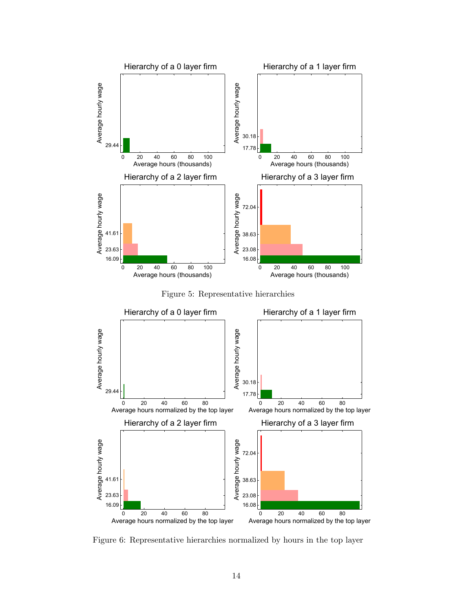

Figure 5: Representative hierarchies



Figure 6: Representative hierarchies normalized by hours in the top layer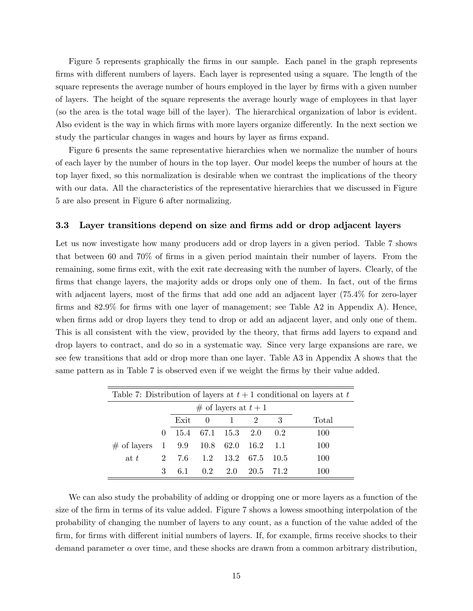Figure 5 represents graphically the firms in our sample. Each panel in the graph represents firms with different numbers of layers. Each layer is represented using a square. The length of the square represents the average number of hours employed in the layer by firms with a given number of layers. The height of the square represents the average hourly wage of employees in that layer (so the area is the total wage bill of the layer). The hierarchical organization of labor is evident. Also evident is the way in which firms with more layers organize differently. In the next section we study the particular changes in wages and hours by layer as firms expand.

Figure 6 presents the same representative hierarchies when we normalize the number of hours of each layer by the number of hours in the top layer. Our model keeps the number of hours at the top layer Öxed, so this normalization is desirable when we contrast the implications of the theory with our data. All the characteristics of the representative hierarchies that we discussed in Figure 5 are also present in Figure 6 after normalizing.

#### 3.3 Layer transitions depend on size and firms add or drop adjacent layers

Let us now investigate how many producers add or drop layers in a given period. Table 7 shows that between 60 and  $70\%$  of firms in a given period maintain their number of layers. From the remaining, some firms exit, with the exit rate decreasing with the number of layers. Clearly, of the firms that change layers, the majority adds or drops only one of them. In fact, out of the firms with adjacent layers, most of the firms that add one add an adjacent layer  $(75.4\%$  for zero-layer firms and  $82.9\%$  for firms with one layer of management; see Table A2 in Appendix A). Hence, when firms add or drop layers they tend to drop or add an adjacent layer, and only one of them. This is all consistent with the view, provided by the theory, that firms add layers to expand and drop layers to contract, and do so in a systematic way. Since very large expansions are rare, we see few transitions that add or drop more than one layer. Table A3 in Appendix A shows that the same pattern as in Table 7 is observed even if we weight the firms by their value added.

| Table 7: Distribution of layers at $t+1$ conditional on layers at t |          |                                  |          |                           |                |        |       |  |
|---------------------------------------------------------------------|----------|----------------------------------|----------|---------------------------|----------------|--------|-------|--|
|                                                                     |          |                                  |          |                           |                |        |       |  |
|                                                                     |          | Exit                             | $\theta$ | $\overline{1}$            | $\overline{2}$ | 3      | Total |  |
|                                                                     | $\theta$ |                                  |          | 15.4 67.1 15.3 2.0        |                | 0.2    | 100   |  |
| $#$ of layers                                                       |          | $1\quad 9.9\quad 10.8\quad 62.0$ |          |                           | -- 16.2        | $-1.1$ | 100   |  |
| at t                                                                |          | 2 7.6                            |          | 1.2 13.2 67.5             |                | -10.5  | 100   |  |
|                                                                     | 3        | 6.1                              |          | $0.2$ $2.0$ $20.5$ $71.2$ |                |        | 100   |  |

We can also study the probability of adding or dropping one or more layers as a function of the size of the firm in terms of its value added. Figure 7 shows a lowess smoothing interpolation of the probability of changing the number of layers to any count, as a function of the value added of the firm, for firms with different initial numbers of layers. If, for example, firms receive shocks to their demand parameter  $\alpha$  over time, and these shocks are drawn from a common arbitrary distribution,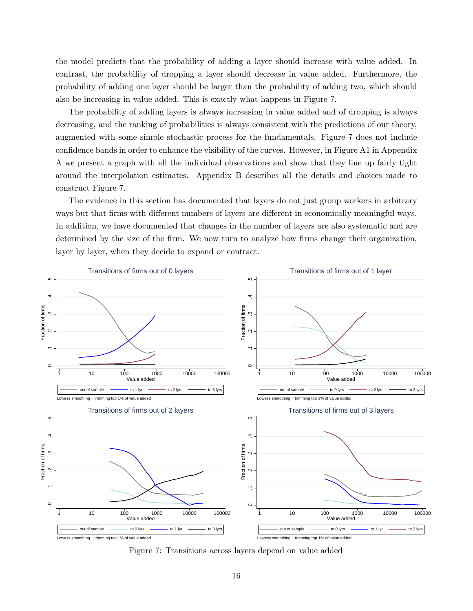the model predicts that the probability of adding a layer should increase with value added. In contrast, the probability of dropping a layer should decrease in value added. Furthermore, the probability of adding one layer should be larger than the probability of adding two, which should also be increasing in value added. This is exactly what happens in Figure 7.

The probability of adding layers is always increasing in value added and of dropping is always decreasing, and the ranking of probabilities is always consistent with the predictions of our theory, augmented with some simple stochastic process for the fundamentals. Figure 7 does not include confidence bands in order to enhance the visibility of the curves. However, in Figure A1 in Appendix A we present a graph with all the individual observations and show that they line up fairly tight around the interpolation estimates. Appendix B describes all the details and choices made to construct Figure 7.

The evidence in this section has documented that layers do not just group workers in arbitrary ways but that firms with different numbers of layers are different in economically meaningful ways. In addition, we have documented that changes in the number of layers are also systematic and are determined by the size of the firm. We now turn to analyze how firms change their organization, layer by layer, when they decide to expand or contract.



Figure 7: Transitions across layers depend on value added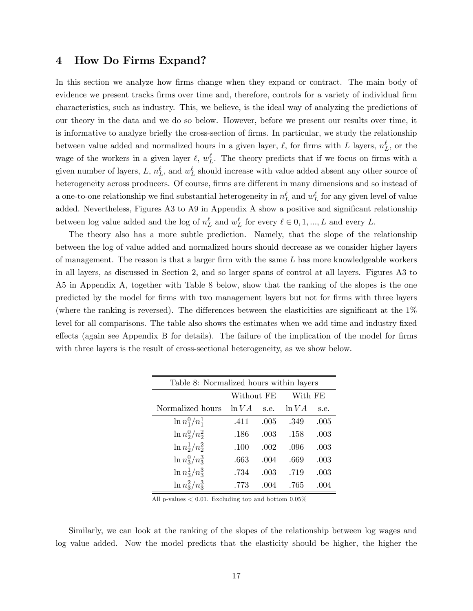### 4 How Do Firms Expand?

In this section we analyze how firms change when they expand or contract. The main body of evidence we present tracks firms over time and, therefore, controls for a variety of individual firm characteristics, such as industry. This, we believe, is the ideal way of analyzing the predictions of our theory in the data and we do so below. However, before we present our results over time, it is informative to analyze briefly the cross-section of firms. In particular, we study the relationship between value added and normalized hours in a given layer,  $\ell$ , for firms with L layers,  $n_L^{\ell}$ , or the wage of the workers in a given layer  $\ell, w_L^{\ell}$ . The theory predicts that if we focus on firms with a given number of layers, L,  $n_L^{\ell}$ , and  $w_L^{\ell}$  should increase with value added absent any other source of heterogeneity across producers. Of course, firms are different in many dimensions and so instead of a one-to-one relationship we find substantial heterogeneity in  $n_L^{\ell}$  and  $w_L^{\ell}$  for any given level of value added. Nevertheless, Figures A3 to A9 in Appendix A show a positive and significant relationship between log value added and the log of  $n_L^{\ell}$  and  $w_L^{\ell}$  for every  $\ell \in [0, 1, ..., L$  and every L.

The theory also has a more subtle prediction. Namely, that the slope of the relationship between the log of value added and normalized hours should decrease as we consider higher layers of management. The reason is that a larger firm with the same  $L$  has more knowledgeable workers in all layers, as discussed in Section 2, and so larger spans of control at all layers. Figures A3 to A5 in Appendix A, together with Table 8 below, show that the ranking of the slopes is the one predicted by the model for Örms with two management layers but not for Örms with three layers (where the ranking is reversed). The differences between the elasticities are significant at the  $1\%$ level for all comparisons. The table also shows the estimates when we add time and industry fixed effects (again see Appendix B for details). The failure of the implication of the model for firms with three layers is the result of cross-sectional heterogeneity, as we show below.

| Table 8: Normalized hours within layers |      |            |      |  |  |  |  |  |
|-----------------------------------------|------|------------|------|--|--|--|--|--|
|                                         |      | With FE    |      |  |  |  |  |  |
| $\ln VA$                                | s.e. | $\ln VA$   | s.e. |  |  |  |  |  |
| .411                                    | .005 | .349       | .005 |  |  |  |  |  |
| .186                                    | .003 | .158       | .003 |  |  |  |  |  |
| .100                                    | .002 | .096       | .003 |  |  |  |  |  |
| .663                                    | .004 | .669       | .003 |  |  |  |  |  |
| .734                                    | .003 | .719       | .003 |  |  |  |  |  |
| .773                                    | .004 | .765       | .004 |  |  |  |  |  |
|                                         |      | Without FE |      |  |  |  |  |  |

All p-values  $< 0.01$ . Excluding top and bottom  $0.05\%$ 

Similarly, we can look at the ranking of the slopes of the relationship between log wages and log value added. Now the model predicts that the elasticity should be higher, the higher the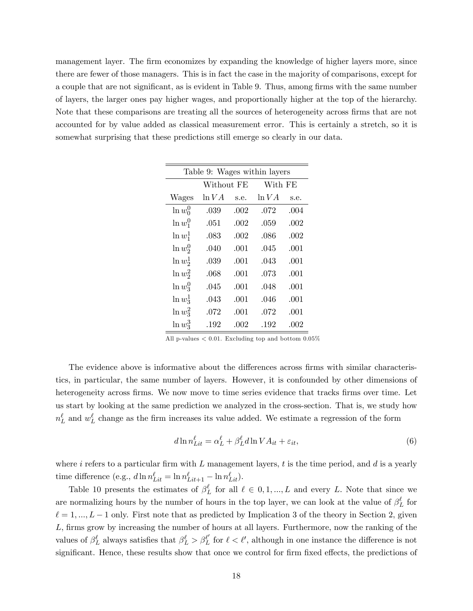management layer. The firm economizes by expanding the knowledge of higher layers more, since there are fewer of those managers. This is in fact the case in the majority of comparisons, except for a couple that are not significant, as is evident in Table 9. Thus, among firms with the same number of layers, the larger ones pay higher wages, and proportionally higher at the top of the hierarchy. Note that these comparisons are treating all the sources of heterogeneity across firms that are not accounted for by value added as classical measurement error. This is certainly a stretch, so it is somewhat surprising that these predictions still emerge so clearly in our data.

| Table 9: Wages within layers |            |      |          |      |  |  |  |  |
|------------------------------|------------|------|----------|------|--|--|--|--|
|                              | Without FE |      | With FE  |      |  |  |  |  |
| Wages                        | $\ln VA$   | s.e. | $\ln VA$ | s.e. |  |  |  |  |
| $\ln w_0^0$                  | .039       | .002 | .072     | .004 |  |  |  |  |
| $\ln w_1^0$                  | .051       | .002 | .059     | .002 |  |  |  |  |
| $\ln w_1^1$                  | .083       | .002 | .086     | .002 |  |  |  |  |
| $\ln w_2^0$                  | .040       | .001 | .045     | .001 |  |  |  |  |
| $\ln w_2^1$                  | .039       | .001 | .043     | .001 |  |  |  |  |
| $\ln w_2^2$                  | .068       | .001 | .073     | .001 |  |  |  |  |
| $\ln w_3^0$                  | .045       | .001 | .048     | .001 |  |  |  |  |
| $\ln w_3^1$                  | .043       | .001 | .046     | .001 |  |  |  |  |
| $\ln w_3^2$                  | .072       | .001 | .072     | .001 |  |  |  |  |
| $\ln w_3^3$                  | .192       | .002 | .192     | .002 |  |  |  |  |

All p-values  $< 0.01$ . Excluding top and bottom  $0.05\%$ 

The evidence above is informative about the differences across firms with similar characteristics, in particular, the same number of layers. However, it is confounded by other dimensions of heterogeneity across firms. We now move to time series evidence that tracks firms over time. Let us start by looking at the same prediction we analyzed in the cross-section. That is, we study how  $n_L^{\ell}$  and  $w_L^{\ell}$  change as the firm increases its value added. We estimate a regression of the form

$$
d\ln n_{Lit}^{\ell} = \alpha_L^{\ell} + \beta_L^{\ell} d\ln VA_{it} + \varepsilon_{it},\tag{6}
$$

where i refers to a particular firm with L management layers, t is the time period, and d is a yearly time difference (e.g.,  $d \ln n_{Lit}^{\ell} = \ln n_{Lit+1}^{\ell} - \ln n_{Lit}^{\ell}$ ).

Table 10 presents the estimates of  $\beta_L^{\ell}$  for all  $\ell \in [0, 1, ..., L]$  and every L. Note that since we are normalizing hours by the number of hours in the top layer, we can look at the value of  $\beta_L^{\ell}$  for  $\ell = 1, ..., L - 1$  only. First note that as predicted by Implication 3 of the theory in Section 2, given  $L$ , firms grow by increasing the number of hours at all layers. Furthermore, now the ranking of the values of  $\beta_L^{\ell}$  always satisfies that  $\beta_L^{\ell} > \beta_L^{\ell'}$  for  $\ell < \ell'$ , although in one instance the difference is not significant. Hence, these results show that once we control for firm fixed effects, the predictions of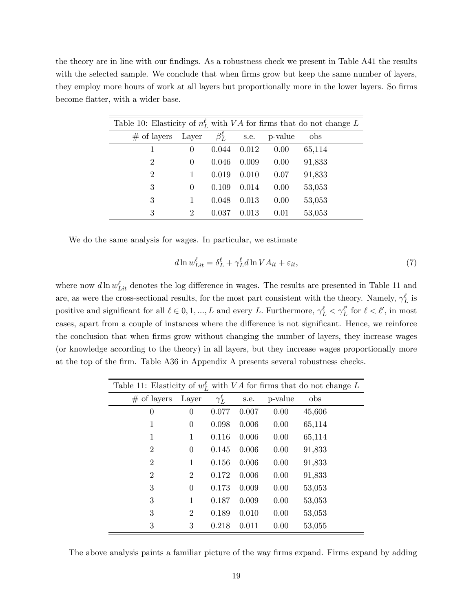the theory are in line with our findings. As a robustness check we present in Table A41 the results with the selected sample. We conclude that when firms grow but keep the same number of layers, they employ more hours of work at all layers but proportionally more in the lower layers. So firms become flatter, with a wider base.

| Table 10: Elasticity of $n_L^{\ell}$ with VA for firms that do not change L |          |                  |       |         |        |  |  |
|-----------------------------------------------------------------------------|----------|------------------|-------|---------|--------|--|--|
| $#$ of layers                                                               | Layer    | $\beta_L^{\ell}$ | s.e.  | p-value | obs    |  |  |
| 1                                                                           | $\theta$ | 0.044            | 0.012 | 0.00    | 65,114 |  |  |
| $\overline{2}$                                                              | $\theta$ | 0.046            | 0.009 | 0.00    | 91,833 |  |  |
| $\overline{2}$                                                              |          | 0.019            | 0.010 | 0.07    | 91,833 |  |  |
| 3                                                                           | $\theta$ | 0.109            | 0.014 | 0.00    | 53,053 |  |  |
| 3                                                                           |          | 0.048            | 0.013 | 0.00    | 53,053 |  |  |
| 3                                                                           | 2        | 0.037            | 0.013 | 0.01    | 53,053 |  |  |

We do the same analysis for wages. In particular, we estimate

$$
d\ln w_{Lit}^{\ell} = \delta_L^{\ell} + \gamma_L^{\ell} d\ln V A_{it} + \varepsilon_{it},\tag{7}
$$

where now  $d\ln w_{Lit}^{\ell}$  denotes the log difference in wages. The results are presented in Table 11 and are, as were the cross-sectional results, for the most part consistent with the theory. Namely,  $\gamma_L^{\ell}$  is positive and significant for all  $\ell \in 0, 1, ..., L$  and every L. Furthermore,  $\gamma_L^{\ell} < \gamma_L^{\ell'}$  for  $\ell < \ell'$ , in most cases, apart from a couple of instances where the difference is not significant. Hence, we reinforce the conclusion that when firms grow without changing the number of layers, they increase wages (or knowledge according to the theory) in all layers, but they increase wages proportionally more at the top of the Örm. Table A36 in Appendix A presents several robustness checks.

| Table 11: Elasticity of $w_L^{\ell}$ with VA for firms that do not change L |                |                   |       |         |        |
|-----------------------------------------------------------------------------|----------------|-------------------|-------|---------|--------|
| $#$ of layers                                                               | Layer          | $\gamma_L^{\ell}$ | s.e.  | p-value | obs    |
| $\theta$                                                                    | $\overline{0}$ | 0.077             | 0.007 | 0.00    | 45,606 |
| 1                                                                           | $\theta$       | 0.098             | 0.006 | 0.00    | 65,114 |
| 1                                                                           | 1              | 0.116             | 0.006 | 0.00    | 65,114 |
| $\overline{2}$                                                              | $\theta$       | 0.145             | 0.006 | 0.00    | 91,833 |
| $\overline{2}$                                                              | 1              | 0.156             | 0.006 | 0.00    | 91,833 |
| $\overline{2}$                                                              | $\overline{2}$ | 0.172             | 0.006 | 0.00    | 91,833 |
| 3                                                                           | $\theta$       | 0.173             | 0.009 | 0.00    | 53,053 |
| 3                                                                           | 1              | 0.187             | 0.009 | 0.00    | 53,053 |
| 3                                                                           | $\overline{2}$ | 0.189             | 0.010 | 0.00    | 53,053 |
| 3                                                                           | 3              | 0.218             | 0.011 | 0.00    | 53,055 |

The above analysis paints a familiar picture of the way firms expand. Firms expand by adding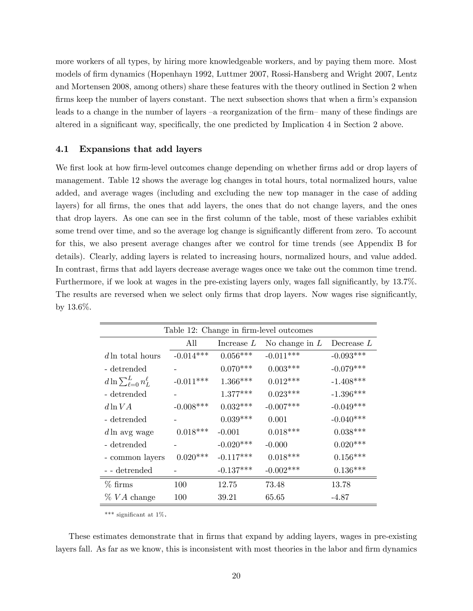more workers of all types, by hiring more knowledgeable workers, and by paying them more. Most models of firm dynamics (Hopenhayn 1992, Luttmer 2007, Rossi-Hansberg and Wright 2007, Lentz and Mortensen 2008, among others) share these features with the theory outlined in Section 2 when firms keep the number of layers constant. The next subsection shows that when a firm's expansion leads to a change in the number of layers  $-a$  reorganization of the firm–many of these findings are altered in a significant way, specifically, the one predicted by Implication 4 in Section 2 above.

#### 4.1 Expansions that add layers

We first look at how firm-level outcomes change depending on whether firms add or drop layers of management. Table 12 shows the average log changes in total hours, total normalized hours, value added, and average wages (including and excluding the new top manager in the case of adding layers) for all firms, the ones that add layers, the ones that do not change layers, and the ones that drop layers. As one can see in the first column of the table, most of these variables exhibit some trend over time, and so the average log change is significantly different from zero. To account for this, we also present average changes after we control for time trends (see Appendix B for details). Clearly, adding layers is related to increasing hours, normalized hours, and value added. In contrast, firms that add layers decrease average wages once we take out the common time trend. Furthermore, if we look at wages in the pre-existing layers only, wages fall significantly, by 13.7%. The results are reversed when we select only firms that drop layers. Now wages rise significantly, by 13.6%.

|                                  | Table 12: Change in firm-level outcomes |              |                  |              |  |  |  |  |
|----------------------------------|-----------------------------------------|--------------|------------------|--------------|--|--|--|--|
|                                  | All                                     | Increase $L$ | No change in $L$ | Decrease $L$ |  |  |  |  |
| $d \ln \text{total hours}$       | $-0.014***$                             | $0.056***$   | $-0.011***$      | $-0.093***$  |  |  |  |  |
| - detrended                      |                                         | $0.070***$   | $0.003***$       | $-0.079***$  |  |  |  |  |
| $d\ln\sum_{\ell=0}^L n_L^{\ell}$ | $-0.011***$                             | $1.366***$   | $0.012***$       | $-1.408***$  |  |  |  |  |
| - detrended                      |                                         | $1.377***$   | $0.023***$       | $-1.396***$  |  |  |  |  |
| $d \ln VA$                       | $-0.008$ ***                            | $0.032***$   | $-0.007***$      | $-0.049***$  |  |  |  |  |
| - detrended                      |                                         | $0.039***$   | 0.001            | $-0.040***$  |  |  |  |  |
| $d\ln$ avg wage                  | $0.018***$                              | $-0.001$     | $0.018***$       | $0.038***$   |  |  |  |  |
| - detrended                      |                                         | $-0.020***$  | $-0.000$         | $0.020***$   |  |  |  |  |
| - common layers                  | $0.020***$                              | $-0.117***$  | $0.018***$       | $0.156***$   |  |  |  |  |
| --detrended                      |                                         | $-0.137***$  | $-0.002***$      | $0.136***$   |  |  |  |  |
| $%$ firms                        | 100                                     | 12.75        | 73.48            | 13.78        |  |  |  |  |
| $% VA$ change                    | 100                                     | 39.21        | 65.65            | -4.87        |  |  |  |  |

\*\*\* significant at  $1\%$ .

These estimates demonstrate that in firms that expand by adding layers, wages in pre-existing layers fall. As far as we know, this is inconsistent with most theories in the labor and firm dynamics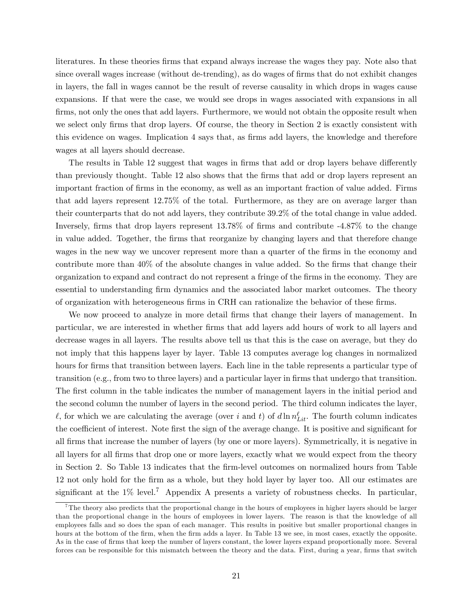literatures. In these theories firms that expand always increase the wages they pay. Note also that since overall wages increase (without de-trending), as do wages of firms that do not exhibit changes in layers, the fall in wages cannot be the result of reverse causality in which drops in wages cause expansions. If that were the case, we would see drops in wages associated with expansions in all firms, not only the ones that add layers. Furthermore, we would not obtain the opposite result when we select only firms that drop layers. Of course, the theory in Section 2 is exactly consistent with this evidence on wages. Implication 4 says that, as firms add layers, the knowledge and therefore wages at all layers should decrease.

The results in Table 12 suggest that wages in firms that add or drop layers behave differently than previously thought. Table 12 also shows that the Örms that add or drop layers represent an important fraction of Örms in the economy, as well as an important fraction of value added. Firms that add layers represent 12.75% of the total. Furthermore, as they are on average larger than their counterparts that do not add layers, they contribute 39.2% of the total change in value added. Inversely, firms that drop layers represent  $13.78\%$  of firms and contribute  $-4.87\%$  to the change in value added. Together, the firms that reorganize by changing layers and that therefore change wages in the new way we uncover represent more than a quarter of the firms in the economy and contribute more than  $40\%$  of the absolute changes in value added. So the firms that change their organization to expand and contract do not represent a fringe of the firms in the economy. They are essential to understanding Örm dynamics and the associated labor market outcomes. The theory of organization with heterogeneous firms in CRH can rationalize the behavior of these firms.

We now proceed to analyze in more detail firms that change their layers of management. In particular, we are interested in whether Örms that add layers add hours of work to all layers and decrease wages in all layers. The results above tell us that this is the case on average, but they do not imply that this happens layer by layer. Table 13 computes average log changes in normalized hours for firms that transition between layers. Each line in the table represents a particular type of transition (e.g., from two to three layers) and a particular layer in firms that undergo that transition. The first column in the table indicates the number of management layers in the initial period and the second column the number of layers in the second period. The third column indicates the layer,  $\ell$ , for which we are calculating the average (over i and t) of  $d \ln n_{Lit}^{\ell}$ . The fourth column indicates the coefficient of interest. Note first the sign of the average change. It is positive and significant for all Örms that increase the number of layers (by one or more layers). Symmetrically, it is negative in all layers for all firms that drop one or more layers, exactly what we would expect from the theory in Section 2. So Table 13 indicates that the Örm-level outcomes on normalized hours from Table 12 not only hold for the Örm as a whole, but they hold layer by layer too. All our estimates are significant at the  $1\%$  level.<sup>7</sup> Appendix A presents a variety of robustness checks. In particular,

<sup>7</sup>The theory also predicts that the proportional change in the hours of employees in higher layers should be larger than the proportional change in the hours of employees in lower layers. The reason is that the knowledge of all employees falls and so does the span of each manager. This results in positive but smaller proportional changes in hours at the bottom of the firm, when the firm adds a layer. In Table 13 we see, in most cases, exactly the opposite. As in the case of firms that keep the number of layers constant, the lower layers expand proportionally more. Several forces can be responsible for this mismatch between the theory and the data. First, during a year, firms that switch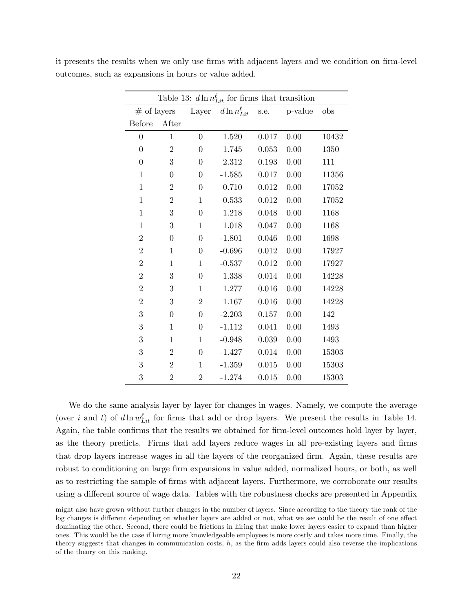| Table 13: $d \ln n_{Lit}^{\ell}$ for firms that transition |                |                |                       |       |         |       |  |  |  |
|------------------------------------------------------------|----------------|----------------|-----------------------|-------|---------|-------|--|--|--|
| $#$ of layers                                              |                | Layer          | $d\ln n_{Lit}^{\ell}$ | s.e.  | p-value | obs   |  |  |  |
| <b>Before</b>                                              | After          |                |                       |       |         |       |  |  |  |
| $\overline{0}$                                             | $\mathbf{1}$   | $\overline{0}$ | 1.520                 | 0.017 | 0.00    | 10432 |  |  |  |
| $\overline{0}$                                             | $\overline{2}$ | $\overline{0}$ | 1.745                 | 0.053 | 0.00    | 1350  |  |  |  |
| $\overline{0}$                                             | 3              | $\overline{0}$ | 2.312                 | 0.193 | 0.00    | 111   |  |  |  |
| $\mathbf{1}$                                               | $\overline{0}$ | $\overline{0}$ | $-1.585$              | 0.017 | 0.00    | 11356 |  |  |  |
| $\mathbf{1}$                                               | $\overline{2}$ | $\overline{0}$ | 0.710                 | 0.012 | 0.00    | 17052 |  |  |  |
| $\mathbf{1}$                                               | $\overline{2}$ | $\mathbf{1}$   | 0.533                 | 0.012 | 0.00    | 17052 |  |  |  |
| $\mathbf{1}$                                               | 3              | $\overline{0}$ | 1.218                 | 0.048 | 0.00    | 1168  |  |  |  |
| $\mathbf{1}$                                               | 3              | 1              | 1.018                 | 0.047 | 0.00    | 1168  |  |  |  |
| $\overline{2}$                                             | $\overline{0}$ | $\overline{0}$ | $-1.801$              | 0.046 | 0.00    | 1698  |  |  |  |
| $\overline{2}$                                             | $\mathbf{1}$   | $\overline{0}$ | $-0.696$              | 0.012 | 0.00    | 17927 |  |  |  |
| $\overline{2}$                                             | $\mathbf{1}$   | $\mathbf{1}$   | $-0.537$              | 0.012 | 0.00    | 17927 |  |  |  |
| $\overline{2}$                                             | 3              | $\overline{0}$ | 1.338                 | 0.014 | 0.00    | 14228 |  |  |  |
| $\overline{2}$                                             | 3              | 1              | 1.277                 | 0.016 | 0.00    | 14228 |  |  |  |
| $\overline{2}$                                             | 3              | $\overline{2}$ | 1.167                 | 0.016 | 0.00    | 14228 |  |  |  |
| 3                                                          | $\overline{0}$ | $\overline{0}$ | $-2.203$              | 0.157 | 0.00    | 142   |  |  |  |
| 3                                                          | $\mathbf{1}$   | $\overline{0}$ | $-1.112$              | 0.041 | 0.00    | 1493  |  |  |  |
| 3                                                          | 1              | 1              | $-0.948$              | 0.039 | 0.00    | 1493  |  |  |  |
| 3                                                          | $\overline{2}$ | $\overline{0}$ | $-1.427$              | 0.014 | 0.00    | 15303 |  |  |  |
| 3                                                          | $\overline{2}$ | $\mathbf{1}$   | $-1.359$              | 0.015 | 0.00    | 15303 |  |  |  |
| 3                                                          | $\overline{2}$ | $\overline{2}$ | $-1.274$              | 0.015 | 0.00    | 15303 |  |  |  |

it presents the results when we only use firms with adjacent layers and we condition on firm-level outcomes, such as expansions in hours or value added.

We do the same analysis layer by layer for changes in wages. Namely, we compute the average (over i and t) of  $d \ln w_{Lit}^{\ell}$  for firms that add or drop layers. We present the results in Table 14. Again, the table confirms that the results we obtained for firm-level outcomes hold layer by layer, as the theory predicts. Firms that add layers reduce wages in all pre-existing layers and firms that drop layers increase wages in all the layers of the reorganized firm. Again, these results are robust to conditioning on large firm expansions in value added, normalized hours, or both, as well as to restricting the sample of firms with adjacent layers. Furthermore, we corroborate our results using a different source of wage data. Tables with the robustness checks are presented in Appendix

might also have grown without further changes in the number of layers. Since according to the theory the rank of the log changes is different depending on whether layers are added or not, what we see could be the result of one effect dominating the other. Second, there could be frictions in hiring that make lower layers easier to expand than higher ones. This would be the case if hiring more knowledgeable employees is more costly and takes more time. Finally, the theory suggests that changes in communication costs,  $h$ , as the firm adds layers could also reverse the implications of the theory on this ranking.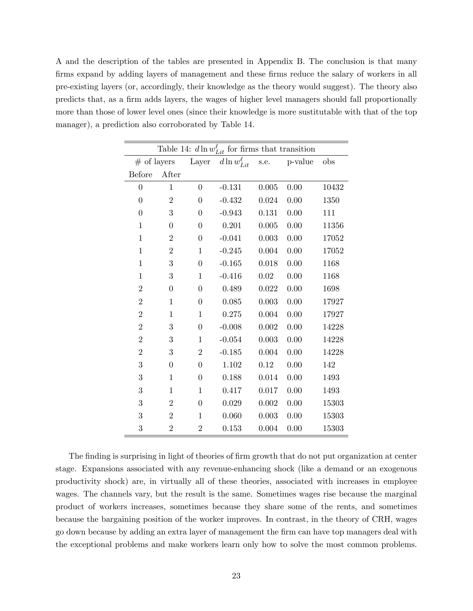A and the description of the tables are presented in Appendix B. The conclusion is that many firms expand by adding layers of management and these firms reduce the salary of workers in all pre-existing layers (or, accordingly, their knowledge as the theory would suggest). The theory also predicts that, as a Örm adds layers, the wages of higher level managers should fall proportionally more than those of lower level ones (since their knowledge is more sustitutable with that of the top manager), a prediction also corroborated by Table 14.

| Table 14: $d \ln w_{Lit}^{\ell}$ for firms that transition |                |                |                       |             |         |       |  |  |
|------------------------------------------------------------|----------------|----------------|-----------------------|-------------|---------|-------|--|--|
| $#$ of layers                                              |                | Layer          | $d\ln w_{Lit}^{\ell}$ | s.e.        | p-value | obs   |  |  |
| Before                                                     | After          |                |                       |             |         |       |  |  |
| $\overline{0}$                                             | 1              | $\overline{0}$ | $-0.131$              | 0.005       | 0.00    | 10432 |  |  |
| $\overline{0}$                                             | $\overline{2}$ | $\overline{0}$ | $-0.432$              | $\,0.024\,$ | 0.00    | 1350  |  |  |
| $\overline{0}$                                             | 3              | $\overline{0}$ | $-0.943$              | 0.131       | 0.00    | 111   |  |  |
| $\mathbf{1}$                                               | $\theta$       | $\theta$       | 0.201                 | 0.005       | 0.00    | 11356 |  |  |
| $\mathbf{1}$                                               | $\overline{2}$ | $\overline{0}$ | $-0.041$              | 0.003       | 0.00    | 17052 |  |  |
| $\mathbf{1}$                                               | $\overline{2}$ | 1              | $-0.245$              | 0.004       | 0.00    | 17052 |  |  |
| $\mathbf{1}$                                               | 3              | $\overline{0}$ | $-0.165$              | 0.018       | 0.00    | 1168  |  |  |
| $\mathbf{1}$                                               | 3              | $\mathbf{1}$   | $-0.416$              | 0.02        | 0.00    | 1168  |  |  |
| $\overline{2}$                                             | $\overline{0}$ | $\overline{0}$ | 0.489                 | 0.022       | 0.00    | 1698  |  |  |
| $\overline{2}$                                             | $\mathbf{1}$   | $\overline{0}$ | 0.085                 | 0.003       | 0.00    | 17927 |  |  |
| $\overline{2}$                                             | $\mathbf 1$    | $\mathbf{1}$   | 0.275                 | 0.004       | 0.00    | 17927 |  |  |
| $\overline{2}$                                             | 3              | $\theta$       | $-0.008$              | 0.002       | 0.00    | 14228 |  |  |
| $\overline{2}$                                             | 3              | $\mathbf{1}$   | $-0.054$              | 0.003       | 0.00    | 14228 |  |  |
| $\overline{2}$                                             | 3              | $\overline{2}$ | $-0.185$              | 0.004       | 0.00    | 14228 |  |  |
| 3                                                          | $\overline{0}$ | $\overline{0}$ | 1.102                 | 0.12        | 0.00    | 142   |  |  |
| 3                                                          | 1              | $\theta$       | 0.188                 | 0.014       | 0.00    | 1493  |  |  |
| 3                                                          | 1              | $\mathbf{1}$   | 0.417                 | 0.017       | 0.00    | 1493  |  |  |
| 3                                                          | $\overline{2}$ | $\overline{0}$ | 0.029                 | 0.002       | 0.00    | 15303 |  |  |
| 3                                                          | $\overline{2}$ | $\mathbf{1}$   | 0.060                 | 0.003       | 0.00    | 15303 |  |  |
| 3                                                          | $\overline{2}$ | $\overline{2}$ | 0.153                 | 0.004       | 0.00    | 15303 |  |  |

The finding is surprising in light of theories of firm growth that do not put organization at center stage. Expansions associated with any revenue-enhancing shock (like a demand or an exogenous productivity shock) are, in virtually all of these theories, associated with increases in employee wages. The channels vary, but the result is the same. Sometimes wages rise because the marginal product of workers increases, sometimes because they share some of the rents, and sometimes because the bargaining position of the worker improves. In contrast, in the theory of CRH, wages go down because by adding an extra layer of management the Örm can have top managers deal with the exceptional problems and make workers learn only how to solve the most common problems.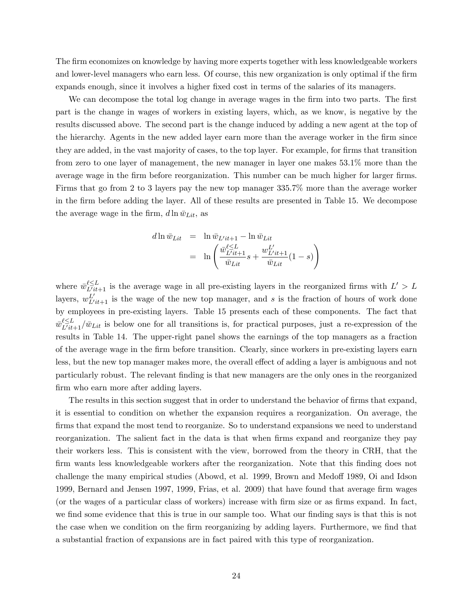The firm economizes on knowledge by having more experts together with less knowledgeable workers and lower-level managers who earn less. Of course, this new organization is only optimal if the firm expands enough, since it involves a higher fixed cost in terms of the salaries of its managers.

We can decompose the total log change in average wages in the firm into two parts. The first part is the change in wages of workers in existing layers, which, as we know, is negative by the results discussed above. The second part is the change induced by adding a new agent at the top of the hierarchy. Agents in the new added layer earn more than the average worker in the firm since they are added, in the vast majority of cases, to the top layer. For example, for Örms that transition from zero to one layer of management, the new manager in layer one makes 53.1% more than the average wage in the firm before reorganization. This number can be much higher for larger firms. Firms that go from 2 to 3 layers pay the new top manager 335.7% more than the average worker in the Örm before adding the layer. All of these results are presented in Table 15. We decompose the average wage in the firm,  $d \ln \bar{w}_{Lit}$ , as

$$
d \ln \bar{w}_{Lit} = \ln \bar{w}_{Lit+1} - \ln \bar{w}_{Lit}
$$
  
= 
$$
\ln \left( \frac{\bar{w}_{L'it+1}^{t \leq L} s + \frac{w_{L'it+1}^{L'}}{\bar{w}_{Lit}} (1 - s) \right)
$$

where  $\bar{w}^{\ell \leq L}_{L^i t+1}$  is the average wage in all pre-existing layers in the reorganized firms with  $L' > L$ layers,  $w_{L(it+1}^{L'}$  is the wage of the new top manager, and s is the fraction of hours of work done by employees in pre-existing layers. Table 15 presents each of these components. The fact that  $\bar{w}_{L\bar{i}t+1}^{\ell \leq L}/\bar{w}_{Lit}$  is below one for all transitions is, for practical purposes, just a re-expression of the results in Table 14. The upper-right panel shows the earnings of the top managers as a fraction of the average wage in the Örm before transition. Clearly, since workers in pre-existing layers earn less, but the new top manager makes more, the overall effect of adding a layer is ambiguous and not particularly robust. The relevant Önding is that new managers are the only ones in the reorganized firm who earn more after adding layers.

The results in this section suggest that in order to understand the behavior of firms that expand, it is essential to condition on whether the expansion requires a reorganization. On average, the firms that expand the most tend to reorganize. So to understand expansions we need to understand reorganization. The salient fact in the data is that when firms expand and reorganize they pay their workers less. This is consistent with the view, borrowed from the theory in CRH, that the Örm wants less knowledgeable workers after the reorganization. Note that this Önding does not challenge the many empirical studies (Abowd, et al. 1999, Brown and Medoff 1989, Oi and Idson 1999, Bernard and Jensen 1997, 1999, Frias, et al. 2009) that have found that average Örm wages (or the wages of a particular class of workers) increase with firm size or as firms expand. In fact, we find some evidence that this is true in our sample too. What our finding says is that this is not the case when we condition on the firm reorganizing by adding layers. Furthermore, we find that a substantial fraction of expansions are in fact paired with this type of reorganization.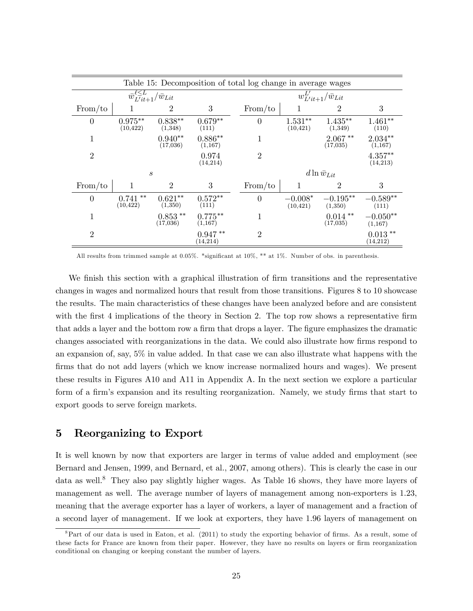| Table 15: Decomposition of total log change in average wages |                                                          |                       |                        |  |                      |                         |                                 |                         |  |
|--------------------------------------------------------------|----------------------------------------------------------|-----------------------|------------------------|--|----------------------|-------------------------|---------------------------------|-------------------------|--|
|                                                              | $\overline{w}_{L'it+1}^{\ell \leq L}/\overline{w}_{Lit}$ |                       |                        |  |                      |                         | $w_{L'it+1}^{L'}/\bar{w}_{Lit}$ |                         |  |
| From/to                                                      |                                                          | $\overline{2}$        | 3                      |  | From/to              |                         | $\overline{2}$                  | 3                       |  |
| $\Omega$                                                     | $0.975**$<br>(10, 422)                                   | $0.838**$<br>(1,348)  | $0.679**$<br>(111)     |  | $\theta$             | $1.531***$<br>(10, 421) | $1.435***$<br>(1,349)           | $1.461**$<br>(110)      |  |
| 1                                                            |                                                          | $0.940**$<br>(17,036) | $0.886**$<br>(1,167)   |  | $\mathbf{1}$         |                         | $2.067***$<br>(17,035)          | $2.034**$<br>(1,167)    |  |
| $\overline{2}$                                               |                                                          |                       | 0.974<br>(14,214)      |  | $\mathfrak{D}$       |                         |                                 | $4.357**$<br>(14,213)   |  |
|                                                              | $\mathcal{S}_{0}$                                        |                       |                        |  | $d\ln \bar{w}_{Lit}$ |                         |                                 |                         |  |
| From/to                                                      |                                                          | $\mathfrak{D}$        | 3                      |  | From/to              |                         | $\mathcal{D}$                   | 3                       |  |
| $\theta$                                                     | $***$<br>0.741<br>(10, 422)                              | $0.621**$<br>(1,350)  | $0.572**$<br>(111)     |  | $\theta$             | $-0.008*$<br>(10, 421)  | $-0.195**$<br>(1,350)           | $-0.589**$<br>(111)     |  |
| 1                                                            |                                                          | $0.853**$<br>(17,036) | $0.775**$<br>(1,167)   |  | 1                    |                         | $0.014$ **<br>(17,035)          | $-0.050**$<br>(1,167)   |  |
| $\overline{2}$                                               |                                                          |                       | $0.947**$<br>(14, 214) |  | $\overline{2}$       |                         |                                 | $0.013$ **<br>(14, 212) |  |

All results from trimmed sample at  $0.05\%$ . \*significant at  $10\%$ , \*\* at  $1\%$ . Number of obs. in parenthesis.

We finish this section with a graphical illustration of firm transitions and the representative changes in wages and normalized hours that result from those transitions. Figures 8 to 10 showcase the results. The main characteristics of these changes have been analyzed before and are consistent with the first 4 implications of the theory in Section 2. The top row shows a representative firm that adds a layer and the bottom row a firm that drops a layer. The figure emphasizes the dramatic changes associated with reorganizations in the data. We could also illustrate how firms respond to an expansion of, say, 5% in value added. In that case we can also illustrate what happens with the Örms that do not add layers (which we know increase normalized hours and wages). We present these results in Figures A10 and A11 in Appendix A. In the next section we explore a particular form of a firm's expansion and its resulting reorganization. Namely, we study firms that start to export goods to serve foreign markets.

### 5 Reorganizing to Export

It is well known by now that exporters are larger in terms of value added and employment (see Bernard and Jensen, 1999, and Bernard, et al., 2007, among others). This is clearly the case in our data as well.<sup>8</sup> They also pay slightly higher wages. As Table 16 shows, they have more layers of management as well. The average number of layers of management among non-exporters is 1.23, meaning that the average exporter has a layer of workers, a layer of management and a fraction of a second layer of management. If we look at exporters, they have 1.96 layers of management on

 ${}^{8}$ Part of our data is used in Eaton, et al. (2011) to study the exporting behavior of firms. As a result, some of these facts for France are known from their paper. However, they have no results on layers or firm reorganization conditional on changing or keeping constant the number of layers.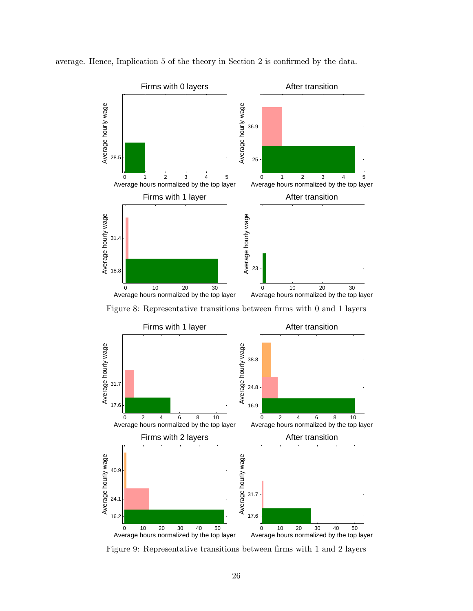

average. Hence, Implication 5 of the theory in Section 2 is confirmed by the data.

Figure 8: Representative transitions between firms with  $0$  and  $1$  layers



Figure 9: Representative transitions between firms with 1 and 2 layers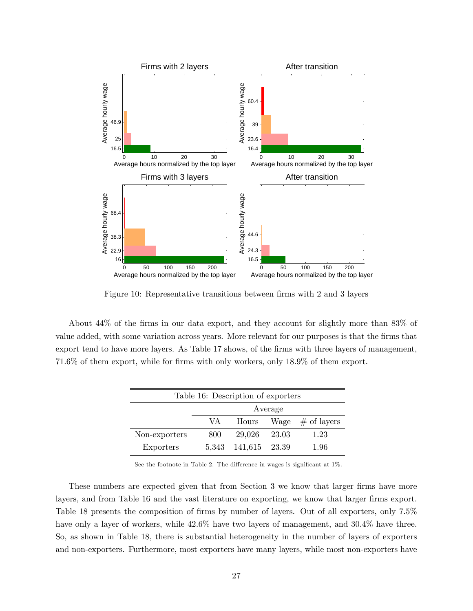

Figure 10: Representative transitions between firms with 2 and 3 layers

About  $44\%$  of the firms in our data export, and they account for slightly more than 83% of value added, with some variation across years. More relevant for our purposes is that the firms that export tend to have more layers. As Table 17 shows, of the firms with three layers of management, 71.6% of them export, while for Örms with only workers, only 18.9% of them export.

| Table 16: Description of exporters |         |         |         |                     |  |  |  |  |
|------------------------------------|---------|---------|---------|---------------------|--|--|--|--|
|                                    | Average |         |         |                     |  |  |  |  |
|                                    | VA      | Hours   |         | Wage $\#$ of layers |  |  |  |  |
| Non-exporters                      | 800     | 29,026  | 23.03   | 1.23                |  |  |  |  |
| Exporters                          | 5.343   | 141,615 | - 23.39 | 1.96                |  |  |  |  |

See the footnote in Table 2. The difference in wages is significant at  $1\%$ .

These numbers are expected given that from Section 3 we know that larger firms have more layers, and from Table 16 and the vast literature on exporting, we know that larger firms export. Table 18 presents the composition of firms by number of layers. Out of all exporters, only 7.5% have only a layer of workers, while  $42.6\%$  have two layers of management, and  $30.4\%$  have three. So, as shown in Table 18, there is substantial heterogeneity in the number of layers of exporters and non-exporters. Furthermore, most exporters have many layers, while most non-exporters have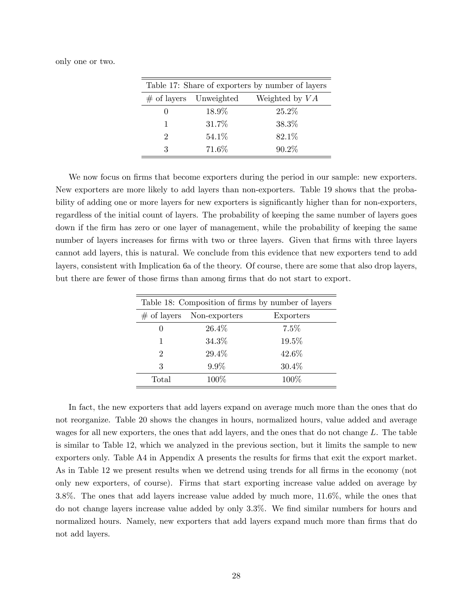only one or two.

| Table 17: Share of exporters by number of layers |                           |                  |  |  |  |  |  |
|--------------------------------------------------|---------------------------|------------------|--|--|--|--|--|
|                                                  | $\#$ of layers Unweighted | Weighted by $VA$ |  |  |  |  |  |
|                                                  | 18.9%                     | 25.2%            |  |  |  |  |  |
|                                                  | 31.7%                     | 38.3%            |  |  |  |  |  |
| 2                                                | 54.1\%                    | 82.1%            |  |  |  |  |  |
| 3                                                | 71.6%                     | $90.2\%$         |  |  |  |  |  |

We now focus on firms that become exporters during the period in our sample: new exporters. New exporters are more likely to add layers than non-exporters. Table 19 shows that the probability of adding one or more layers for new exporters is significantly higher than for non-exporters, regardless of the initial count of layers. The probability of keeping the same number of layers goes down if the firm has zero or one layer of management, while the probability of keeping the same number of layers increases for firms with two or three layers. Given that firms with three layers cannot add layers, this is natural. We conclude from this evidence that new exporters tend to add layers, consistent with Implication 6a of the theory. Of course, there are some that also drop layers, but there are fewer of those firms than among firms that do not start to export.

| Table 18: Composition of firms by number of layers |                              |           |  |  |  |  |  |
|----------------------------------------------------|------------------------------|-----------|--|--|--|--|--|
|                                                    | $\#$ of layers Non-exporters | Exporters |  |  |  |  |  |
|                                                    | $26.4\%$                     | $7.5\%$   |  |  |  |  |  |
|                                                    | 34.3%                        | 19.5%     |  |  |  |  |  |
| 2                                                  | 29.4%                        | 42.6%     |  |  |  |  |  |
| 3                                                  | $9.9\%$                      | 30.4%     |  |  |  |  |  |
| Total                                              | 100%                         | 100%      |  |  |  |  |  |

In fact, the new exporters that add layers expand on average much more than the ones that do not reorganize. Table 20 shows the changes in hours, normalized hours, value added and average wages for all new exporters, the ones that add layers, and the ones that do not change  $L$ . The table is similar to Table 12, which we analyzed in the previous section, but it limits the sample to new exporters only. Table A4 in Appendix A presents the results for firms that exit the export market. As in Table 12 we present results when we detrend using trends for all firms in the economy (not only new exporters, of course). Firms that start exporting increase value added on average by 3.8%. The ones that add layers increase value added by much more, 11.6%, while the ones that do not change layers increase value added by only 3.3%. We find similar numbers for hours and normalized hours. Namely, new exporters that add layers expand much more than firms that do not add layers.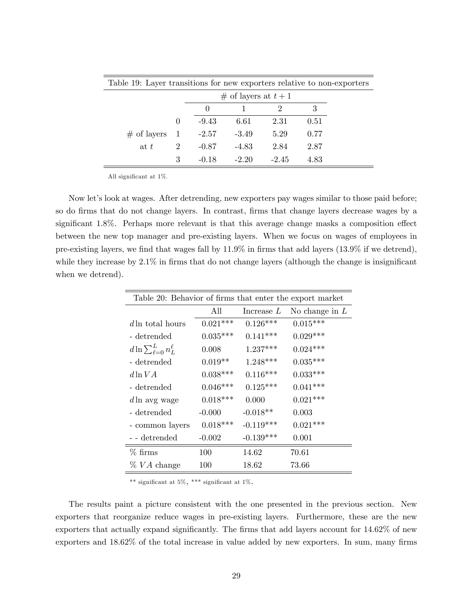| Table 19: Layer transitions for new exporters relative to non-exporters |                             |                  |                      |             |      |  |  |  |  |
|-------------------------------------------------------------------------|-----------------------------|------------------|----------------------|-------------|------|--|--|--|--|
|                                                                         |                             |                  | # of layers at $t+1$ |             |      |  |  |  |  |
|                                                                         |                             | $\left( \right)$ |                      | ' $\lambda$ | 3    |  |  |  |  |
|                                                                         | $\Omega$                    | $-9.43$          | 6.61                 | 2.31        | 0.51 |  |  |  |  |
| $#$ of layers                                                           | -1                          | $-2.57$          | $-3.49$              | 5.29        | 0.77 |  |  |  |  |
| at $t$                                                                  | $\mathcal{D}_{\mathcal{L}}$ | $-0.87$          | $-4.83$              | 2.84        | 2.87 |  |  |  |  |
|                                                                         | 3                           | $-0.18$          | $-2.20$              | $-2.45$     | 4.83 |  |  |  |  |

All significant at 1%.

Now let's look at wages. After detrending, new exporters pay wages similar to those paid before; so do firms that do not change layers. In contrast, firms that change layers decrease wages by a significant  $1.8\%$ . Perhaps more relevant is that this average change masks a composition effect between the new top manager and pre-existing layers. When we focus on wages of employees in pre-existing layers, we find that wages fall by  $11.9\%$  in firms that add layers (13.9% if we detrend), while they increase by  $2.1\%$  in firms that do not change layers (although the change is insignificant when we detrend).

| Table 20: Behavior of firms that enter the export market |            |              |                  |  |  |  |  |  |
|----------------------------------------------------------|------------|--------------|------------------|--|--|--|--|--|
|                                                          | All        | Increase $L$ | No change in $L$ |  |  |  |  |  |
| $d \ln \cot \theta$ hours                                | $0.021***$ | $0.126***$   | $0.015***$       |  |  |  |  |  |
| - detrended                                              | $0.035***$ | $0.141***$   | $0.029***$       |  |  |  |  |  |
| $d\ln\sum_{\ell=0}^L n_{L}^{\ell}$                       | 0.008      | $1.237***$   | $0.024***$       |  |  |  |  |  |
| - detrended                                              | $0.019**$  | $1.248***$   | $0.035***$       |  |  |  |  |  |
| $d \ln VA$                                               | $0.038***$ | $0.116***$   | $0.033***$       |  |  |  |  |  |
| - detrended                                              | $0.046***$ | $0.125***$   | $0.041***$       |  |  |  |  |  |
| $d\ln$ avg wage                                          | $0.018***$ | 0.000        | $0.021***$       |  |  |  |  |  |
| - detrended                                              | $-0.000$   | $-0.018**$   | 0.003            |  |  |  |  |  |
| - common layers                                          | $0.018***$ | $-0.119***$  | $0.021***$       |  |  |  |  |  |
| --detrended                                              | $-0.002$   | $-0.139***$  | 0.001            |  |  |  |  |  |
| $%$ firms                                                | 100        | 14.62        | 70.61            |  |  |  |  |  |
| $\%$ VA change                                           | 100        | 18.62        | 73.66            |  |  |  |  |  |

\*\* significant at  $5\%$ , \*\*\* significant at  $1\%$ .

The results paint a picture consistent with the one presented in the previous section. New exporters that reorganize reduce wages in pre-existing layers. Furthermore, these are the new exporters that actually expand significantly. The firms that add layers account for  $14.62\%$  of new exporters and  $18.62\%$  of the total increase in value added by new exporters. In sum, many firms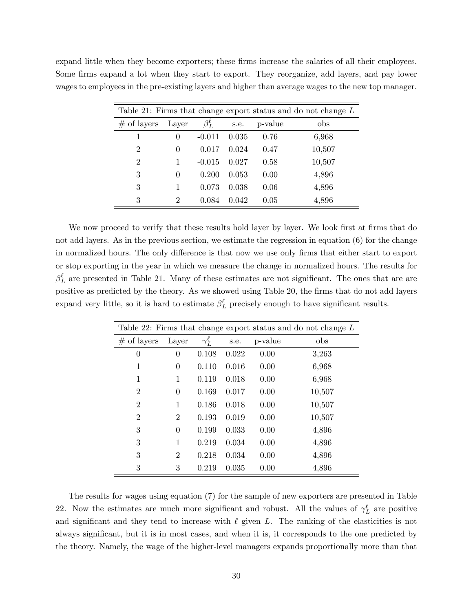expand little when they become exporters; these firms increase the salaries of all their employees. Some firms expand a lot when they start to export. They reorganize, add layers, and pay lower wages to employees in the pre-existing layers and higher than average wages to the new top manager.

|                |          |                  |       |         | Table 21: Firms that change export status and do not change $L$ |
|----------------|----------|------------------|-------|---------|-----------------------------------------------------------------|
| $#$ of layers  | Layer    | $\beta_L^{\ell}$ | s.e.  | p-value | obs                                                             |
|                | $\theta$ | $-0.011$         | 0.035 | 0.76    | 6,968                                                           |
| 2              | $\theta$ | 0.017            | 0.024 | 0.47    | 10,507                                                          |
| $\overline{2}$ | 1        | $-0.015$         | 0.027 | 0.58    | 10,507                                                          |
| 3              | $\theta$ | 0.200            | 0.053 | 0.00    | 4,896                                                           |
| 3              |          | 0.073            | 0.038 | 0.06    | 4,896                                                           |
| 3              | 2        | 0.084            | 0.042 | 0.05    | 4,896                                                           |

We now proceed to verify that these results hold layer by layer. We look first at firms that do not add layers. As in the previous section, we estimate the regression in equation (6) for the change in normalized hours. The only difference is that now we use only firms that either start to export or stop exporting in the year in which we measure the change in normalized hours. The results for  $\beta_L^{\ell}$  are presented in Table 21. Many of these estimates are not significant. The ones that are are positive as predicted by the theory. As we showed using Table 20, the firms that do not add layers expand very little, so it is hard to estimate  $\beta_L^{\ell}$  precisely enough to have significant results.

|                |                |                     |       |         | Table 22: Firms that change export status and do not change $L$ |
|----------------|----------------|---------------------|-------|---------|-----------------------------------------------------------------|
| $#$ of layers  | Layer          | $\gamma^{\ell}_{L}$ | s.e.  | p-value | obs                                                             |
| $\overline{0}$ | 0              | 0.108               | 0.022 | 0.00    | 3,263                                                           |
| 1              | $\theta$       | 0.110               | 0.016 | 0.00    | 6,968                                                           |
| 1              | 1              | 0.119               | 0.018 | 0.00    | 6,968                                                           |
| $\overline{2}$ | $\theta$       | 0.169               | 0.017 | 0.00    | 10,507                                                          |
| $\mathfrak{D}$ | 1              | 0.186               | 0.018 | 0.00    | 10,507                                                          |
| $\overline{2}$ | $\overline{2}$ | 0.193               | 0.019 | 0.00    | 10,507                                                          |
| 3              | $\theta$       | 0.199               | 0.033 | 0.00    | 4,896                                                           |
| 3              | 1              | 0.219               | 0.034 | 0.00    | 4,896                                                           |
| 3              | $\overline{2}$ | 0.218               | 0.034 | 0.00    | 4,896                                                           |
| 3              | 3              | 0.219               | 0.035 | 0.00    | 4,896                                                           |

The results for wages using equation (7) for the sample of new exporters are presented in Table 22. Now the estimates are much more significant and robust. All the values of  $\gamma_L^{\ell}$  are positive and significant and they tend to increase with  $\ell$  given L. The ranking of the elasticities is not always significant, but it is in most cases, and when it is, it corresponds to the one predicted by the theory. Namely, the wage of the higher-level managers expands proportionally more than that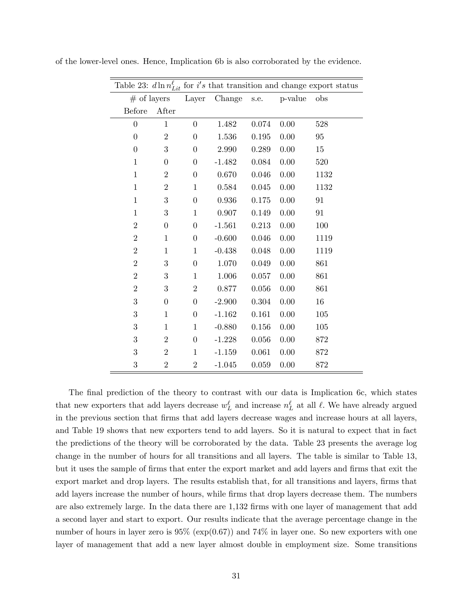| Table 23: $d \ln n_{Lit}^{\ell}$ for i's that transition and change export status |                  |                  |              |           |          |              |  |
|-----------------------------------------------------------------------------------|------------------|------------------|--------------|-----------|----------|--------------|--|
|                                                                                   | $\#$ of layers   |                  | Layer Change | s.e.      | p-value  | $_{\rm obs}$ |  |
| <b>Before</b>                                                                     | After            |                  |              |           |          |              |  |
| $\theta$                                                                          | $\mathbf{1}$     | $\boldsymbol{0}$ | 1.482        | 0.074     | 0.00     | 528          |  |
| $\overline{0}$                                                                    | $\boldsymbol{2}$ | $\overline{0}$   | 1.536        | 0.195     | 0.00     | 95           |  |
| $\overline{0}$                                                                    | $\boldsymbol{3}$ | $\overline{0}$   | 2.990        | 0.289     | $0.00\,$ | 15           |  |
| $\mathbf{1}$                                                                      | $\overline{0}$   | $\overline{0}$   | $-1.482$     | 0.084     | $0.00\,$ | 520          |  |
| $\mathbf{1}$                                                                      | $\sqrt{2}$       | $\boldsymbol{0}$ | 0.670        | 0.046     | 0.00     | 1132         |  |
| $\mathbf{1}$                                                                      | $\boldsymbol{2}$ | $\mathbf{1}$     | 0.584        | 0.045     | 0.00     | 1132         |  |
| $\mathbf{1}$                                                                      | $\boldsymbol{3}$ | $\overline{0}$   | 0.936        | 0.175     | 0.00     | 91           |  |
| $\mathbf{1}$                                                                      | $\sqrt{3}$       | $\mathbf{1}$     | 0.907        | 0.149     | 0.00     | 91           |  |
| $\overline{2}$                                                                    | $\overline{0}$   | $\overline{0}$   | $-1.561$     | 0.213     | 0.00     | 100          |  |
| $\overline{2}$                                                                    | $\mathbf{1}$     | $\overline{0}$   | $-0.600$     | 0.046     | 0.00     | 1119         |  |
| $\overline{2}$                                                                    | $\mathbf{1}$     | $\mathbf{1}$     | $-0.438$     | 0.048     | 0.00     | 1119         |  |
| $\overline{2}$                                                                    | $\boldsymbol{3}$ | $\overline{0}$   | 1.070        | 0.049     | $0.00\,$ | 861          |  |
| $\overline{2}$                                                                    | $\boldsymbol{3}$ | $\mathbf{1}$     | 1.006        | 0.057     | 0.00     | 861          |  |
| $\overline{2}$                                                                    | $\boldsymbol{3}$ | $\overline{2}$   | 0.877        | 0.056     | 0.00     | 861          |  |
| 3                                                                                 | $\overline{0}$   | $\overline{0}$   | $-2.900$     | 0.304     | 0.00     | 16           |  |
| 3                                                                                 | $\mathbf{1}$     | $\overline{0}$   | $-1.162$     | 0.161     | 0.00     | 105          |  |
| 3                                                                                 | $\mathbf{1}$     | $\mathbf{1}$     | $-0.880$     | 0.156     | 0.00     | 105          |  |
| 3                                                                                 | $\overline{2}$   | $\overline{0}$   | $-1.228$     | 0.056     | 0.00     | 872          |  |
| 3                                                                                 | $\overline{2}$   | $\mathbf{1}$     | $-1.159$     | 0.061     | $0.00\,$ | 872          |  |
| 3                                                                                 | $\overline{2}$   | $\overline{2}$   | $-1.045$     | $0.059\,$ | $0.00\,$ | $872\,$      |  |

of the lower-level ones. Hence, Implication 6b is also corroborated by the evidence.

The final prediction of the theory to contrast with our data is Implication 6c, which states that new exporters that add layers decrease  $w_L^{\ell}$  and increase  $n_L^{\ell}$  at all  $\ell$ . We have already argued in the previous section that firms that add layers decrease wages and increase hours at all layers, and Table 19 shows that new exporters tend to add layers. So it is natural to expect that in fact the predictions of the theory will be corroborated by the data. Table 23 presents the average log change in the number of hours for all transitions and all layers. The table is similar to Table 13, but it uses the sample of Örms that enter the export market and add layers and Örms that exit the export market and drop layers. The results establish that, for all transitions and layers, firms that add layers increase the number of hours, while firms that drop layers decrease them. The numbers are also extremely large. In the data there are  $1,132$  firms with one layer of management that add a second layer and start to export. Our results indicate that the average percentage change in the number of hours in layer zero is  $95\%$  (exp(0.67)) and  $74\%$  in layer one. So new exporters with one layer of management that add a new layer almost double in employment size. Some transitions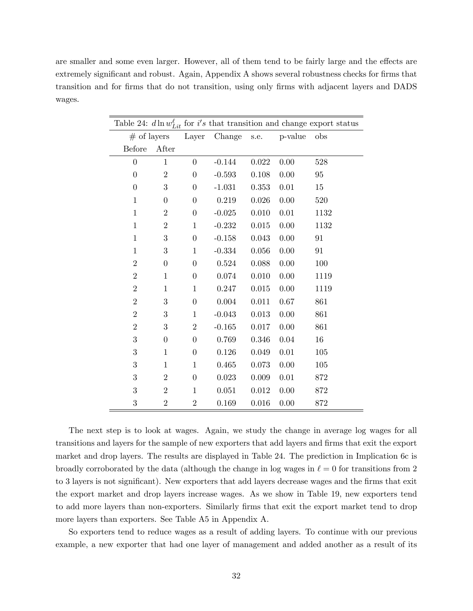are smaller and some even larger. However, all of them tend to be fairly large and the effects are extremely significant and robust. Again, Appendix A shows several robustness checks for firms that transition and for Örms that do not transition, using only Örms with adjacent layers and DADS wages.

| Table 24: $d\ln w_{Lit}^{\ell}$ for i's that transition and change export status |                |                  |                   |           |          |      |  |
|----------------------------------------------------------------------------------|----------------|------------------|-------------------|-----------|----------|------|--|
| $#$ of layers                                                                    |                |                  | Layer Change s.e. |           | p-value  | obs  |  |
| <b>Before</b>                                                                    | After          |                  |                   |           |          |      |  |
| $\overline{0}$                                                                   | $\mathbf 1$    | $\overline{0}$   | $-0.144$          | 0.022     | 0.00     | 528  |  |
| $\overline{0}$                                                                   | $\overline{2}$ | $\overline{0}$   | $-0.593$          | 0.108     | 0.00     | 95   |  |
| $\overline{0}$                                                                   | 3              | $\overline{0}$   | $-1.031$          | 0.353     | 0.01     | 15   |  |
| $\mathbf{1}$                                                                     | $\overline{0}$ | $\overline{0}$   | 0.219             | $0.026\,$ | $0.00\,$ | 520  |  |
| $\mathbf{1}$                                                                     | $\overline{2}$ | $\overline{0}$   | $-0.025$          | 0.010     | 0.01     | 1132 |  |
| $\mathbf{1}$                                                                     | $\overline{2}$ | $\mathbf{1}$     | $-0.232$          | 0.015     | 0.00     | 1132 |  |
| 1                                                                                | 3              | $\overline{0}$   | $-0.158$          | 0.043     | $0.00\,$ | 91   |  |
| $\mathbf{1}$                                                                     | 3              | $\mathbf{1}$     | $-0.334$          | 0.056     | $0.00\,$ | 91   |  |
| $\overline{2}$                                                                   | $\overline{0}$ | $\boldsymbol{0}$ | 0.524             | 0.088     | $0.00\,$ | 100  |  |
| $\overline{2}$                                                                   | $\mathbf 1$    | $\theta$         | 0.074             | 0.010     | 0.00     | 1119 |  |
| $\overline{2}$                                                                   | $\mathbf 1$    | $\mathbf{1}$     | 0.247             | 0.015     | $0.00\,$ | 1119 |  |
| $\overline{2}$                                                                   | 3              | $\boldsymbol{0}$ | 0.004             | 0.011     | 0.67     | 861  |  |
| $\overline{2}$                                                                   | 3              | $\mathbf{1}$     | $-0.043$          | 0.013     | 0.00     | 861  |  |
| $\overline{2}$                                                                   | 3              | $\overline{2}$   | $-0.165$          | $0.017\,$ | $0.00\,$ | 861  |  |
| 3                                                                                | $\overline{0}$ | $\overline{0}$   | 0.769             | 0.346     | 0.04     | 16   |  |
| 3                                                                                | $\mathbf{1}$   | $\overline{0}$   | 0.126             | 0.049     | 0.01     | 105  |  |
| 3                                                                                | $\mathbf{1}$   | $\mathbf{1}$     | 0.465             | 0.073     | 0.00     | 105  |  |
| 3                                                                                | $\overline{2}$ | $\overline{0}$   | 0.023             | 0.009     | 0.01     | 872  |  |
| 3                                                                                | $\overline{2}$ | $\mathbf{1}$     | $0.051\,$         | 0.012     | $0.00\,$ | 872  |  |
| 3                                                                                | $\overline{2}$ | $\overline{2}$   | 0.169             | 0.016     | 0.00     | 872  |  |

The next step is to look at wages. Again, we study the change in average log wages for all transitions and layers for the sample of new exporters that add layers and firms that exit the export market and drop layers. The results are displayed in Table 24. The prediction in Implication 6c is broadly corroborated by the data (although the change in log wages in  $\ell = 0$  for transitions from 2 to 3 layers is not significant). New exporters that add layers decrease wages and the firms that exit the export market and drop layers increase wages. As we show in Table 19, new exporters tend to add more layers than non-exporters. Similarly firms that exit the export market tend to drop more layers than exporters. See Table A5 in Appendix A.

So exporters tend to reduce wages as a result of adding layers. To continue with our previous example, a new exporter that had one layer of management and added another as a result of its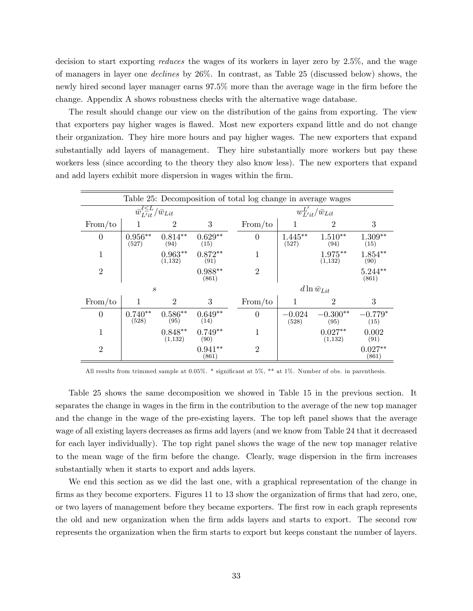decision to start exporting reduces the wages of its workers in layer zero by 2.5%, and the wage of managers in layer one declines by 26%. In contrast, as Table 25 (discussed below) shows, the newly hired second layer manager earns  $97.5\%$  more than the average wage in the firm before the change. Appendix A shows robustness checks with the alternative wage database.

The result should change our view on the distribution of the gains from exporting. The view that exporters pay higher wages is flawed. Most new exporters expand little and do not change their organization. They hire more hours and pay higher wages. The new exporters that expand substantially add layers of management. They hire substantially more workers but pay these workers less (since according to the theory they also know less). The new exporters that expand and add layers exhibit more dispersion in wages within the firm.

|                |                                                        |                             |                    | Table 25: Decomposition of total log change in average wages |                     |                                 |                    |
|----------------|--------------------------------------------------------|-----------------------------|--------------------|--------------------------------------------------------------|---------------------|---------------------------------|--------------------|
|                | $\overline{\bar{w}^{\ell\leq L}_{L'it}}/\bar{w}_{Lit}$ |                             |                    |                                                              |                     | $w_{L'it}^{L'} / \bar{w}_{Lit}$ |                    |
| From/to        |                                                        | $\overline{2}$              | 3                  | From/to                                                      |                     | $\mathfrak{D}$                  | 3                  |
| $\theta$       | $0.956**$<br>(527)                                     | $0.814**$<br>(94)           | $0.629**$<br>(15)  | $\theta$                                                     | $1.445***$<br>(527) | $1.510**$<br>(94)               | $1.309**$<br>(15)  |
| 1              |                                                        | $0.963**$<br>(1, 132)       | $0.872**$<br>(91)  | 1                                                            |                     | $1.975***$<br>(1,132)           | $1.854**$<br>(90)  |
| $\overline{2}$ |                                                        |                             | $0.988**$<br>(861) | $\overline{2}$                                               |                     |                                 | $5.244**$<br>(861) |
|                | $\mathcal{S}_{0}$                                      |                             |                    |                                                              |                     | $d\ln \bar{w}_{Lit}$            |                    |
| From/to        |                                                        | $\mathcal{D}_{\mathcal{L}}$ | 3                  | From/to                                                      |                     | $\mathfrak{D}$                  | 3                  |
| 0              | $0.740**$<br>(528)                                     | $0.586**$<br>(95)           | $0.649**$<br>(14)  | $\theta$                                                     | $-0.024\,$<br>(528) | $-0.300**$<br>(95)              | $-0.779*$<br>(15)  |
|                |                                                        | $0.848**$<br>(1,132)        | $0.749**$<br>(90)  | 1                                                            |                     | $0.027**$<br>(1,132)            | 0.002<br>(91)      |
| $\mathfrak{D}$ |                                                        |                             | $0.941**$<br>(861) | $\mathfrak{D}$                                               |                     |                                 | $0.027**$<br>(861) |

All results from trimmed sample at 0.05%. \* significant at 5%, \*\* at 1%. Number of obs. in parenthesis.

Table 25 shows the same decomposition we showed in Table 15 in the previous section. It separates the change in wages in the firm in the contribution to the average of the new top manager and the change in the wage of the pre-existing layers. The top left panel shows that the average wage of all existing layers decreases as firms add layers (and we know from Table 24 that it decreased for each layer individually). The top right panel shows the wage of the new top manager relative to the mean wage of the firm before the change. Clearly, wage dispersion in the firm increases substantially when it starts to export and adds layers.

We end this section as we did the last one, with a graphical representation of the change in firms as they become exporters. Figures 11 to 13 show the organization of firms that had zero, one, or two layers of management before they became exporters. The first row in each graph represents the old and new organization when the Örm adds layers and starts to export. The second row represents the organization when the firm starts to export but keeps constant the number of layers.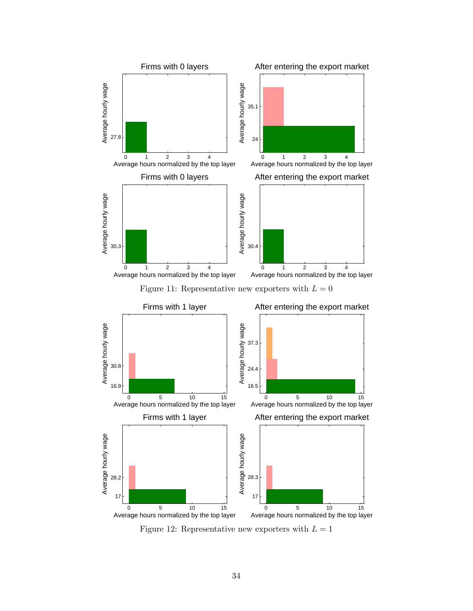

After entering the export market

0 5 10 15

Average hours normalized by the top layer



17

28.3

Average hourly wage

Average hourly wage

0 5 10 15

Average hours normalized by the top layer

Firms with 1 layer

17

28.2

Average hourly wage

Average hourly wage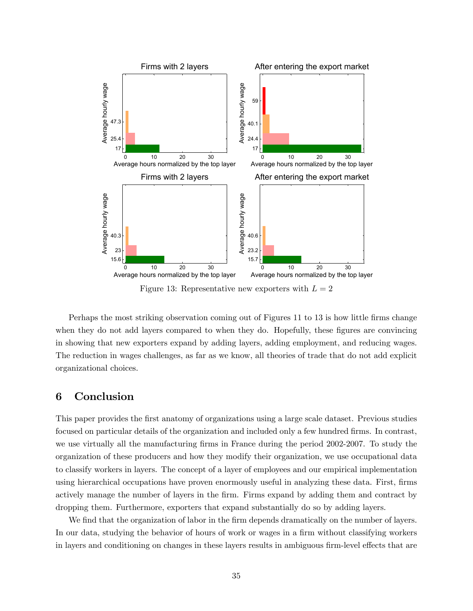

Figure 13: Representative new exporters with  $L = 2$ 

Perhaps the most striking observation coming out of Figures 11 to 13 is how little firms change when they do not add layers compared to when they do. Hopefully, these figures are convincing in showing that new exporters expand by adding layers, adding employment, and reducing wages. The reduction in wages challenges, as far as we know, all theories of trade that do not add explicit organizational choices.

## 6 Conclusion

This paper provides the first anatomy of organizations using a large scale dataset. Previous studies focused on particular details of the organization and included only a few hundred firms. In contrast, we use virtually all the manufacturing firms in France during the period 2002-2007. To study the organization of these producers and how they modify their organization, we use occupational data to classify workers in layers. The concept of a layer of employees and our empirical implementation using hierarchical occupations have proven enormously useful in analyzing these data. First, firms actively manage the number of layers in the firm. Firms expand by adding them and contract by dropping them. Furthermore, exporters that expand substantially do so by adding layers.

We find that the organization of labor in the firm depends dramatically on the number of layers. In our data, studying the behavior of hours of work or wages in a firm without classifying workers in layers and conditioning on changes in these layers results in ambiguous firm-level effects that are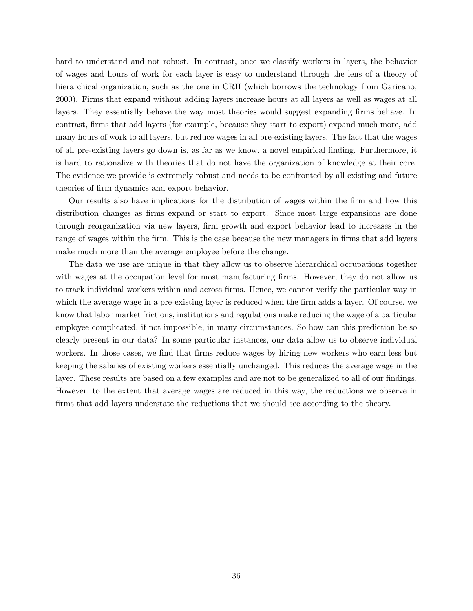hard to understand and not robust. In contrast, once we classify workers in layers, the behavior of wages and hours of work for each layer is easy to understand through the lens of a theory of hierarchical organization, such as the one in CRH (which borrows the technology from Garicano, 2000). Firms that expand without adding layers increase hours at all layers as well as wages at all layers. They essentially behave the way most theories would suggest expanding firms behave. In contrast, Örms that add layers (for example, because they start to export) expand much more, add many hours of work to all layers, but reduce wages in all pre-existing layers. The fact that the wages of all pre-existing layers go down is, as far as we know, a novel empirical Önding. Furthermore, it is hard to rationalize with theories that do not have the organization of knowledge at their core. The evidence we provide is extremely robust and needs to be confronted by all existing and future theories of firm dynamics and export behavior.

Our results also have implications for the distribution of wages within the Örm and how this distribution changes as firms expand or start to export. Since most large expansions are done through reorganization via new layers, Örm growth and export behavior lead to increases in the range of wages within the firm. This is the case because the new managers in firms that add layers make much more than the average employee before the change.

The data we use are unique in that they allow us to observe hierarchical occupations together with wages at the occupation level for most manufacturing firms. However, they do not allow us to track individual workers within and across Örms. Hence, we cannot verify the particular way in which the average wage in a pre-existing layer is reduced when the firm adds a layer. Of course, we know that labor market frictions, institutions and regulations make reducing the wage of a particular employee complicated, if not impossible, in many circumstances. So how can this prediction be so clearly present in our data? In some particular instances, our data allow us to observe individual workers. In those cases, we find that firms reduce wages by hiring new workers who earn less but keeping the salaries of existing workers essentially unchanged. This reduces the average wage in the layer. These results are based on a few examples and are not to be generalized to all of our findings. However, to the extent that average wages are reduced in this way, the reductions we observe in firms that add layers understate the reductions that we should see according to the theory.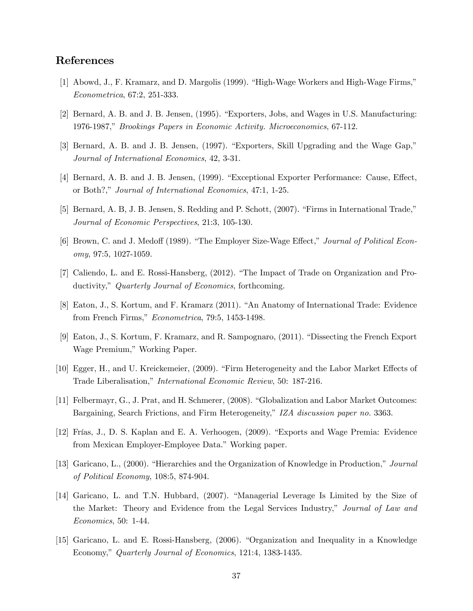## References

- [1] Abowd, J., F. Kramarz, and D. Margolis (1999). "High-Wage Workers and High-Wage Firms," Econometrica, 67:2, 251-333.
- [2] Bernard, A. B. and J. B. Jensen, (1995). "Exporters, Jobs, and Wages in U.S. Manufacturing: 1976-1987," Brookings Papers in Economic Activity. Microeconomics, 67-112.
- [3] Bernard, A. B. and J. B. Jensen,  $(1997)$ . "Exporters, Skill Upgrading and the Wage Gap," Journal of International Economics, 42, 3-31.
- [4] Bernard, A. B. and J. B. Jensen, (1999). "Exceptional Exporter Performance: Cause, Effect, or Both?," Journal of International Economics, 47:1, 1-25.
- $[5]$  Bernard, A. B, J. B. Jensen, S. Redding and P. Schott,  $(2007)$ . "Firms in International Trade," Journal of Economic Perspectives, 21:3, 105-130.
- [6] Brown, C. and J. Medoff (1989). "The Employer Size-Wage Effect," Journal of Political Economy, 97:5, 1027-1059.
- [7] Caliendo, L. and E. Rossi-Hansberg, (2012). "The Impact of Trade on Organization and Productivity," Quarterly Journal of Economics, forthcoming.
- [8] Eaton, J., S. Kortum, and F. Kramarz (2011). "An Anatomy of International Trade: Evidence from French Firms," Econometrica, 79:5, 1453-1498.
- [9] Eaton, J., S. Kortum, F. Kramarz, and R. Sampognaro, (2011). "Dissecting the French Export Wage Premium," Working Paper.
- [10] Egger, H., and U. Kreickemeier, (2009). "Firm Heterogeneity and the Labor Market Effects of Trade Liberalisation," International Economic Review, 50: 187-216.
- [11] Felbermayr, G., J. Prat, and H. Schmerer, (2008). "Globalization and Labor Market Outcomes: Bargaining, Search Frictions, and Firm Heterogeneity," IZA discussion paper no. 3363.
- [12] Frías, J., D. S. Kaplan and E. A. Verhoogen, (2009). "Exports and Wage Premia: Evidence from Mexican Employer-Employee Data." Working paper.
- [13] Garicano, L., (2000). "Hierarchies and the Organization of Knowledge in Production," Journal of Political Economy, 108:5, 874-904.
- [14] Garicano, L. and T.N. Hubbard, (2007). "Managerial Leverage Is Limited by the Size of the Market: Theory and Evidence from the Legal Services Industry," Journal of Law and Economics, 50: 1-44.
- [15] Garicano, L. and E. Rossi-Hansberg, (2006). "Organization and Inequality in a Knowledge Economy," Quarterly Journal of Economics, 121:4, 1383-1435.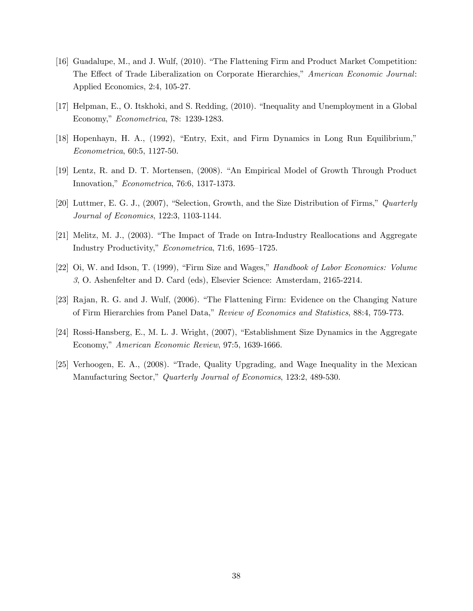- [16] Guadalupe, M., and J. Wulf, (2010). "The Flattening Firm and Product Market Competition: The Effect of Trade Liberalization on Corporate Hierarchies," American Economic Journal: Applied Economics, 2:4, 105-27.
- [17] Helpman, E., O. Itskhoki, and S. Redding, (2010). "Inequality and Unemployment in a Global Economy," Econometrica, 78: 1239-1283.
- [18] Hopenhayn, H. A., (1992), "Entry, Exit, and Firm Dynamics in Long Run Equilibrium," Econometrica, 60:5, 1127-50.
- [19] Lentz, R. and D. T. Mortensen, (2008). "An Empirical Model of Growth Through Product Innovation," Econometrica, 76:6, 1317-1373.
- [20] Luttmer, E. G. J., (2007), "Selection, Growth, and the Size Distribution of Firms," Quarterly Journal of Economics, 122:3, 1103-1144.
- [21] Melitz, M. J., (2003). "The Impact of Trade on Intra-Industry Reallocations and Aggregate Industry Productivity," Econometrica, 71:6, 1695-1725.
- [22] Oi, W. and Idson, T. (1999), "Firm Size and Wages," Handbook of Labor Economics: Volume 3, O. Ashenfelter and D. Card (eds), Elsevier Science: Amsterdam, 2165-2214.
- [23] Rajan, R. G. and J. Wulf, (2006). "The Flattening Firm: Evidence on the Changing Nature of Firm Hierarchies from Panel Data," Review of Economics and Statistics, 88:4, 759-773.
- [24] Rossi-Hansberg, E., M. L. J. Wright, (2007), "Establishment Size Dynamics in the Aggregate Economy," American Economic Review, 97:5, 1639-1666.
- [25] Verhoogen, E. A., (2008). "Trade, Quality Upgrading, and Wage Inequality in the Mexican Manufacturing Sector," Quarterly Journal of Economics, 123:2, 489-530.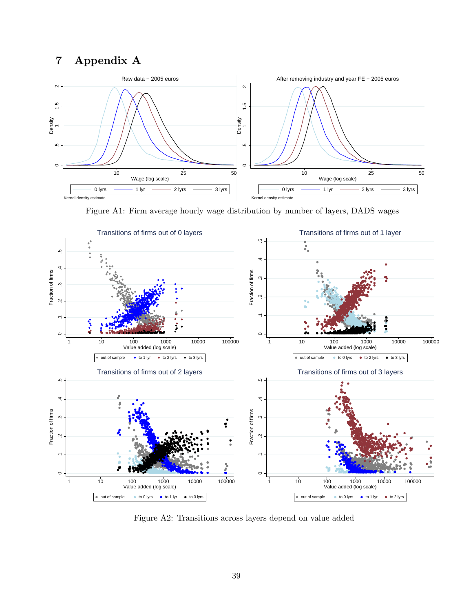# 7 Appendix A



Figure A1: Firm average hourly wage distribution by number of layers, DADS wages



Figure A2: Transitions across layers depend on value added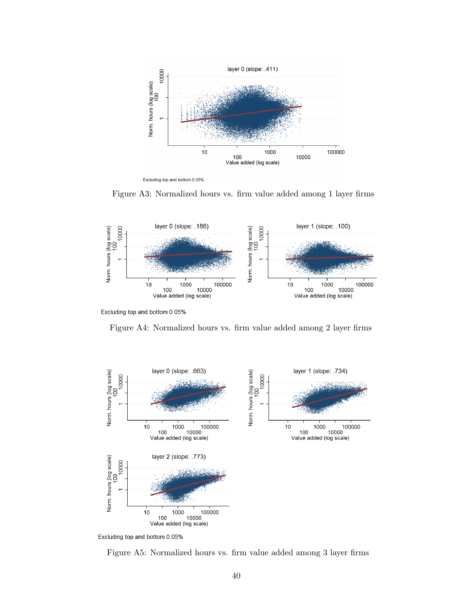

Excluding top and bottom 0.05%

Figure A3: Normalized hours vs. firm value added among 1 layer firms



Excluding top and bottom 0.05%

Figure A4: Normalized hours vs. firm value added among 2 layer firms



Excluding top and bottom 0.05%

Figure A5: Normalized hours vs. firm value added among 3 layer firms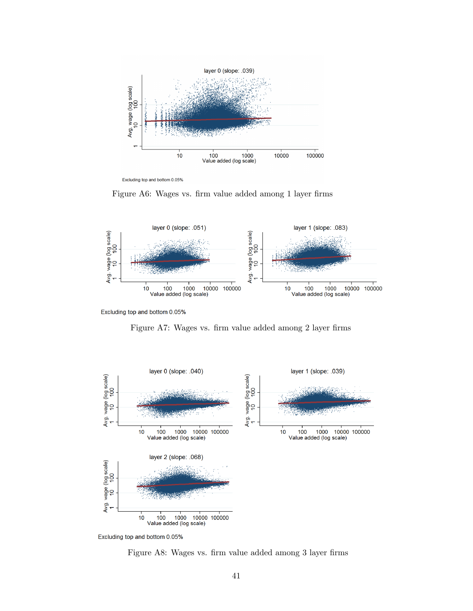

Excluding top and bottom 0.05%

Figure A6: Wages vs. firm value added among 1 layer firms



Excluding top and bottom 0.05%

Figure A7: Wages vs. firm value added among 2 layer firms



Excluding top and bottom 0.05%

Figure A8: Wages vs. firm value added among 3 layer firms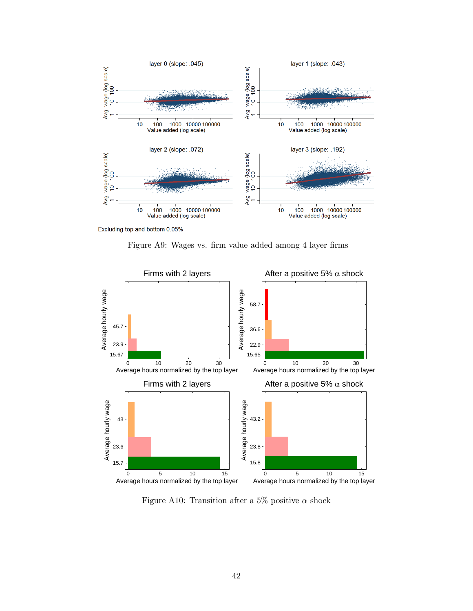

Excluding top and bottom 0.05%

Figure A9: Wages vs. firm value added among 4 layer firms



Figure A10: Transition after a 5% positive  $\alpha$  shock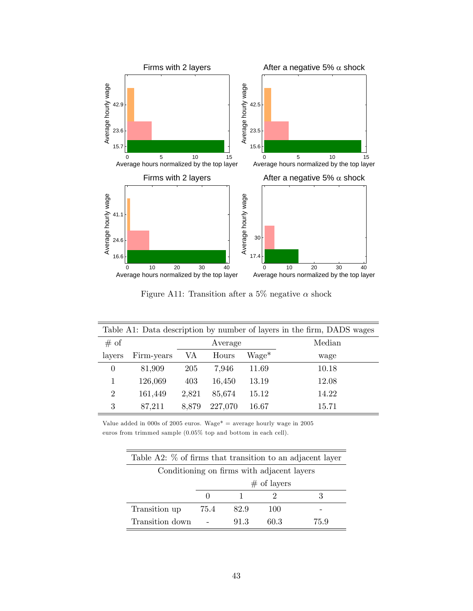

Figure A11: Transition after a 5% negative  $\alpha$  shock

|                | Table A1: Data description by number of layers in the firm, DADS wages |       |         |         |        |  |  |  |  |  |  |  |
|----------------|------------------------------------------------------------------------|-------|---------|---------|--------|--|--|--|--|--|--|--|
| # of           |                                                                        |       | Average |         | Median |  |  |  |  |  |  |  |
| layers         | Firm-years                                                             | VA    | Hours   | $Wage*$ | wage   |  |  |  |  |  |  |  |
| $\theta$       | 81,909                                                                 | 205   | 7,946   | 11.69   | 10.18  |  |  |  |  |  |  |  |
| 1              | 126,069                                                                | 403   | 16,450  | 13.19   | 12.08  |  |  |  |  |  |  |  |
| $\overline{2}$ | 161,449                                                                | 2,821 | 85,674  | 15.12   | 14.22  |  |  |  |  |  |  |  |
| 3              | 87,211                                                                 | 8,879 | 227,070 | 16.67   | 15.71  |  |  |  |  |  |  |  |

Value added in 000s of 2005 euros. Wage<sup>\*</sup> = average hourly wage in 2005 euros from trimmed sample (0.05% top and bottom in each cell).

|                                            | Table A2: $\%$ of firms that transition to an adjacent layer |  |  |  |  |  |  |  |  |  |
|--------------------------------------------|--------------------------------------------------------------|--|--|--|--|--|--|--|--|--|
| Conditioning on firms with adjacent layers |                                                              |  |  |  |  |  |  |  |  |  |
| $#$ of layers                              |                                                              |  |  |  |  |  |  |  |  |  |
|                                            | $\cup$                                                       |  |  |  |  |  |  |  |  |  |
| Transition up<br>82.9<br>75.4<br>100       |                                                              |  |  |  |  |  |  |  |  |  |
| Transition down<br>91.3<br>60 3<br>75 9    |                                                              |  |  |  |  |  |  |  |  |  |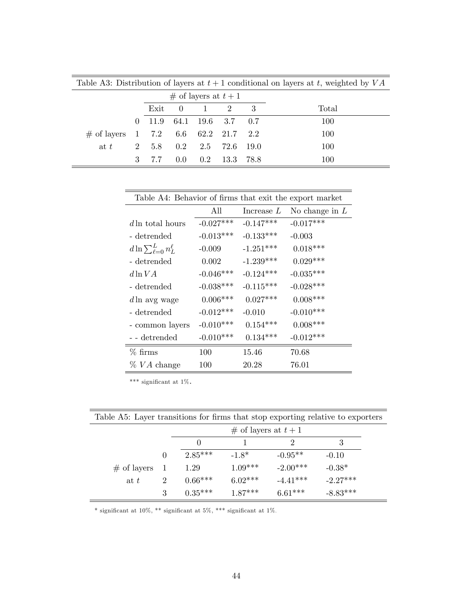|                                        |    |                            |         |                    |        | Table A3: Distribution of layers at $t+1$ conditional on layers at t, weighted by $VA$ |
|----------------------------------------|----|----------------------------|---------|--------------------|--------|----------------------------------------------------------------------------------------|
|                                        |    | # of layers at $t+1$       |         |                    |        |                                                                                        |
|                                        |    | Exit                       |         | $0 \t 1 \t 2$      | -3     | Total                                                                                  |
|                                        |    | $0$ 11.9 64.1 19.6 3.7 0.7 |         |                    |        | 100                                                                                    |
| $\#$ of layers 1 7.2 6.6 62.2 21.7 2.2 |    |                            |         |                    |        | 100                                                                                    |
| at t                                   |    | 2 5.8                      |         | $0.2$ $2.5$ $72.6$ | - 19.0 | 100                                                                                    |
|                                        | 3. | 7.7                        | $0.0^-$ | $0.2 \quad 13.3$   | -78.8  | 100                                                                                    |

| Table A4: Behavior of firms that exit the export market |             |              |                  |
|---------------------------------------------------------|-------------|--------------|------------------|
|                                                         | All         | Increase $L$ | No change in $L$ |
| $d \ln$ total hours                                     | $-0.027***$ | $-0.147***$  | $-0.017***$      |
| - detrended                                             | $-0.013***$ | $-0.133***$  | $-0.003$         |
| $d\ln\sum_{\ell=0}^L n_L^{\ell}$                        | $-0.009$    | $-1.251***$  | $0.018***$       |
| - detrended                                             | 0.002       | $-1.239***$  | $0.029***$       |
| $d \ln VA$                                              | $-0.046***$ | $-0.124***$  | $-0.035***$      |
| - detrended                                             | $-0.038***$ | $-0.115***$  | $-0.028***$      |
| $d\ln$ avg wage                                         | $0.006***$  | $0.027***$   | $0.008***$       |
| - detrended                                             | $-0.012***$ | $-0.010$     | $-0.010***$      |
| - common layers                                         | $-0.010***$ | $0.154***$   | $0.008***$       |
| - - detrended                                           | $-0.010***$ | $0.134***$   | $-0.012***$      |
| $%$ firms                                               | 100         | 15.46        | 70.68            |
| $\%$ VA change                                          | 100         | 20.28        | 76.01            |

 $^{***}$  significant at  $1\% .$ 

| Table A5: Layer transitions for firms that stop exporting relative to exporters |          |                         |           |            |            |  |  |  |  |  |
|---------------------------------------------------------------------------------|----------|-------------------------|-----------|------------|------------|--|--|--|--|--|
|                                                                                 |          | $\#$ of layers at $t+1$ |           |            |            |  |  |  |  |  |
|                                                                                 |          |                         |           |            |            |  |  |  |  |  |
|                                                                                 | $\theta$ | $2.85***$               | $-1.8*$   | $-0.95**$  | $-0.10$    |  |  |  |  |  |
| $#$ of layers                                                                   |          | 1.29                    | $1.09***$ | $-2.00***$ | $-0.38*$   |  |  |  |  |  |
| at t                                                                            |          | $0.66***$               | $6.02***$ | $-4.41***$ | $-2.27***$ |  |  |  |  |  |
|                                                                                 | 3        | $0.35***$               | $1.87***$ | $6.61***$  | $-8.83***$ |  |  |  |  |  |

 $^*$  significant at 10%,  $^{**}$  significant at 1%.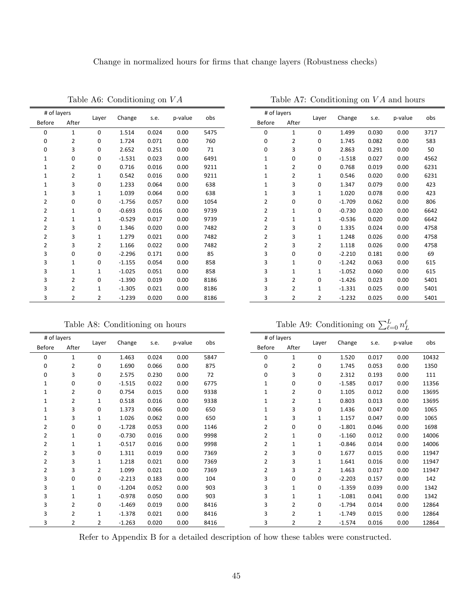Before After

| # of layers   |                |                |          |       |         |      |
|---------------|----------------|----------------|----------|-------|---------|------|
| <b>Before</b> | After          | Layer          | Change   | s.e.  | p-value | obs  |
| 0             | $\mathbf{1}$   | 0              | 1.514    | 0.024 | 0.00    | 5475 |
| 0             | $\overline{2}$ | $\Omega$       | 1.724    | 0.071 | 0.00    | 760  |
| 0             | 3              | $\Omega$       | 2.652    | 0.251 | 0.00    | 71   |
| 1             | $\Omega$       | $\Omega$       | $-1.531$ | 0.023 | 0.00    | 6491 |
| 1             | $\overline{2}$ | $\Omega$       | 0.716    | 0.016 | 0.00    | 9211 |
| $\mathbf{1}$  | $\overline{2}$ | $\mathbf{1}$   | 0.542    | 0.016 | 0.00    | 9211 |
| 1             | 3              | 0              | 1.233    | 0.064 | 0.00    | 638  |
| $\mathbf{1}$  | 3              | $\mathbf{1}$   | 1.039    | 0.064 | 0.00    | 638  |
| 2             | $\Omega$       | $\Omega$       | $-1.756$ | 0.057 | 0.00    | 1054 |
| 2             | $\mathbf{1}$   | 0              | $-0.693$ | 0.016 | 0.00    | 9739 |
| 2             | $\mathbf{1}$   | $\mathbf{1}$   | $-0.529$ | 0.017 | 0.00    | 9739 |
| 2             | 3              | 0              | 1.346    | 0.020 | 0.00    | 7482 |
| 2             | 3              | $\mathbf{1}$   | 1.279    | 0.021 | 0.00    | 7482 |
| 2             | 3              | $\overline{2}$ | 1.166    | 0.022 | 0.00    | 7482 |
| 3             | $\Omega$       | 0              | $-2.296$ | 0.171 | 0.00    | 85   |
| 3             | $\mathbf{1}$   | $\Omega$       | $-1.155$ | 0.054 | 0.00    | 858  |
| 3             | $\mathbf{1}$   | $\mathbf{1}$   | $-1.025$ | 0.051 | 0.00    | 858  |
| 3             | $\overline{2}$ | 0              | $-1.390$ | 0.019 | 0.00    | 8186 |
| 3             | $\overline{2}$ | $\mathbf{1}$   | $-1.305$ | 0.021 | 0.00    | 8186 |
| 3             | $\overline{2}$ | $\overline{2}$ | $-1.239$ | 0.020 | 0.00    | 8186 |

 0 0 ‐2.210 0.181 0.00 69 1 0 ‐1.242 0.063 0.00 615 1 1 ‐1.052 0.060 0.00 615 2 0 ‐1.426 0.023 0.00 5401 2 1 ‐1.331 0.025 0.00 5401 2 2 ‐1.232 0.025 0.00 5401

| # of layers    |                |              |          |       |         | obs  | # of           |
|----------------|----------------|--------------|----------|-------|---------|------|----------------|
| Before         | After          | Layer        | Change   | s.e.  | p-value |      | Before         |
| 0              | $\mathbf{1}$   | $\Omega$     | 1.463    | 0.024 | 0.00    | 5847 | 0              |
| 0              | $\overline{2}$ | 0            | 1.690    | 0.066 | 0.00    | 875  | 0              |
| 0              | 3              | 0            | 2.575    | 0.230 | 0.00    | 72   | 0              |
| $\mathbf{1}$   | $\Omega$       | 0            | $-1.515$ | 0.022 | 0.00    | 6775 | $\mathbf{1}$   |
| $\mathbf{1}$   | 2              | 0            | 0.754    | 0.015 | 0.00    | 9338 | 1              |
| 1              | $\overline{2}$ | 1            | 0.518    | 0.016 | 0.00    | 9338 | 1              |
| $\mathbf{1}$   | 3              | 0            | 1.373    | 0.066 | 0.00    | 650  | 1              |
| 1              | 3              | $\mathbf{1}$ | 1.026    | 0.062 | 0.00    | 650  | 1              |
| 2              | 0              | 0            | $-1.728$ | 0.053 | 0.00    | 1146 | $\overline{2}$ |
| $\overline{2}$ | $\mathbf{1}$   | 0            | $-0.730$ | 0.016 | 0.00    | 9998 | $\overline{2}$ |
| $\overline{2}$ | $\mathbf{1}$   | $\mathbf{1}$ | $-0.517$ | 0.016 | 0.00    | 9998 | $\overline{2}$ |
| 2              | 3              | 0            | 1.311    | 0.019 | 0.00    | 7369 | $\overline{2}$ |
| 2              | 3              | $\mathbf{1}$ | 1.218    | 0.021 | 0.00    | 7369 | $\overline{2}$ |
| 2              | 3              | 2            | 1.099    | 0.021 | 0.00    | 7369 | $\overline{2}$ |
| 3              | $\Omega$       | 0            | $-2.213$ | 0.183 | 0.00    | 104  | 3              |
| 3              | $\mathbf{1}$   | 0            | $-1.204$ | 0.052 | 0.00    | 903  | 3              |
| 3              | $\mathbf{1}$   | 1            | $-0.978$ | 0.050 | 0.00    | 903  | 3              |
| 3              | $\overline{2}$ | 0            | $-1.469$ | 0.019 | 0.00    | 8416 | 3              |
| 3              | $\overline{2}$ | $\mathbf{1}$ | $-1.378$ | 0.021 | 0.00    | 8416 | 3              |
|                |                |              |          |       |         |      |                |

Table A6: Conditioning on  $VA$  Table A7: Conditioning on  $VA$  and hours

# of layers Layer Change s.e. <sup>p</sup>‐value obs

 1 0 1.499 0.030 0.00 3717 2 0 1.745 0.082 0.00 583 3 0 2.863 0.291 0.00 50 0 0 ‐1.518 0.027 0.00 4562 2 0 0.768 0.019 0.00 6231 2 1 0.546 0.020 0.00 6231 3 0 1.347 0.079 0.00 423 3 1 1.020 0.078 0.00 423 0 0 ‐1.709 0.062 0.00 806 1 0 ‐0.730 0.020 0.00 6642 1 1 ‐0.536 0.020 0.00 6642 3 0 1.335 0.024 0.00 4758 3 1 1.248 0.026 0.00 4758 3 2 1.118 0.026 0.00 4758

Table A8: Conditioning on hours Table A9: Conditioning on  $\sum_{\ell=0}^{L} n_{L}^{\ell}$ 

| # of layers |                |       |          |       |         |      |              | # of layers  |       |          | s.e.  |         |       |
|-------------|----------------|-------|----------|-------|---------|------|--------------|--------------|-------|----------|-------|---------|-------|
| fore        | After          | Layer | Change   | s.e.  | p-value | obs  | Before       | After        | Layer | Change   |       | p-value | obs   |
| n           | $\mathbf{1}$   | 0     | 1.463    | 0.024 | 0.00    | 5847 | 0            | 1            | 0     | 1.520    | 0.017 | 0.00    | 10432 |
| 0           | 2              | 0     | 1.690    | 0.066 | 0.00    | 875  | 0            | 2            | 0     | 1.745    | 0.053 | 0.00    | 1350  |
| 0           | 3              | 0     | 2.575    | 0.230 | 0.00    | 72   | 0            | 3            | 0     | 2.312    | 0.193 | 0.00    | 111   |
|             | $\mathbf 0$    | 0     | $-1.515$ | 0.022 | 0.00    | 6775 |              | 0            | 0     | $-1.585$ | 0.017 | 0.00    | 11356 |
|             | 2              | 0     | 0.754    | 0.015 | 0.00    | 9338 | $\mathbf{1}$ | 2            | 0     | 1.105    | 0.012 | 0.00    | 13695 |
|             | 2              | 1     | 0.518    | 0.016 | 0.00    | 9338 |              | 2            | 1     | 0.803    | 0.013 | 0.00    | 13695 |
|             | 3              | 0     | 1.373    | 0.066 | 0.00    | 650  |              | 3            | 0     | 1.436    | 0.047 | 0.00    | 1065  |
|             | 3              | 1     | 1.026    | 0.062 | 0.00    | 650  |              | 3            | 1     | 1.157    | 0.047 | 0.00    | 1065  |
| 2           | 0              | 0     | $-1.728$ | 0.053 | 0.00    | 1146 | 2            | 0            | 0     | $-1.801$ | 0.046 | 0.00    | 1698  |
|             | 1              | 0     | $-0.730$ | 0.016 | 0.00    | 9998 | 2            | 1            | 0     | $-1.160$ | 0.012 | 0.00    | 14006 |
| 2           | 1              | 1     | $-0.517$ | 0.016 | 0.00    | 9998 | 2            | $\mathbf{1}$ | 1     | $-0.846$ | 0.014 | 0.00    | 14006 |
|             | 3              | 0     | 1.311    | 0.019 | 0.00    | 7369 | 2            | 3            | 0     | 1.677    | 0.015 | 0.00    | 11947 |
|             | 3              | 1     | 1.218    | 0.021 | 0.00    | 7369 | 2            | 3            | 1     | 1.641    | 0.016 | 0.00    | 11947 |
|             | 3              | 2     | 1.099    | 0.021 | 0.00    | 7369 | 2            | 3            | 2     | 1.463    | 0.017 | 0.00    | 11947 |
| 3           | $\mathbf 0$    | 0     | $-2.213$ | 0.183 | 0.00    | 104  | 3            | 0            | 0     | $-2.203$ | 0.157 | 0.00    | 142   |
| 3           | 1              | 0     | $-1.204$ | 0.052 | 0.00    | 903  | 3            | 1            | 0     | $-1.359$ | 0.039 | 0.00    | 1342  |
| 3           | 1              | 1     | $-0.978$ | 0.050 | 0.00    | 903  | 3            | 1            | 1     | $-1.081$ | 0.041 | 0.00    | 1342  |
|             | 2              | 0     | $-1.469$ | 0.019 | 0.00    | 8416 | 3            | 2            | 0     | $-1.794$ | 0.014 | 0.00    | 12864 |
| 3           | $\overline{2}$ | 1     | $-1.378$ | 0.021 | 0.00    | 8416 | 3            | 2            | 1     | $-1.749$ | 0.015 | 0.00    | 12864 |
| 3           | 2              | 2     | $-1.263$ | 0.020 | 0.00    | 8416 | 3            | 2            | 2     | $-1.574$ | 0.016 | 0.00    | 12864 |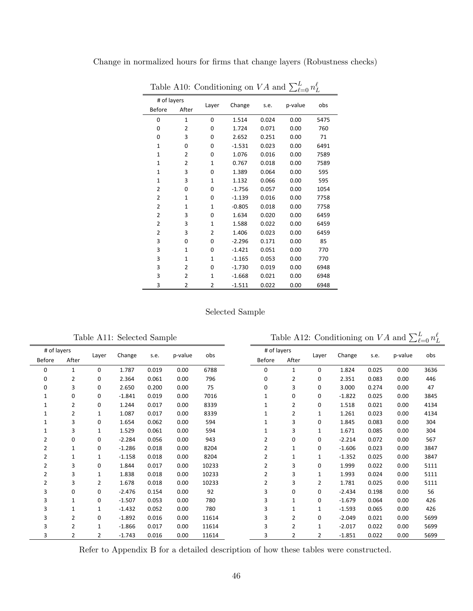Change in normalized hours for firms that change layers (Robustness checks)

| # of layers    |                |                |          |       |         |      |
|----------------|----------------|----------------|----------|-------|---------|------|
| <b>Before</b>  | After          | Layer          | Change   | s.e.  | p-value | obs  |
| 0              | 1              | 0              | 1.514    | 0.024 | 0.00    | 5475 |
| 0              | 2              | 0              | 1.724    | 0.071 | 0.00    | 760  |
| 0              | 3              | 0              | 2.652    | 0.251 | 0.00    | 71   |
| $\mathbf{1}$   | 0              | 0              | $-1.531$ | 0.023 | 0.00    | 6491 |
| $\mathbf{1}$   | $\overline{2}$ | 0              | 1.076    | 0.016 | 0.00    | 7589 |
| $\mathbf{1}$   | 2              | $\mathbf{1}$   | 0.767    | 0.018 | 0.00    | 7589 |
| $\mathbf{1}$   | 3              | 0              | 1.389    | 0.064 | 0.00    | 595  |
| 1              | 3              | $\mathbf{1}$   | 1.132    | 0.066 | 0.00    | 595  |
| 2              | 0              | 0              | $-1.756$ | 0.057 | 0.00    | 1054 |
| $\overline{2}$ | $\mathbf{1}$   | 0              | $-1.139$ | 0.016 | 0.00    | 7758 |
| $\overline{2}$ | $\mathbf{1}$   | $\mathbf{1}$   | $-0.805$ | 0.018 | 0.00    | 7758 |
| $\overline{2}$ | 3              | 0              | 1.634    | 0.020 | 0.00    | 6459 |
| $\overline{2}$ | 3              | 1              | 1.588    | 0.022 | 0.00    | 6459 |
| $\overline{2}$ | 3              | $\overline{2}$ | 1.406    | 0.023 | 0.00    | 6459 |
| 3              | 0              | 0              | $-2.296$ | 0.171 | 0.00    | 85   |
| 3              | $\mathbf{1}$   | 0              | $-1.421$ | 0.051 | 0.00    | 770  |
| 3              | $\mathbf{1}$   | $\mathbf{1}$   | $-1.165$ | 0.053 | 0.00    | 770  |
| 3              | 2              | 0              | $-1.730$ | 0.019 | 0.00    | 6948 |
| 3              | 2              | $\mathbf{1}$   | $-1.668$ | 0.021 | 0.00    | 6948 |
| 3              | $\overline{2}$ | $\overline{2}$ | $-1.511$ | 0.022 | 0.00    | 6948 |

Table A10: Conditioning on VA and  $\sum_{\ell=0}^{L} n_L^{\ell}$ 

Selected Sample

Table A11: Selected Sample Table A12: Conditioning on VA and  $\sum_{\ell=0}^{L} n_L^{\ell}$ 

| # of layers |                |              | Change   |       | p-value | obs   | # of layers    |                |                | Change   |       | p-value | obs  |
|-------------|----------------|--------------|----------|-------|---------|-------|----------------|----------------|----------------|----------|-------|---------|------|
| Before      | After          | Layer        |          | s.e.  |         |       | Before         | After          | Layer          |          | s.e.  |         |      |
| 0           | $\mathbf{1}$   | 0            | 1.787    | 0.019 | 0.00    | 6788  | 0              | $\mathbf{1}$   | 0              | 1.824    | 0.025 | 0.00    | 3636 |
| 0           | 2              | 0            | 2.364    | 0.061 | 0.00    | 796   | $\mathbf 0$    | $\overline{2}$ | $\mathbf 0$    | 2.351    | 0.083 | 0.00    | 446  |
| $\Omega$    | 3              | 0            | 2.650    | 0.200 | 0.00    | 75    | $\Omega$       | 3              | 0              | 3.000    | 0.274 | 0.00    | 47   |
|             | 0              | 0            | $-1.841$ | 0.019 | 0.00    | 7016  | $\mathbf{1}$   | 0              | 0              | $-1.822$ | 0.025 | 0.00    | 3845 |
|             | 2              | 0            | 1.244    | 0.017 | 0.00    | 8339  | $\mathbf{1}$   | 2              | 0              | 1.518    | 0.021 | 0.00    | 4134 |
|             | $\overline{2}$ | 1            | 1.087    | 0.017 | 0.00    | 8339  | $\mathbf{1}$   | $\overline{2}$ | $\mathbf{1}$   | 1.261    | 0.023 | 0.00    | 4134 |
|             | 3              | 0            | 1.654    | 0.062 | 0.00    | 594   |                | 3              | 0              | 1.845    | 0.083 | 0.00    | 304  |
|             | 3              | 1            | 1.529    | 0.061 | 0.00    | 594   | 1              | 3              | $\mathbf{1}$   | 1.671    | 0.085 | 0.00    | 304  |
| 2           | 0              | 0            | $-2.284$ | 0.056 | 0.00    | 943   | $\overline{2}$ | 0              | 0              | $-2.214$ | 0.072 | 0.00    | 567  |
| 2           | $\mathbf{1}$   | 0            | $-1.286$ | 0.018 | 0.00    | 8204  | 2              | $\mathbf{1}$   | 0              | $-1.606$ | 0.023 | 0.00    | 3847 |
| 2           | 1              | 1            | $-1.158$ | 0.018 | 0.00    | 8204  | 2              | 1              | 1              | $-1.352$ | 0.025 | 0.00    | 3847 |
| 2           | 3              | $\mathbf 0$  | 1.844    | 0.017 | 0.00    | 10233 | 2              | 3              | 0              | 1.999    | 0.022 | 0.00    | 5111 |
| 2           | 3              | 1            | 1.838    | 0.018 | 0.00    | 10233 | 2              | 3              | 1              | 1.993    | 0.024 | 0.00    | 5111 |
| 2           | 3              | 2            | 1.678    | 0.018 | 0.00    | 10233 | 2              | 3              | 2              | 1.781    | 0.025 | 0.00    | 5111 |
| 3           | 0              | 0            | $-2.476$ | 0.154 | 0.00    | 92    | 3              | 0              | 0              | $-2.434$ | 0.198 | 0.00    | 56   |
| 3           | 1              | 0            | $-1.507$ | 0.053 | 0.00    | 780   | 3              | $\mathbf{1}$   | 0              | $-1.679$ | 0.064 | 0.00    | 426  |
| 3           | 1              | $\mathbf{1}$ | $-1.432$ | 0.052 | 0.00    | 780   | 3              | $\mathbf{1}$   | $\mathbf{1}$   | $-1.593$ | 0.065 | 0.00    | 426  |
| 3           | $\overline{2}$ | 0            | $-1.892$ | 0.016 | 0.00    | 11614 | 3              | $\overline{2}$ | 0              | $-2.049$ | 0.021 | 0.00    | 5699 |
| 3           | $\overline{2}$ | 1            | $-1.866$ | 0.017 | 0.00    | 11614 | 3              | $\overline{2}$ | $\mathbf{1}$   | $-2.017$ | 0.022 | 0.00    | 5699 |
| 3           | $\overline{2}$ | 2            | $-1.743$ | 0.016 | 0.00    | 11614 | 3              | 2              | $\overline{2}$ | $-1.851$ | 0.022 | 0.00    | 5699 |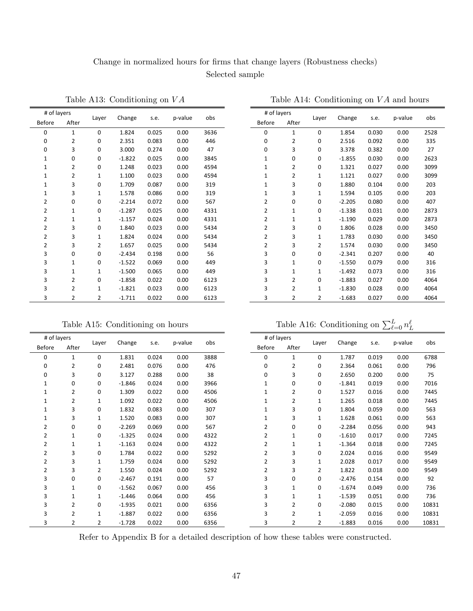# Change in normalized hours for firms that change layers (Robustness checks) Selected sample

|               | # of layers  |              |          |       |         |      |
|---------------|--------------|--------------|----------|-------|---------|------|
| <b>Before</b> | After        | Layer        | Change   | s.e.  | p-value | obs  |
| 0             | $\mathbf{1}$ | 0            | 1.824    | 0.025 | 0.00    | 3636 |
| 0             | 2            | 0            | 2.351    | 0.083 | 0.00    | 446  |
| 0             | 3            | 0            | 3.000    | 0.274 | 0.00    | 47   |
| $\mathbf{1}$  | 0            | 0            | $-1.822$ | 0.025 | 0.00    | 3845 |
| 1             | 2            | 0            | 1.248    | 0.023 | 0.00    | 4594 |
| $\mathbf{1}$  | 2            | $\mathbf{1}$ | 1.100    | 0.023 | 0.00    | 4594 |
| $\mathbf{1}$  | 3            | 0            | 1.709    | 0.087 | 0.00    | 319  |
| 1             | 3            | 1            | 1.578    | 0.086 | 0.00    | 319  |
| 2             | 0            | 0            | $-2.214$ | 0.072 | 0.00    | 567  |
| 2             | $\mathbf{1}$ | 0            | $-1.287$ | 0.025 | 0.00    | 4331 |
| 2             | $\mathbf{1}$ | 1            | $-1.157$ | 0.024 | 0.00    | 4331 |
| 2             | 3            | 0            | 1.840    | 0.023 | 0.00    | 5434 |
| 2             | 3            | 1            | 1.824    | 0.024 | 0.00    | 5434 |
| 2             | 3            | 2            | 1.657    | 0.025 | 0.00    | 5434 |
| 3             | 0            | 0            | $-2.434$ | 0.198 | 0.00    | 56   |
| 3             | $\mathbf{1}$ | 0            | $-1.522$ | 0.069 | 0.00    | 449  |
| 3             | $\mathbf{1}$ | 1            | $-1.500$ | 0.065 | 0.00    | 449  |
| 3             | 2            | 0            | $-1.858$ | 0.022 | 0.00    | 6123 |
| 3             | 2            | 1            | $-1.821$ | 0.023 | 0.00    | 6123 |
| 3             | 2            | 2            | $-1.711$ | 0.022 | 0.00    | 6123 |

Table A13: Conditioning on  $VA$  Table A14: Conditioning on  $VA$  and hours

# of layers Layer Change s.e. <sup>p</sup>‐value obs Before After 1 0 1.854 0.030 0.00 2528 2 0 2.516 0.092 0.00 335 3 0 3.378 0.382 0.00 27 0 0 ‐1.855 0.030 0.00 2623 2 0 1.321 0.027 0.00 3099 2 1 1.121 0.027 0.00 3099 3 0 1.880 0.104 0.00 203 3 1 1.594 0.105 0.00 203 0 0 ‐2.205 0.080 0.00 407 1 0 ‐1.338 0.031 0.00 2873 1 1 ‐1.190 0.029 0.00 2873 3 0 1.806 0.028 0.00 3450 3 1 1.783 0.030 0.00 3450 3 2 1.574 0.030 0.00 3450 0 0 ‐2.341 0.207 0.00 40 1 0 ‐1.550 0.079 0.00 316 1 1 ‐1.492 0.073 0.00 316 2 0 ‐1.883 0.027 0.00 4064 2 1 ‐1.830 0.028 0.00 4064 2 2 ‐1.683 0.027 0.00 4064

| # of layers   |                |              |          |       |         |      | #o     |
|---------------|----------------|--------------|----------|-------|---------|------|--------|
| <b>Before</b> | After          | Layer        | Change   | s.e.  | p-value | obs  | Before |
| $\mathbf 0$   | $\mathbf{1}$   | 0            | 1.831    | 0.024 | 0.00    | 3888 | 0      |
| 0             | $\overline{2}$ | 0            | 2.481    | 0.076 | 0.00    | 476  | 0      |
| 0             | 3              | 0            | 3.127    | 0.288 | 0.00    | 38   | 0      |
| $\mathbf{1}$  | 0              | 0            | $-1.846$ | 0.024 | 0.00    | 3966 | 1      |
| 1             | $\overline{2}$ | 0            | 1.309    | 0.022 | 0.00    | 4506 | 1      |
| 1             | 2              | 1            | 1.092    | 0.022 | 0.00    | 4506 | 1      |
| $\mathbf{1}$  | 3              | 0            | 1.832    | 0.083 | 0.00    | 307  | 1      |
| 1             | 3              | $\mathbf{1}$ | 1.520    | 0.083 | 0.00    | 307  | 1      |
| 2             | 0              | 0            | $-2.269$ | 0.069 | 0.00    | 567  | 2      |
| 2             | $\mathbf{1}$   | 0            | $-1.325$ | 0.024 | 0.00    | 4322 | 2      |
| 2             | 1              | 1            | $-1.163$ | 0.024 | 0.00    | 4322 | 2      |
| 2             | 3              | 0            | 1.784    | 0.022 | 0.00    | 5292 | 2      |
| 2             | 3              | 1            | 1.759    | 0.024 | 0.00    | 5292 | 2      |
| 2             | 3              | 2            | 1.550    | 0.024 | 0.00    | 5292 | 2      |
| 3             | 0              | 0            | $-2.467$ | 0.191 | 0.00    | 57   | 3      |
| 3             | $\mathbf{1}$   | 0            | $-1.562$ | 0.067 | 0.00    | 456  | 3      |
| 3             | 1              | 1            | $-1.446$ | 0.064 | 0.00    | 456  | 3      |
| 3             | $\overline{2}$ | 0            | $-1.935$ | 0.021 | 0.00    | 6356 | 3      |
| 3             | 2              | 1            | $-1.887$ | 0.022 | 0.00    | 6356 | 3      |
| 3             | 2              | 2            | $-1.728$ | 0.022 | 0.00    | 6356 | 3      |

Table A15: Conditioning on hours Table A16: Conditioning on  $\sum_{\ell=0}^{L} n_L^{\ell}$ 

| # of layers    |                |                |          |       |         | obs   |
|----------------|----------------|----------------|----------|-------|---------|-------|
| <b>Before</b>  | After          | Layer          | Change   | s.e.  | p-value |       |
| 0              | 1              | 0              | 1.787    | 0.019 | 0.00    | 6788  |
| 0              | $\overline{2}$ | 0              | 2.364    | 0.061 | 0.00    | 796   |
| 0              | 3              | 0              | 2.650    | 0.200 | 0.00    | 75    |
| 1              | 0              | 0              | $-1.841$ | 0.019 | 0.00    | 7016  |
| $\mathbf{1}$   | $\overline{2}$ | 0              | 1.527    | 0.016 | 0.00    | 7445  |
| $\mathbf{1}$   | $\overline{2}$ | $\mathbf{1}$   | 1.265    | 0.018 | 0.00    | 7445  |
| $\mathbf{1}$   | 3              | 0              | 1.804    | 0.059 | 0.00    | 563   |
| $\mathbf{1}$   | 3              | $\mathbf{1}$   | 1.628    | 0.061 | 0.00    | 563   |
| 2              | $\Omega$       | 0              | $-2.284$ | 0.056 | 0.00    | 943   |
| 2              | 1              | 0              | $-1.610$ | 0.017 | 0.00    | 7245  |
| $\overline{2}$ | $\mathbf{1}$   | $\mathbf{1}$   | $-1.364$ | 0.018 | 0.00    | 7245  |
| 2              | 3              | 0              | 2.024    | 0.016 | 0.00    | 9549  |
| $\overline{2}$ | 3              | $\mathbf{1}$   | 2.028    | 0.017 | 0.00    | 9549  |
| 2              | 3              | 2              | 1.822    | 0.018 | 0.00    | 9549  |
| 3              | 0              | 0              | $-2.476$ | 0.154 | 0.00    | 92    |
| 3              | $\mathbf{1}$   | 0              | $-1.674$ | 0.049 | 0.00    | 736   |
| 3              | $\mathbf{1}$   | $\mathbf{1}$   | $-1.539$ | 0.051 | 0.00    | 736   |
| 3              | 2              | 0              | $-2.080$ | 0.015 | 0.00    | 10831 |
| 3              | $\overline{2}$ | $\mathbf{1}$   | $-2.059$ | 0.016 | 0.00    | 10831 |
| 3              | 2              | $\overline{2}$ | $-1.883$ | 0.016 | 0.00    | 10831 |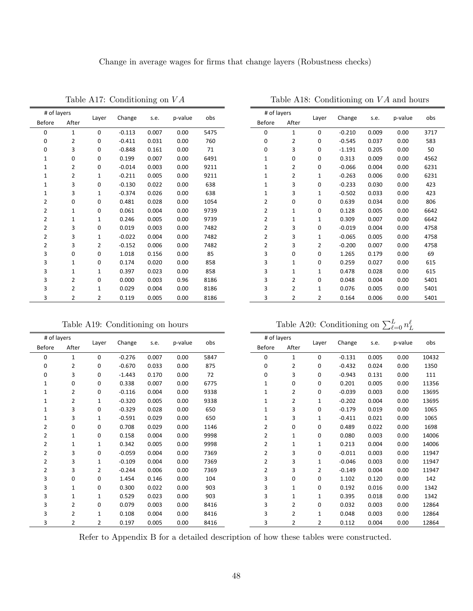| # of layers   |                |                |          |       |         |      |
|---------------|----------------|----------------|----------|-------|---------|------|
| <b>Before</b> | After          | Layer          | Change   | s.e.  | p-value | obs  |
| 0             | $\mathbf{1}$   | 0              | $-0.113$ | 0.007 | 0.00    | 5475 |
| 0             | $\overline{2}$ | 0              | $-0.411$ | 0.031 | 0.00    | 760  |
| 0             | 3              | 0              | $-0.848$ | 0.161 | 0.00    | 71   |
| $\mathbf{1}$  | 0              | 0              | 0.199    | 0.007 | 0.00    | 6491 |
| 1             | 2              | 0              | $-0.014$ | 0.003 | 0.00    | 9211 |
| 1             | 2              | $\mathbf{1}$   | $-0.211$ | 0.005 | 0.00    | 9211 |
| $\mathbf{1}$  | 3              | 0              | $-0.130$ | 0.022 | 0.00    | 638  |
| 1             | 3              | $\mathbf{1}$   | $-0.374$ | 0.026 | 0.00    | 638  |
| 2             | 0              | 0              | 0.481    | 0.028 | 0.00    | 1054 |
| 2             | $\mathbf{1}$   | 0              | 0.061    | 0.004 | 0.00    | 9739 |
| 2             | $\mathbf{1}$   | $\mathbf{1}$   | 0.246    | 0.005 | 0.00    | 9739 |
| 2             | 3              | 0              | 0.019    | 0.003 | 0.00    | 7482 |
| 2             | 3              | $\mathbf{1}$   | $-0.022$ | 0.004 | 0.00    | 7482 |
| 2             | 3              | $\overline{2}$ | $-0.152$ | 0.006 | 0.00    | 7482 |
| 3             | 0              | 0              | 1.018    | 0.156 | 0.00    | 85   |
| 3             | $\mathbf{1}$   | 0              | 0.174    | 0.020 | 0.00    | 858  |
| 3             | $\mathbf{1}$   | $\mathbf{1}$   | 0.397    | 0.023 | 0.00    | 858  |
| 3             | 2              | 0              | 0.000    | 0.003 | 0.96    | 8186 |
| 3             | 2              | 1              | 0.029    | 0.004 | 0.00    | 8186 |
| 3             | 2              | 2              | 0.119    | 0.005 | 0.00    | 8186 |

| # of layers    |                |              |          |       |         |      |
|----------------|----------------|--------------|----------|-------|---------|------|
| <b>Before</b>  | After          | Layer        | Change   | s.e.  | p-value | obs  |
| 0              | $\mathbf{1}$   | 0            | $-0.276$ | 0.007 | 0.00    | 5847 |
| 0              | $\overline{2}$ | 0            | $-0.670$ | 0.033 | 0.00    | 875  |
| 0              | 3              | 0            | $-1.443$ | 0.170 | 0.00    | 72   |
| $\mathbf{1}$   | 0              | 0            | 0.338    | 0.007 | 0.00    | 6775 |
| $\mathbf{1}$   | $\overline{2}$ | 0            | $-0.116$ | 0.004 | 0.00    | 9338 |
| $\mathbf{1}$   | $\overline{2}$ | $\mathbf{1}$ | $-0.320$ | 0.005 | 0.00    | 9338 |
| $\mathbf{1}$   | 3              | 0            | $-0.329$ | 0.028 | 0.00    | 650  |
| $\mathbf{1}$   | 3              | $\mathbf{1}$ | $-0.591$ | 0.029 | 0.00    | 650  |
| $\overline{2}$ | 0              | 0            | 0.708    | 0.029 | 0.00    | 1146 |
| $\overline{2}$ | $\mathbf{1}$   | 0            | 0.158    | 0.004 | 0.00    | 9998 |
| $\overline{2}$ | $\mathbf{1}$   | $\mathbf{1}$ | 0.342    | 0.005 | 0.00    | 9998 |
| 2              | 3              | 0            | $-0.059$ | 0.004 | 0.00    | 7369 |
| 2              | 3              | 1            | $-0.109$ | 0.004 | 0.00    | 7369 |
| $\overline{2}$ | 3              | 2            | $-0.244$ | 0.006 | 0.00    | 7369 |
| 3              | 0              | 0            | 1.454    | 0.146 | 0.00    | 104  |
| 3              | $\mathbf{1}$   | 0            | 0.300    | 0.022 | 0.00    | 903  |
| 3              | $\mathbf{1}$   | 1            | 0.529    | 0.023 | 0.00    | 903  |
| 3              | $\overline{2}$ | 0            | 0.079    | 0.003 | 0.00    | 8416 |
| 3              | $\overline{2}$ | 1            | 0.108    | 0.004 | 0.00    | 8416 |
|                |                |              |          |       |         |      |

2 2 0.197 0.005 0.00 8416

# of layers Layer Change s.e. <sup>p</sup>‐value obs Before After 1 0 ‐0.210 0.009 0.00 3717 2 0 ‐0.545 0.037 0.00 583 3 0 ‐1.191 0.205 0.00 50 0 0 0.313 0.009 0.00 4562 2 0 ‐0.066 0.004 0.00 6231 2 1 ‐0.263 0.006 0.00 6231 3 0 ‐0.233 0.030 0.00 423 3 1 ‐0.502 0.033 0.00 423 0 0 0.639 0.034 0.00 806 1 0 0.128 0.005 0.00 6642 1 1 0.309 0.007 0.00 6642 3 0 ‐0.019 0.004 0.00 4758 3 1 ‐0.065 0.005 0.00 4758 3 2 ‐0.200 0.007 0.00 4758 0 0 1.265 0.179 0.00 69 1 0 0.259 0.027 0.00 615 1 1 0.478 0.028 0.00 615 2 0 0.048 0.004 0.00 5401 2 1 0.076 0.005 0.00 5401 2 2 0.164 0.006 0.00 5401

Table A17: Conditioning on  $VA$  Table A18: Conditioning on  $VA$  and hours

Table A19: Conditioning on hours Table A20: Conditioning on  $\sum_{\ell=0}^{L} n_L^{\ell}$ 

| # of layers    |                |              |          |       |         |       |
|----------------|----------------|--------------|----------|-------|---------|-------|
| <b>Before</b>  | After          | Layer        | Change   | s.e.  | p-value | obs   |
| 0              | $\mathbf{1}$   | $\mathbf 0$  | $-0.131$ | 0.005 | 0.00    | 10432 |
| 0              | 2              | 0            | $-0.432$ | 0.024 | 0.00    | 1350  |
| 0              | 3              | 0            | $-0.943$ | 0.131 | 0.00    | 111   |
| $\mathbf{1}$   | 0              | 0            | 0.201    | 0.005 | 0.00    | 11356 |
| $\mathbf{1}$   | 2              | 0            | $-0.039$ | 0.003 | 0.00    | 13695 |
| $\mathbf{1}$   | 2              | $\mathbf{1}$ | $-0.202$ | 0.004 | 0.00    | 13695 |
| $\mathbf{1}$   | 3              | 0            | $-0.179$ | 0.019 | 0.00    | 1065  |
| $\mathbf{1}$   | 3              | $\mathbf{1}$ | $-0.411$ | 0.021 | 0.00    | 1065  |
| 2              | 0              | 0            | 0.489    | 0.022 | 0.00    | 1698  |
| $\overline{2}$ | 1              | 0            | 0.080    | 0.003 | 0.00    | 14006 |
| 2              | $\mathbf{1}$   | $\mathbf{1}$ | 0.213    | 0.004 | 0.00    | 14006 |
| 2              | 3              | 0            | $-0.011$ | 0.003 | 0.00    | 11947 |
| $\overline{2}$ | 3              | 1            | $-0.046$ | 0.003 | 0.00    | 11947 |
| 2              | 3              | 2            | $-0.149$ | 0.004 | 0.00    | 11947 |
| 3              | 0              | 0            | 1.102    | 0.120 | 0.00    | 142   |
| 3              | $\mathbf{1}$   | 0            | 0.192    | 0.016 | 0.00    | 1342  |
| 3              | $\mathbf{1}$   | $\mathbf{1}$ | 0.395    | 0.018 | 0.00    | 1342  |
| 3              | 2              | 0            | 0.032    | 0.003 | 0.00    | 12864 |
| 3              | $\overline{2}$ | $\mathbf{1}$ | 0.048    | 0.003 | 0.00    | 12864 |
| 3              | 2              | 2            | 0.112    | 0.004 | 0.00    | 12864 |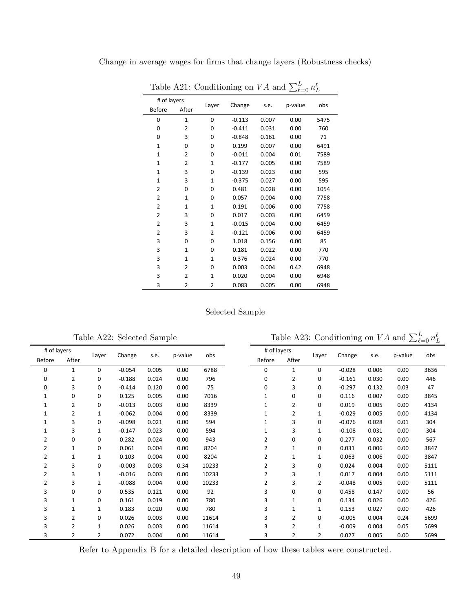Change in average wages for firms that change layers (Robustness checks)

| # of layers    |                | Layer        | Change   | s.e.  | p-value | obs  |
|----------------|----------------|--------------|----------|-------|---------|------|
| <b>Before</b>  | After          |              |          |       |         |      |
| 0              | 1              | 0            | $-0.113$ | 0.007 | 0.00    | 5475 |
| 0              | $\overline{2}$ | $\Omega$     | $-0.411$ | 0.031 | 0.00    | 760  |
| 0              | 3              | 0            | $-0.848$ | 0.161 | 0.00    | 71   |
| $\mathbf{1}$   | 0              | 0            | 0.199    | 0.007 | 0.00    | 6491 |
| $\mathbf{1}$   | $\overline{2}$ | 0            | $-0.011$ | 0.004 | 0.01    | 7589 |
| $\mathbf{1}$   | 2              | $\mathbf{1}$ | $-0.177$ | 0.005 | 0.00    | 7589 |
| 1              | 3              | 0            | $-0.139$ | 0.023 | 0.00    | 595  |
| 1              | 3              | 1            | $-0.375$ | 0.027 | 0.00    | 595  |
| $\overline{2}$ | 0              | $\Omega$     | 0.481    | 0.028 | 0.00    | 1054 |
| $\overline{2}$ | $\mathbf{1}$   | 0            | 0.057    | 0.004 | 0.00    | 7758 |
| $\overline{2}$ | $\mathbf{1}$   | 1            | 0.191    | 0.006 | 0.00    | 7758 |
| $\overline{2}$ | 3              | 0            | 0.017    | 0.003 | 0.00    | 6459 |
| 2              | 3              | $\mathbf{1}$ | $-0.015$ | 0.004 | 0.00    | 6459 |
| $\overline{2}$ | 3              | 2            | $-0.121$ | 0.006 | 0.00    | 6459 |
| 3              | 0              | 0            | 1.018    | 0.156 | 0.00    | 85   |
| 3              | $\mathbf{1}$   | 0            | 0.181    | 0.022 | 0.00    | 770  |
| 3              | $\mathbf{1}$   | $\mathbf{1}$ | 0.376    | 0.024 | 0.00    | 770  |
| 3              | 2              | 0            | 0.003    | 0.004 | 0.42    | 6948 |
| 3              | $\overline{2}$ | $\mathbf{1}$ | 0.020    | 0.004 | 0.00    | 6948 |
| 3              | $\overline{2}$ | 2            | 0.083    | 0.005 | 0.00    | 6948 |

Table A21: Conditioning on VA and  $\sum_{\ell=0}^{L} n_L^{\ell}$ 

Selected Sample

Table A22: Selected Sample Table A23: Conditioning on VA and  $\sum_{\ell=0}^{L} n_L^{\ell}$ 

| # of layers |                |              |          |       | p-value | obs   | # of layers    |                |                |          |       |         | obs  |
|-------------|----------------|--------------|----------|-------|---------|-------|----------------|----------------|----------------|----------|-------|---------|------|
| Before      | After          | Layer        | Change   | s.e.  |         |       | <b>Before</b>  | After          | Layer          | Change   | s.e.  | p-value |      |
| 0           | $\mathbf{1}$   | 0            | $-0.054$ | 0.005 | 0.00    | 6788  | 0              | 1              | 0              | $-0.028$ | 0.006 | 0.00    | 3636 |
| 0           | 2              | 0            | $-0.188$ | 0.024 | 0.00    | 796   | $\mathbf 0$    | 2              | 0              | $-0.161$ | 0.030 | 0.00    | 446  |
| $\Omega$    | 3              | 0            | $-0.414$ | 0.120 | 0.00    | 75    | $\Omega$       | 3              | 0              | $-0.297$ | 0.132 | 0.03    | 47   |
|             | 0              | 0            | 0.125    | 0.005 | 0.00    | 7016  | 1              | 0              | 0              | 0.116    | 0.007 | 0.00    | 3845 |
|             | 2              | 0            | $-0.013$ | 0.003 | 0.00    | 8339  | $\mathbf{1}$   | 2              | 0              | 0.019    | 0.005 | 0.00    | 4134 |
|             | $\overline{2}$ | $\mathbf{1}$ | $-0.062$ | 0.004 | 0.00    | 8339  | $\mathbf{1}$   | 2              | $\mathbf{1}$   | $-0.029$ | 0.005 | 0.00    | 4134 |
|             | 3              | 0            | $-0.098$ | 0.021 | 0.00    | 594   |                | 3              | 0              | $-0.076$ | 0.028 | 0.01    | 304  |
|             | 3              | 1            | $-0.147$ | 0.023 | 0.00    | 594   | 1              | 3              | 1              | $-0.108$ | 0.031 | 0.00    | 304  |
| 2           | 0              | 0            | 0.282    | 0.024 | 0.00    | 943   | $\overline{2}$ | $\mathbf 0$    | 0              | 0.277    | 0.032 | 0.00    | 567  |
| 2           | $\mathbf{1}$   | 0            | 0.061    | 0.004 | 0.00    | 8204  | 2              | 1              | 0              | 0.031    | 0.006 | 0.00    | 3847 |
| 2           | 1              | 1            | 0.103    | 0.004 | 0.00    | 8204  | 2              | 1              | 1              | 0.063    | 0.006 | 0.00    | 3847 |
| 2           | 3              | $\mathbf 0$  | $-0.003$ | 0.003 | 0.34    | 10233 | $\overline{2}$ | 3              | 0              | 0.024    | 0.004 | 0.00    | 5111 |
| 2           | 3              | 1            | $-0.016$ | 0.003 | 0.00    | 10233 | 2              | 3              | 1              | 0.017    | 0.004 | 0.00    | 5111 |
| 2           | 3              | 2            | $-0.088$ | 0.004 | 0.00    | 10233 | 2              | 3              | 2              | $-0.048$ | 0.005 | 0.00    | 5111 |
| 3           | 0              | 0            | 0.535    | 0.121 | 0.00    | 92    | 3              | 0              | 0              | 0.458    | 0.147 | 0.00    | 56   |
| 3           | 1              | 0            | 0.161    | 0.019 | 0.00    | 780   | 3              | 1              | 0              | 0.134    | 0.026 | 0.00    | 426  |
| 3           | 1              | $\mathbf{1}$ | 0.183    | 0.020 | 0.00    | 780   | 3              | $\mathbf{1}$   | 1              | 0.153    | 0.027 | 0.00    | 426  |
| 3           | $\overline{2}$ | 0            | 0.026    | 0.003 | 0.00    | 11614 | 3              | $\overline{2}$ | 0              | $-0.005$ | 0.004 | 0.24    | 5699 |
| 3           | $\overline{2}$ | $\mathbf{1}$ | 0.026    | 0.003 | 0.00    | 11614 | 3              | $\overline{2}$ | 1              | $-0.009$ | 0.004 | 0.05    | 5699 |
| 3           | $\overline{2}$ | 2            | 0.072    | 0.004 | 0.00    | 11614 | 3              | 2              | $\overline{2}$ | 0.027    | 0.005 | 0.00    | 5699 |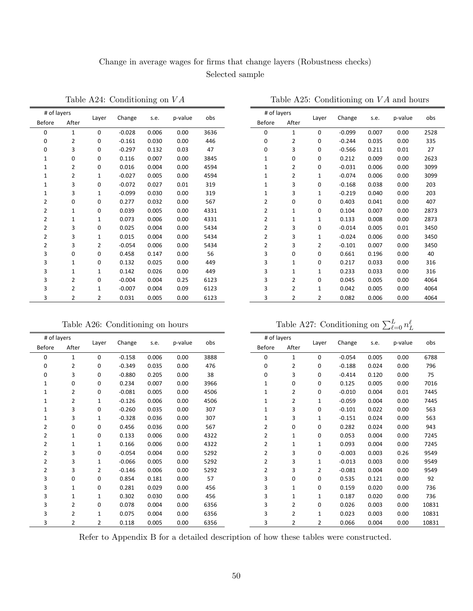# Change in average wages for firms that change layers (Robustness checks) Selected sample

| # of layers   |                |              |          |       |         |      |
|---------------|----------------|--------------|----------|-------|---------|------|
| <b>Before</b> | After          | Layer        | Change   | s.e.  | p-value | obs  |
| 0             | $\mathbf{1}$   | 0            | $-0.028$ | 0.006 | 0.00    | 3636 |
| 0             | 2              | 0            | $-0.161$ | 0.030 | 0.00    | 446  |
| 0             | 3              | 0            | $-0.297$ | 0.132 | 0.03    | 47   |
| 1             | 0              | 0            | 0.116    | 0.007 | 0.00    | 3845 |
| 1             | 2              | 0            | 0.016    | 0.004 | 0.00    | 4594 |
| 1             | $\overline{2}$ | 1            | $-0.027$ | 0.005 | 0.00    | 4594 |
| 1             | 3              | 0            | $-0.072$ | 0.027 | 0.01    | 319  |
| 1             | 3              | 1            | $-0.099$ | 0.030 | 0.00    | 319  |
| 2             | 0              | 0            | 0.277    | 0.032 | 0.00    | 567  |
| 2             | $\mathbf{1}$   | 0            | 0.039    | 0.005 | 0.00    | 4331 |
| 2             | $\mathbf{1}$   | 1            | 0.073    | 0.006 | 0.00    | 4331 |
| 2             | 3              | 0            | 0.025    | 0.004 | 0.00    | 5434 |
| 2             | 3              | 1            | 0.015    | 0.004 | 0.00    | 5434 |
| 2             | 3              | 2            | $-0.054$ | 0.006 | 0.00    | 5434 |
| 3             | 0              | 0            | 0.458    | 0.147 | 0.00    | 56   |
| 3             | 1              | 0            | 0.132    | 0.025 | 0.00    | 449  |
| 3             | $\mathbf{1}$   | $\mathbf{1}$ | 0.142    | 0.026 | 0.00    | 449  |
| 3             | 2              | 0            | $-0.004$ | 0.004 | 0.25    | 6123 |
| 3             | 2              | $\mathbf{1}$ | $-0.007$ | 0.004 | 0.09    | 6123 |
| 3             | 2              | 2            | 0.031    | 0.005 | 0.00    | 6123 |

Table A24: Conditioning on  $VA$  Table A25: Conditioning on  $VA$  and hours

# of layers Layer Change s.e. <sup>p</sup>‐value obs Before After 1 0 ‐0.099 0.007 0.00 2528 2 0 ‐0.244 0.035 0.00 335 3 0 ‐0.566 0.211 0.01 27 0 0 0.212 0.009 0.00 2623 2 0 ‐0.031 0.006 0.00 3099 2 1 ‐0.074 0.006 0.00 3099 3 0 ‐0.168 0.038 0.00 203 3 1 ‐0.219 0.040 0.00 203 0 0 0.403 0.041 0.00 407 1 0 0.104 0.007 0.00 2873 1 1 0.133 0.008 0.00 2873 3 0 ‐0.014 0.005 0.01 3450 3 1 ‐0.024 0.006 0.00 3450 3 2 ‐0.101 0.007 0.00 3450 0 0 0.661 0.196 0.00 40 1 0 0.217 0.033 0.00 316 1 1 0.233 0.033 0.00 316 2 0 0.045 0.005 0.00 4064 2 1 0.042 0.005 0.00 4064 2 2 0.082 0.006 0.00 4064

| # of layers   |                | Layer        | Change   | s.e.  | p-value | obs  |   |
|---------------|----------------|--------------|----------|-------|---------|------|---|
| <b>Before</b> | After          |              |          |       |         |      | B |
| 0             | $\mathbf{1}$   | 0            | $-0.158$ | 0.006 | 0.00    | 3888 |   |
| 0             | $\overline{2}$ | 0            | $-0.349$ | 0.035 | 0.00    | 476  |   |
| 0             | 3              | 0            | $-0.880$ | 0.205 | 0.00    | 38   |   |
| $\mathbf{1}$  | 0              | 0            | 0.234    | 0.007 | 0.00    | 3966 |   |
| $\mathbf{1}$  | 2              | 0            | $-0.081$ | 0.005 | 0.00    | 4506 |   |
| $\mathbf{1}$  | $\overline{2}$ | $\mathbf{1}$ | $-0.126$ | 0.006 | 0.00    | 4506 |   |
| $\mathbf{1}$  | 3              | 0            | $-0.260$ | 0.035 | 0.00    | 307  |   |
| $\mathbf{1}$  | 3              | $\mathbf{1}$ | $-0.328$ | 0.036 | 0.00    | 307  |   |
| 2             | 0              | 0            | 0.456    | 0.036 | 0.00    | 567  |   |
| 2             | $\mathbf{1}$   | 0            | 0.133    | 0.006 | 0.00    | 4322 |   |
| 2             | 1              | $\mathbf{1}$ | 0.166    | 0.006 | 0.00    | 4322 |   |
| 2             | 3              | 0            | $-0.054$ | 0.004 | 0.00    | 5292 |   |
| 2             | 3              | $\mathbf{1}$ | $-0.066$ | 0.005 | 0.00    | 5292 |   |
| 2             | 3              | 2            | $-0.146$ | 0.006 | 0.00    | 5292 |   |
| 3             | 0              | 0            | 0.854    | 0.181 | 0.00    | 57   |   |
| 3             | $\mathbf{1}$   | 0            | 0.281    | 0.029 | 0.00    | 456  |   |
| 3             | $\mathbf{1}$   | 1            | 0.302    | 0.030 | 0.00    | 456  |   |
| 3             | $\overline{2}$ | 0            | 0.078    | 0.004 | 0.00    | 6356 |   |
| 3             | 2              | 1            | 0.075    | 0.004 | 0.00    | 6356 |   |
| 3             | 2              | 2            | 0.118    | 0.005 | 0.00    | 6356 |   |

Table A26: Conditioning on hours Table A27: Conditioning on  $\sum_{\ell=0}^{L} n_L^{\ell}$ 

| # of layers<br><b>Before</b> | After          | Layer        | Change   | s.e.  | p-value | obs   |
|------------------------------|----------------|--------------|----------|-------|---------|-------|
|                              |                |              |          |       |         |       |
| 0                            | 1              | 0            | $-0.054$ | 0.005 | 0.00    | 6788  |
| 0                            | $\overline{2}$ | 0            | $-0.188$ | 0.024 | 0.00    | 796   |
| 0                            | 3              | 0            | $-0.414$ | 0.120 | 0.00    | 75    |
| $\mathbf{1}$                 | 0              | 0            | 0.125    | 0.005 | 0.00    | 7016  |
| $\mathbf{1}$                 | $\overline{2}$ | 0            | $-0.010$ | 0.004 | 0.01    | 7445  |
| $\mathbf{1}$                 | $\overline{2}$ | $\mathbf{1}$ | $-0.059$ | 0.004 | 0.00    | 7445  |
| $\mathbf{1}$                 | 3              | 0            | $-0.101$ | 0.022 | 0.00    | 563   |
| $\mathbf{1}$                 | 3              | 1            | $-0.151$ | 0.024 | 0.00    | 563   |
| 2                            | 0              | 0            | 0.282    | 0.024 | 0.00    | 943   |
| $\overline{2}$               | $\mathbf{1}$   | 0            | 0.053    | 0.004 | 0.00    | 7245  |
| 2                            | $\mathbf{1}$   | 1            | 0.093    | 0.004 | 0.00    | 7245  |
| 2                            | 3              | 0            | $-0.003$ | 0.003 | 0.26    | 9549  |
| $\overline{2}$               | 3              | $\mathbf{1}$ | $-0.013$ | 0.003 | 0.00    | 9549  |
| $\overline{2}$               | 3              | 2            | $-0.081$ | 0.004 | 0.00    | 9549  |
| 3                            | 0              | 0            | 0.535    | 0.121 | 0.00    | 92    |
| 3                            | $\mathbf{1}$   | 0            | 0.159    | 0.020 | 0.00    | 736   |
| 3                            | $\mathbf{1}$   | $\mathbf{1}$ | 0.187    | 0.020 | 0.00    | 736   |
| 3                            | $\overline{2}$ | 0            | 0.026    | 0.003 | 0.00    | 10831 |
| 3                            | 2              | $\mathbf{1}$ | 0.023    | 0.003 | 0.00    | 10831 |
| 3                            | 2              | 2            | 0.066    | 0.004 | 0.00    | 10831 |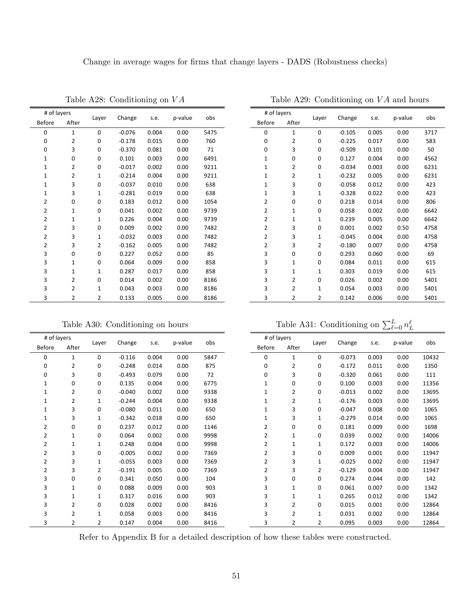Change in average wages for firms that change layers - DADS (Robustness checks)

| # of layers    |                |              |          |       |         |      |
|----------------|----------------|--------------|----------|-------|---------|------|
| <b>Before</b>  | After          | Layer        | Change   | s.e.  | p-value | obs  |
| 0              | $\mathbf{1}$   | 0            | $-0.076$ | 0.004 | 0.00    | 5475 |
| 0              | $\overline{2}$ | 0            | $-0.178$ | 0.015 | 0.00    | 760  |
| 0              | 3              | 0            | $-0.370$ | 0.081 | 0.00    | 71   |
| $\mathbf{1}$   | 0              | 0            | 0.101    | 0.003 | 0.00    | 6491 |
| 1              | $\overline{2}$ | 0            | $-0.017$ | 0.002 | 0.00    | 9211 |
| $\mathbf{1}$   | $\overline{2}$ | $\mathbf{1}$ | $-0.214$ | 0.004 | 0.00    | 9211 |
| $\mathbf{1}$   | 3              | 0            | $-0.037$ | 0.010 | 0.00    | 638  |
| $\mathbf{1}$   | 3              | 1            | $-0.281$ | 0.019 | 0.00    | 638  |
| 2              | 0              | 0            | 0.183    | 0.012 | 0.00    | 1054 |
| $\overline{2}$ | $\mathbf{1}$   | 0            | 0.041    | 0.002 | 0.00    | 9739 |
| $\overline{2}$ | $\mathbf{1}$   | $\mathbf{1}$ | 0.226    | 0.004 | 0.00    | 9739 |
| 2              | 3              | 0            | 0.009    | 0.002 | 0.00    | 7482 |
| $\overline{2}$ | 3              | $\mathbf{1}$ | $-0.032$ | 0.003 | 0.00    | 7482 |
| 2              | 3              | 2            | $-0.162$ | 0.005 | 0.00    | 7482 |
| 3              | 0              | 0            | 0.227    | 0.052 | 0.00    | 85   |
| 3              | $\mathbf{1}$   | 0            | 0.064    | 0.009 | 0.00    | 858  |
| 3              | $\mathbf{1}$   | $\mathbf{1}$ | 0.287    | 0.017 | 0.00    | 858  |
| 3              | 2              | 0            | 0.014    | 0.002 | 0.00    | 8186 |
| 3              | $\overline{2}$ | $\mathbf{1}$ | 0.043    | 0.003 | 0.00    | 8186 |
| 3              | 2              | 2            | 0.133    | 0.005 | 0.00    | 8186 |

| # of layers   |              |              |          |       |         |      |
|---------------|--------------|--------------|----------|-------|---------|------|
| <b>Before</b> | After        | Layer        | Change   | s.e.  | p-value | obs  |
| 0             | $\mathbf{1}$ | 0            | $-0.116$ | 0.004 | 0.00    | 5847 |
| 0             | 2            | 0            | $-0.248$ | 0.014 | 0.00    | 875  |
| 0             | 3            | 0            | $-0.493$ | 0.079 | 0.00    | 72   |
| $\mathbf{1}$  | 0            | 0            | 0.135    | 0.004 | 0.00    | 6775 |
| 1             | 2            | 0            | $-0.040$ | 0.002 | 0.00    | 9338 |
| 1             | 2            | 1            | $-0.244$ | 0.004 | 0.00    | 9338 |
| 1             | 3            | 0            | $-0.080$ | 0.011 | 0.00    | 650  |
| $\mathbf{1}$  | 3            | $\mathbf{1}$ | $-0.342$ | 0.018 | 0.00    | 650  |
| 2             | 0            | 0            | 0.237    | 0.012 | 0.00    | 1146 |
| 2             | $\mathbf{1}$ | 0            | 0.064    | 0.002 | 0.00    | 9998 |
| 2             | $\mathbf{1}$ | 1            | 0.248    | 0.004 | 0.00    | 9998 |
| 2             | 3            | 0            | $-0.005$ | 0.002 | 0.00    | 7369 |
| 2             | 3            | 1            | $-0.055$ | 0.003 | 0.00    | 7369 |
| 2             | 3            | 2            | $-0.191$ | 0.005 | 0.00    | 7369 |
| 3             | $\Omega$     | 0            | 0.341    | 0.050 | 0.00    | 104  |
| 3             | 1            | 0            | 0.088    | 0.009 | 0.00    | 903  |
| 3             | 1            | 1            | 0.317    | 0.016 | 0.00    | 903  |
| 3             | 2            | 0            | 0.028    | 0.002 | 0.00    | 8416 |
| 3             | 2            | $\mathbf{1}$ | 0.058    | 0.003 | 0.00    | 8416 |

2 2 0.147 0.004 0.00 8416

Table A28: Conditioning on  $VA$  Table A29: Conditioning on  $VA$  and hours

| # of layers    |              |                |          |       |         | obs  |
|----------------|--------------|----------------|----------|-------|---------|------|
| <b>Before</b>  | After        | Layer          | Change   | s.e.  | p-value |      |
| 0              | $\mathbf{1}$ | 0              | $-0.105$ | 0.005 | 0.00    | 3717 |
| 0              | 2            | 0              | $-0.225$ | 0.017 | 0.00    | 583  |
| 0              | 3            | 0              | $-0.509$ | 0.101 | 0.00    | 50   |
| 1              | 0            | 0              | 0.127    | 0.004 | 0.00    | 4562 |
| 1              | 2            | 0              | $-0.034$ | 0.003 | 0.00    | 6231 |
| 1              | 2            | 1              | $-0.232$ | 0.005 | 0.00    | 6231 |
| 1              | 3            | $\Omega$       | $-0.058$ | 0.012 | 0.00    | 423  |
| 1              | 3            | 1              | $-0.328$ | 0.022 | 0.00    | 423  |
| 2              | 0            | 0              | 0.218    | 0.014 | 0.00    | 806  |
| $\overline{2}$ | $\mathbf{1}$ | 0              | 0.058    | 0.002 | 0.00    | 6642 |
| 2              | $\mathbf{1}$ | 1              | 0.239    | 0.005 | 0.00    | 6642 |
| $\overline{2}$ | 3            | 0              | 0.001    | 0.002 | 0.50    | 4758 |
| 2              | 3            | $\mathbf{1}$   | $-0.045$ | 0.004 | 0.00    | 4758 |
| $\overline{2}$ | 3            | $\overline{2}$ | $-0.180$ | 0.007 | 0.00    | 4758 |
| 3              | 0            | 0              | 0.293    | 0.060 | 0.00    | 69   |
| 3              | 1            | 0              | 0.084    | 0.011 | 0.00    | 615  |
| 3              | $\mathbf{1}$ | $\mathbf{1}$   | 0.303    | 0.019 | 0.00    | 615  |
| 3              | 2            | 0              | 0.026    | 0.002 | 0.00    | 5401 |
| 3              | 2            | 1              | 0.054    | 0.003 | 0.00    | 5401 |
| 3              | 2            | 2              | 0.142    | 0.006 | 0.00    | 5401 |

Table A30: Conditioning on hours Table A31: Conditioning on  $\sum_{\ell=0}^{L} n_L^{\ell}$ 

| # of layers    |              | Layer          | Change   | s.e.  | p-value | obs   |
|----------------|--------------|----------------|----------|-------|---------|-------|
| <b>Before</b>  | After        |                |          |       |         |       |
| 0              | $\mathbf{1}$ | 0              | $-0.073$ | 0.003 | 0.00    | 10432 |
| $\Omega$       | 2            | 0              | $-0.172$ | 0.011 | 0.00    | 1350  |
| 0              | 3            | 0              | $-0.320$ | 0.061 | 0.00    | 111   |
| $\mathbf{1}$   | 0            | 0              | 0.100    | 0.003 | 0.00    | 11356 |
| 1              | 2            | 0              | $-0.013$ | 0.002 | 0.00    | 13695 |
| $\mathbf{1}$   | 2            | $\mathbf{1}$   | $-0.176$ | 0.003 | 0.00    | 13695 |
| $\mathbf{1}$   | 3            | 0              | $-0.047$ | 0.008 | 0.00    | 1065  |
| 1              | 3            | 1              | $-0.279$ | 0.014 | 0.00    | 1065  |
| 2              | $\Omega$     | $\Omega$       | 0.181    | 0.009 | 0.00    | 1698  |
| $\overline{2}$ | $\mathbf{1}$ | 0              | 0.039    | 0.002 | 0.00    | 14006 |
| $\overline{2}$ | 1            | 1              | 0.172    | 0.003 | 0.00    | 14006 |
| $\overline{2}$ | 3            | 0              | 0.009    | 0.001 | 0.00    | 11947 |
| 2              | 3            | 1              | $-0.025$ | 0.002 | 0.00    | 11947 |
| $\overline{2}$ | 3            | $\overline{2}$ | $-0.129$ | 0.004 | 0.00    | 11947 |
| 3              | 0            | 0              | 0.274    | 0.044 | 0.00    | 142   |
| 3              | $\mathbf{1}$ | 0              | 0.061    | 0.007 | 0.00    | 1342  |
| 3              | $\mathbf{1}$ | $\mathbf{1}$   | 0.265    | 0.012 | 0.00    | 1342  |
| 3              | 2            | 0              | 0.015    | 0.001 | 0.00    | 12864 |
| 3              | 2            | $\mathbf{1}$   | 0.031    | 0.002 | 0.00    | 12864 |
| 3              | 2            | 2              | 0.095    | 0.003 | 0.00    | 12864 |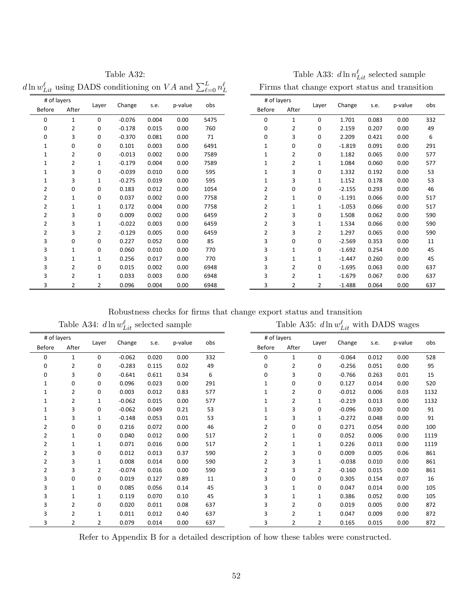| $_{\it{Lit}}$  |                |              | <sub></sub> |       |         | $4\ell=0$<br>"L |
|----------------|----------------|--------------|-------------|-------|---------|-----------------|
| # of layers    |                |              |             |       |         |                 |
| <b>Before</b>  | After          | Layer        | Change      | s.e.  | p-value | obs             |
| 0              | $\mathbf{1}$   | 0            | $-0.076$    | 0.004 | 0.00    | 5475            |
| 0              | $\overline{2}$ | 0            | $-0.178$    | 0.015 | 0.00    | 760             |
| 0              | 3              | $\Omega$     | $-0.370$    | 0.081 | 0.00    | 71              |
| $\mathbf{1}$   | 0              | 0            | 0.101       | 0.003 | 0.00    | 6491            |
| 1              | $\overline{2}$ | 0            | $-0.013$    | 0.002 | 0.00    | 7589            |
| $\mathbf{1}$   | $\overline{2}$ | $\mathbf{1}$ | $-0.179$    | 0.004 | 0.00    | 7589            |
| 1              | 3              | 0            | $-0.039$    | 0.010 | 0.00    | 595             |
| 1              | 3              | $\mathbf{1}$ | $-0.275$    | 0.019 | 0.00    | 595             |
| 2              | 0              | 0            | 0.183       | 0.012 | 0.00    | 1054            |
| $\overline{2}$ | $\mathbf{1}$   | 0            | 0.037       | 0.002 | 0.00    | 7758            |
| 2              | 1              | 1            | 0.172       | 0.004 | 0.00    | 7758            |
| 2              | 3              | 0            | 0.009       | 0.002 | 0.00    | 6459            |
| 2              | 3              | $\mathbf{1}$ | $-0.022$    | 0.003 | 0.00    | 6459            |
| 2              | 3              | 2            | $-0.129$    | 0.005 | 0.00    | 6459            |
| 3              | 0              | 0            | 0.227       | 0.052 | 0.00    | 85              |
| 3              | $\mathbf{1}$   | 0            | 0.060       | 0.010 | 0.00    | 770             |
| 3              | $\mathbf{1}$   | $\mathbf{1}$ | 0.256       | 0.017 | 0.00    | 770             |
| 3              | $\overline{2}$ | 0            | 0.015       | 0.002 | 0.00    | 6948            |
| 3              | $\overline{2}$ | 1            | 0.033       | 0.003 | 0.00    | 6948            |
| 3              | 2              | 2            | 0.096       | 0.004 | 0.00    | 6948            |

 $d\ln w_{Lit}^\ell$  using DADS conditioning on VA and  $\sum_{\ell=0}^L n_{I}^\ell$ 

Table A32: Table A33:  $d \ln n_{Lit}^{\ell}$  selected sample Firms that change export status and transition

| # of layers    |                |                |          |       |         |     |
|----------------|----------------|----------------|----------|-------|---------|-----|
| <b>Before</b>  | After          | Layer          | Change   | s.e.  | p-value | obs |
| 0              | $\mathbf{1}$   | $\Omega$       | 1.701    | 0.083 | 0.00    | 332 |
| 0              | $\overline{2}$ | 0              | 2.159    | 0.207 | 0.00    | 49  |
| 0              | 3              | 0              | 2.209    | 0.421 | 0.00    | 6   |
| 1              | 0              | 0              | $-1.819$ | 0.091 | 0.00    | 291 |
| $\mathbf{1}$   | 2              | 0              | 1.182    | 0.065 | 0.00    | 577 |
| $\mathbf{1}$   | 2              | $\mathbf{1}$   | 1.084    | 0.060 | 0.00    | 577 |
| 1              | 3              | 0              | 1.332    | 0.192 | 0.00    | 53  |
| $\mathbf{1}$   | 3              | $\mathbf{1}$   | 1.152    | 0.178 | 0.00    | 53  |
| 2              | 0              | 0              | $-2.155$ | 0.293 | 0.00    | 46  |
| 2              | $\mathbf{1}$   | 0              | $-1.191$ | 0.066 | 0.00    | 517 |
| $\overline{2}$ | $\mathbf{1}$   | $\mathbf{1}$   | $-1.053$ | 0.066 | 0.00    | 517 |
| 2              | 3              | 0              | 1.508    | 0.062 | 0.00    | 590 |
| 2              | 3              | $\mathbf{1}$   | 1.534    | 0.066 | 0.00    | 590 |
| $\overline{2}$ | 3              | $\overline{2}$ | 1.297    | 0.065 | 0.00    | 590 |
| 3              | 0              | 0              | $-2.569$ | 0.353 | 0.00    | 11  |
| 3              | 1              | 0              | $-1.692$ | 0.254 | 0.00    | 45  |
| 3              | $\mathbf{1}$   | 1              | $-1.447$ | 0.260 | 0.00    | 45  |
| 3              | 2              | 0              | $-1.695$ | 0.063 | 0.00    | 637 |
| 3              | 2              | 1              | $-1.679$ | 0.067 | 0.00    | 637 |
| 3              | $\overline{2}$ | 2              | $-1.488$ | 0.064 | 0.00    | 637 |

Robustness checks for firms that change export status and transition

|             | Table A34: $d \ln w_{Lit}^{\ell}$ selected sample |       |          | Table A35: $d \ln w_{Lit}^{\ell}$ with DADS wages |         |     |             |              |              |          |       |         |      |
|-------------|---------------------------------------------------|-------|----------|---------------------------------------------------|---------|-----|-------------|--------------|--------------|----------|-------|---------|------|
| # of layers |                                                   | Layer | Change   | s.e.                                              | p-value | obs | # of layers |              | Layer        | Change   | s.e.  | p-value | obs  |
| Before      | After                                             |       |          |                                                   |         |     | Before      | After        |              |          |       |         |      |
| 0           | 1                                                 | 0     | $-0.062$ | 0.020                                             | 0.00    | 332 | 0           | $\mathbf{1}$ | 0            | $-0.064$ | 0.012 | 0.00    | 528  |
| 0           | 2                                                 | 0     | $-0.283$ | 0.115                                             | 0.02    | 49  | 0           | 2            | 0            | $-0.256$ | 0.051 | 0.00    | 95   |
| 0           | 3                                                 | 0     | $-0.641$ | 0.611                                             | 0.34    | 6   | 0           | 3            | 0            | $-0.766$ | 0.263 | 0.01    | 15   |
|             | 0                                                 | 0     | 0.096    | 0.023                                             | 0.00    | 291 |             | $\Omega$     | 0            | 0.127    | 0.014 | 0.00    | 520  |
|             | 2                                                 | 0     | 0.003    | 0.012                                             | 0.83    | 577 |             | 2            | 0            | $-0.012$ | 0.006 | 0.03    | 1132 |
|             | 2                                                 | 1     | $-0.062$ | 0.015                                             | 0.00    | 577 |             | 2            | 1            | $-0.219$ | 0.013 | 0.00    | 1132 |
|             | 3                                                 | 0     | $-0.062$ | 0.049                                             | 0.21    | 53  |             | 3            | 0            | $-0.096$ | 0.030 | 0.00    | 91   |
|             | 3                                                 | 1     | $-0.148$ | 0.053                                             | 0.01    | 53  |             | 3            | $\mathbf{1}$ | $-0.272$ | 0.048 | 0.00    | 91   |
| 2           | 0                                                 | 0     | 0.216    | 0.072                                             | 0.00    | 46  | 2           | 0            | 0            | 0.271    | 0.054 | 0.00    | 100  |
| 2           |                                                   | 0     | 0.040    | 0.012                                             | 0.00    | 517 | 2           | 1            | 0            | 0.052    | 0.006 | 0.00    | 1119 |
| 2           | $\mathbf{1}$                                      | 1     | 0.071    | 0.016                                             | 0.00    | 517 | 2           | 1            | 1            | 0.226    | 0.013 | 0.00    | 1119 |
| 2           | 3                                                 | 0     | 0.012    | 0.013                                             | 0.37    | 590 | 2           | 3            | 0            | 0.009    | 0.005 | 0.06    | 861  |
| 2           | 3                                                 | 1     | 0.008    | 0.014                                             | 0.00    | 590 | 2           | 3            | 1            | $-0.038$ | 0.010 | 0.00    | 861  |
| 2           | 3                                                 | 2     | $-0.074$ | 0.016                                             | 0.00    | 590 | 2           | 3            | 2            | $-0.160$ | 0.015 | 0.00    | 861  |
| 3           | 0                                                 | 0     | 0.019    | 0.127                                             | 0.89    | 11  | 3           | 0            | 0            | 0.305    | 0.154 | 0.07    | 16   |
| 3           |                                                   | 0     | 0.085    | 0.056                                             | 0.14    | 45  | 3           | 1            | 0            | 0.047    | 0.014 | 0.00    | 105  |
| 3           |                                                   | 1     | 0.119    | 0.070                                             | 0.10    | 45  | 3           | $\mathbf{1}$ | 1            | 0.386    | 0.052 | 0.00    | 105  |
| 3           | 2                                                 | 0     | 0.020    | 0.011                                             | 0.08    | 637 | 3           | 2            | 0            | 0.019    | 0.005 | 0.00    | 872  |
| 3           | 2                                                 | 1     | 0.011    | 0.012                                             | 0.40    | 637 | 3           | 2            | 1            | 0.047    | 0.009 | 0.00    | 872  |
| 3           | 2                                                 | 2     | 0.079    | 0.014                                             | 0.00    | 637 | 3           | 2            | 2            | 0.165    | 0.015 | 0.00    | 872  |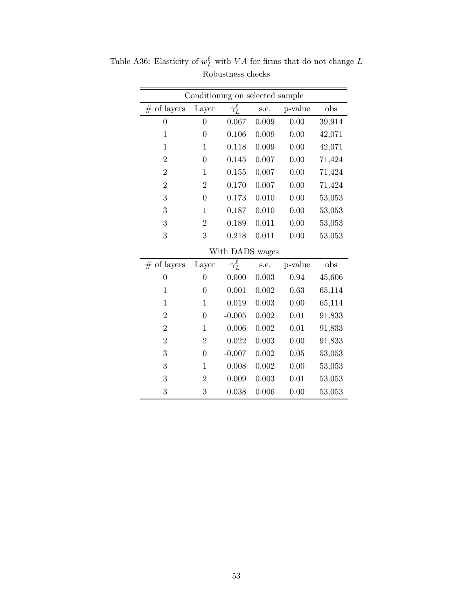| Conditioning on selected sample |                |                                     |       |         |        |  |  |  |  |
|---------------------------------|----------------|-------------------------------------|-------|---------|--------|--|--|--|--|
| $#$ of layers                   | Layer          | $\gamma^\ell_L$                     | s.e.  | p-value | obs    |  |  |  |  |
| $\overline{0}$                  | $\overline{0}$ | 0.067                               | 0.009 | 0.00    | 39,914 |  |  |  |  |
| $\mathbf{1}$                    | $\overline{0}$ | 0.106                               | 0.009 | 0.00    | 42,071 |  |  |  |  |
| $\mathbf{1}$                    | $\mathbf 1$    | 0.118                               | 0.009 | 0.00    | 42,071 |  |  |  |  |
| $\overline{2}$                  | $\overline{0}$ | 0.145                               | 0.007 | 0.00    | 71,424 |  |  |  |  |
| $\overline{2}$                  | $\mathbf 1$    | 0.155                               | 0.007 | 0.00    | 71,424 |  |  |  |  |
| $\overline{2}$                  | $\overline{2}$ | 0.170                               | 0.007 | 0.00    | 71,424 |  |  |  |  |
| 3                               | $\overline{0}$ | 0.173                               | 0.010 | 0.00    | 53,053 |  |  |  |  |
| 3                               | $\mathbf{1}$   | 0.187                               | 0.010 | 0.00    | 53,053 |  |  |  |  |
| 3                               | $\overline{2}$ | 0.189                               | 0.011 | 0.00    | 53,053 |  |  |  |  |
| 3                               | 3              | 0.218                               | 0.011 | 0.00    | 53,053 |  |  |  |  |
|                                 |                | With DADS wages                     |       |         |        |  |  |  |  |
| $\#$ of layers                  | Layer          | $\gamma^{\bar\ell}_{\underline{L}}$ | s.e.  | p-value | obs    |  |  |  |  |
| $\overline{0}$                  | $\overline{0}$ | 0.000                               | 0.003 | 0.94    | 45,606 |  |  |  |  |
| $\mathbf{1}$                    | $\overline{0}$ | 0.001                               | 0.002 | 0.63    | 65,114 |  |  |  |  |
| $\mathbf{1}$                    | $\mathbf{1}$   | 0.019                               | 0.003 | 0.00    | 65,114 |  |  |  |  |
| $\overline{2}$                  | $\overline{0}$ | $-0.005$                            | 0.002 | 0.01    | 91,833 |  |  |  |  |
| $\overline{2}$                  | 1              | 0.006                               | 0.002 | 0.01    | 91,833 |  |  |  |  |
| $\overline{2}$                  | $\overline{2}$ | 0.022                               | 0.003 | 0.00    | 91,833 |  |  |  |  |
| 3                               | $\overline{0}$ | $-0.007$                            | 0.002 | 0.05    | 53,053 |  |  |  |  |
| 3                               | $\mathbf{1}$   | 0.008                               | 0.002 | 0.00    | 53,053 |  |  |  |  |
| 3                               | $\overline{2}$ | 0.009                               | 0.003 | 0.01    | 53,053 |  |  |  |  |
| 3                               | 3              | 0.038                               | 0.006 | 0.00    | 53,053 |  |  |  |  |

Table A36: Elasticity of  $w_L^{\ell}$  with VA for firms that do not change L Robustness checks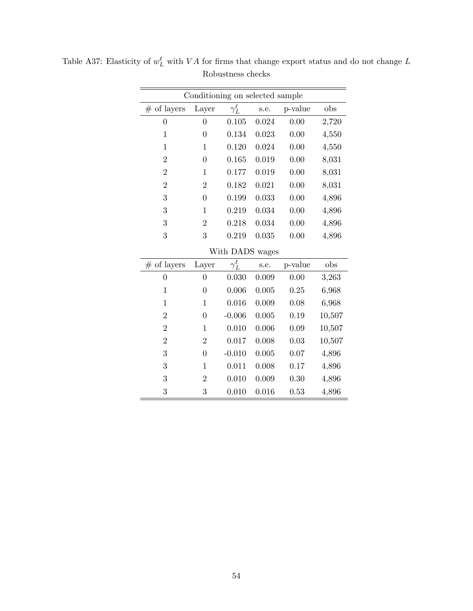| Conditioning on selected sample |                |                               |       |         |        |  |  |  |
|---------------------------------|----------------|-------------------------------|-------|---------|--------|--|--|--|
| $#$ of layers                   | Layer          | $\underline{\gamma_L^{\ell}}$ | s.e.  | p-value | obs    |  |  |  |
| $\overline{0}$                  | $\overline{0}$ | 0.105                         | 0.024 | 0.00    | 2,720  |  |  |  |
| $\overline{1}$                  | $\overline{0}$ | 0.134                         | 0.023 | 0.00    | 4,550  |  |  |  |
| $\overline{1}$                  | $\mathbf{1}$   | 0.120                         | 0.024 | 0.00    | 4,550  |  |  |  |
| $\overline{2}$                  | $\overline{0}$ | 0.165                         | 0.019 | 0.00    | 8,031  |  |  |  |
| $\overline{2}$                  | $\mathbf 1$    | 0.177                         | 0.019 | 0.00    | 8,031  |  |  |  |
| $\overline{2}$                  | $\overline{2}$ | 0.182                         | 0.021 | 0.00    | 8,031  |  |  |  |
| 3                               | $\overline{0}$ | 0.199                         | 0.033 | 0.00    | 4,896  |  |  |  |
| 3                               | $\mathbf 1$    | 0.219                         | 0.034 | 0.00    | 4,896  |  |  |  |
| 3                               | $\overline{2}$ | 0.218                         | 0.034 | 0.00    | 4,896  |  |  |  |
| 3                               | 3              | 0.219                         | 0.035 | 0.00    | 4,896  |  |  |  |
|                                 |                | With DADS wages               |       |         |        |  |  |  |
| $#$ of layers                   | Layer          | $\gamma^\ell_L$               | s.e.  | p-value | obs    |  |  |  |
| $\overline{0}$                  | $\overline{0}$ | 0.030                         | 0.009 | 0.00    | 3,263  |  |  |  |
| $\overline{1}$                  | $\overline{0}$ | 0.006                         | 0.005 | 0.25    | 6,968  |  |  |  |
| $\mathbf{1}$                    | $\mathbf{1}$   | 0.016                         | 0.009 | 0.08    | 6,968  |  |  |  |
| $\overline{2}$                  | $\overline{0}$ | $-0.006$                      | 0.005 | 0.19    | 10,507 |  |  |  |
| $\overline{2}$                  | $\mathbf{1}$   | 0.010                         | 0.006 | 0.09    | 10,507 |  |  |  |
| $\overline{2}$                  | $\overline{2}$ | 0.017                         | 0.008 | 0.03    | 10,507 |  |  |  |
| 3                               | $\overline{0}$ | $-0.010$                      | 0.005 | 0.07    | 4,896  |  |  |  |
| 3                               | $\mathbf{1}$   | 0.011                         | 0.008 | 0.17    | 4,896  |  |  |  |
| 3                               | $\overline{2}$ | 0.010                         | 0.009 | 0.30    | 4,896  |  |  |  |
| 3                               | 3              | 0.010                         | 0.016 | 0.53    | 4,896  |  |  |  |

Table A37: Elasticity of  $w_L^{\ell}$  with VA for firms that change export status and do not change L Robustness checks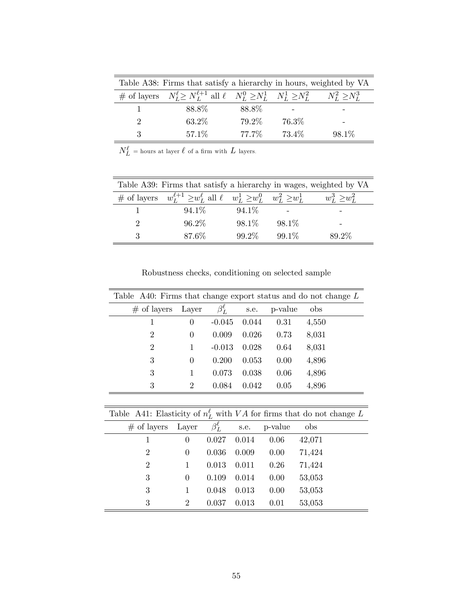| Table A38: Firms that satisfy a hierarchy in hours, weighted by VA                       |        |        |                    |
|------------------------------------------------------------------------------------------|--------|--------|--------------------|
| # of layers $N_L^{\ell} \ge N_L^{\ell+1}$ all $\ell$ $N_L^0 \ge N_L^1$ $N_L^1 \ge N_L^2$ |        |        | $N_L^2 \geq N_L^3$ |
| 88.8%                                                                                    | 88.8%  |        |                    |
| 63.2\%                                                                                   | 79.2%  | 76.3%  |                    |
| 57.1\%                                                                                   | 77.7\% | 73.4\% | 98.1\%             |

 $N_L^{\ell}$  = hours at layer  $\ell$  of a firm with  $L$  layers.

|                             | Table A39: Firms that satisfy a hierarchy in wages, weighted by VA                          |        |          |                    |
|-----------------------------|---------------------------------------------------------------------------------------------|--------|----------|--------------------|
|                             | # of layers $w_L^{\ell+1} \geq w_L^{\ell}$ all $\ell$ $w_L^1 \geq w_L^0$ $w_L^2 \geq w_L^1$ |        |          | $w_L^3 \geq w_L^2$ |
|                             | $94.1\%$                                                                                    | 94.1\% |          |                    |
| $\mathcal{D}_{\mathcal{L}}$ | 96.2%                                                                                       | 98.1\% | 98.1\%   |                    |
| 3                           | 87.6%                                                                                       | 99.2%  | $99.1\%$ | 89.2%              |

Robustness checks, conditioning on selected sample

| Table $\Lambda$ 40: Firms that change export status and do not change L |                  |                    |       |         |       |  |  |  |
|-------------------------------------------------------------------------|------------------|--------------------|-------|---------|-------|--|--|--|
| $\#$ of layers                                                          | Layer            | $\beta^{\ell}_{I}$ | s.e.  | p-value | obs   |  |  |  |
|                                                                         | $\theta$         | $-0.045$           | 0.044 | 0.31    | 4,550 |  |  |  |
| $\overline{2}$                                                          | 0                | 0.009              | 0.026 | 0.73    | 8,031 |  |  |  |
| $\mathfrak{D}$                                                          |                  | $-0.013$           | 0.028 | 0.64    | 8,031 |  |  |  |
| 3                                                                       | $\left( \right)$ | 0.200              | 0.053 | 0.00    | 4,896 |  |  |  |
| 3                                                                       |                  | 0.073              | 0.038 | 0.06    | 4,896 |  |  |  |
| 3                                                                       | 2                | 0.084              | 0.042 | 0.05    | 4,896 |  |  |  |

| Table A41: Elasticity of $n_L^{\ell}$ with VA for firms that do not change L |                             |                  |       |         |        |  |
|------------------------------------------------------------------------------|-----------------------------|------------------|-------|---------|--------|--|
| $#$ of layers                                                                | Layer                       | $\beta_L^{\ell}$ | s.e.  | p-value | obs    |  |
| 1                                                                            | $\theta$                    | 0.027            | 0.014 | 0.06    | 42,071 |  |
| 2                                                                            | $\theta$                    | 0.036            | 0.009 | 0.00    | 71,424 |  |
| $\overline{2}$                                                               |                             | 0.013            | 0.011 | 0.26    | 71,424 |  |
| 3                                                                            | $\theta$                    | 0.109            | 0.014 | 0.00    | 53,053 |  |
| 3                                                                            |                             | 0.048            | 0.013 | 0.00    | 53,053 |  |
| 3                                                                            | $\mathcal{D}_{\mathcal{L}}$ | 0.037            | 0.013 | 0.01    | 53,053 |  |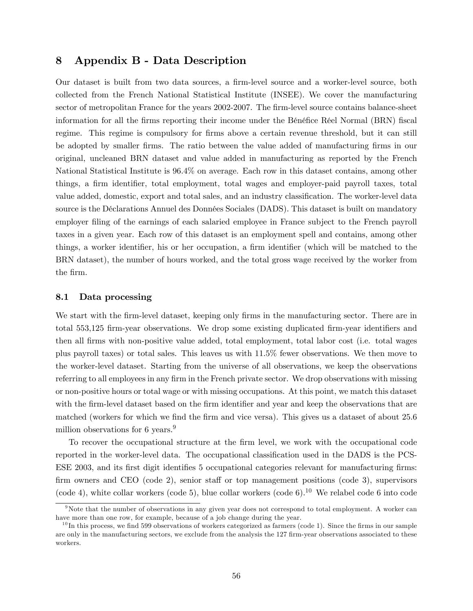## 8 Appendix B - Data Description

Our dataset is built from two data sources, a firm-level source and a worker-level source, both collected from the French National Statistical Institute (INSEE). We cover the manufacturing sector of metropolitan France for the years 2002-2007. The firm-level source contains balance-sheet information for all the firms reporting their income under the Bénéfice Réel Normal (BRN) fiscal regime. This regime is compulsory for firms above a certain revenue threshold, but it can still be adopted by smaller firms. The ratio between the value added of manufacturing firms in our original, uncleaned BRN dataset and value added in manufacturing as reported by the French National Statistical Institute is 96.4% on average. Each row in this dataset contains, among other things, a firm identifier, total employment, total wages and employer-paid payroll taxes, total value added, domestic, export and total sales, and an industry classification. The worker-level data source is the Déclarations Annuel des Données Sociales (DADS). This dataset is built on mandatory employer filing of the earnings of each salaried employee in France subject to the French payroll taxes in a given year. Each row of this dataset is an employment spell and contains, among other things, a worker identifier, his or her occupation, a firm identifier (which will be matched to the BRN dataset), the number of hours worked, and the total gross wage received by the worker from the firm.

#### 8.1 Data processing

We start with the firm-level dataset, keeping only firms in the manufacturing sector. There are in total 553,125 firm-year observations. We drop some existing duplicated firm-year identifiers and then all Örms with non-positive value added, total employment, total labor cost (i.e. total wages plus payroll taxes) or total sales. This leaves us with 11.5% fewer observations. We then move to the worker-level dataset. Starting from the universe of all observations, we keep the observations referring to all employees in any firm in the French private sector. We drop observations with missing or non-positive hours or total wage or with missing occupations. At this point, we match this dataset with the firm-level dataset based on the firm identifier and year and keep the observations that are matched (workers for which we find the firm and vice versa). This gives us a dataset of about 25.6 million observations for 6 years.<sup>9</sup>

To recover the occupational structure at the Örm level, we work with the occupational code reported in the worker-level data. The occupational classification used in the DADS is the PCS-ESE 2003, and its first digit identifies 5 occupational categories relevant for manufacturing firms: firm owners and CEO (code 2), senior staff or top management positions (code 3), supervisors (code 4), white collar workers (code 5), blue collar workers (code 6).<sup>10</sup> We relabel code 6 into code

 $9$ Note that the number of observations in any given year does not correspond to total employment. A worker can have more than one row, for example, because of a job change during the year.

 $10$  In this process, we find 599 observations of workers categorized as farmers (code 1). Since the firms in our sample are only in the manufacturing sectors, we exclude from the analysis the 127 firm-year observations associated to these workers.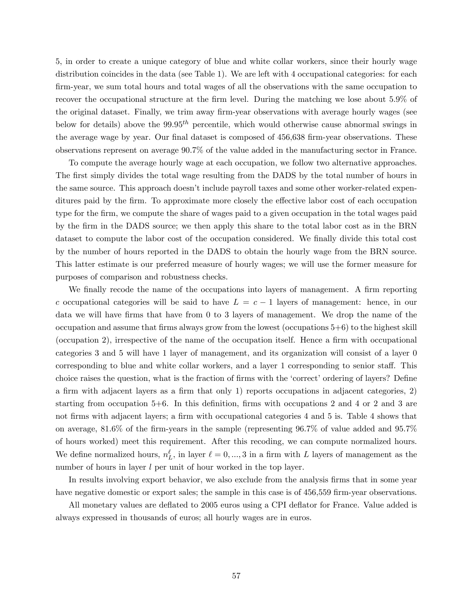5, in order to create a unique category of blue and white collar workers, since their hourly wage distribution coincides in the data (see Table 1). We are left with 4 occupational categories: for each Örm-year, we sum total hours and total wages of all the observations with the same occupation to recover the occupational structure at the firm level. During the matching we lose about 5.9% of the original dataset. Finally, we trim away firm-year observations with average hourly wages (see below for details) above the  $99.95<sup>th</sup>$  percentile, which would otherwise cause abnormal swings in the average wage by year. Our final dataset is composed of 456,638 firm-year observations. These observations represent on average 90.7% of the value added in the manufacturing sector in France.

To compute the average hourly wage at each occupation, we follow two alternative approaches. The first simply divides the total wage resulting from the DADS by the total number of hours in the same source. This approach doesn't include payroll taxes and some other worker-related expenditures paid by the firm. To approximate more closely the effective labor cost of each occupation type for the Örm, we compute the share of wages paid to a given occupation in the total wages paid by the Örm in the DADS source; we then apply this share to the total labor cost as in the BRN dataset to compute the labor cost of the occupation considered. We finally divide this total cost by the number of hours reported in the DADS to obtain the hourly wage from the BRN source. This latter estimate is our preferred measure of hourly wages; we will use the former measure for purposes of comparison and robustness checks.

We finally recode the name of the occupations into layers of management. A firm reporting c occupational categories will be said to have  $L = c - 1$  layers of management: hence, in our data we will have firms that have from 0 to 3 layers of management. We drop the name of the occupation and assume that firms always grow from the lowest (occupations  $5+6$ ) to the highest skill (occupation 2), irrespective of the name of the occupation itself. Hence a firm with occupational categories 3 and 5 will have 1 layer of management, and its organization will consist of a layer 0 corresponding to blue and white collar workers, and a layer 1 corresponding to senior staff. This choice raises the question, what is the fraction of firms with the 'correct' ordering of layers? Define a firm with adjacent layers as a firm that only 1) reports occupations in adjacent categories,  $2$ starting from occupation 5+6. In this definition, firms with occupations 2 and 4 or 2 and 3 are not firms with adjacent layers; a firm with occupational categories 4 and 5 is. Table 4 shows that on average,  $81.6\%$  of the firm-years in the sample (representing  $96.7\%$  of value added and  $95.7\%$ of hours worked) meet this requirement. After this recoding, we can compute normalized hours. We define normalized hours,  $n_L^{\ell}$ , in layer  $\ell = 0, ..., 3$  in a firm with L layers of management as the number of hours in layer l per unit of hour worked in the top layer.

In results involving export behavior, we also exclude from the analysis firms that in some year have negative domestic or export sales; the sample in this case is of 456,559 firm-year observations.

All monetary values are deflated to 2005 euros using a CPI deflator for France. Value added is always expressed in thousands of euros; all hourly wages are in euros.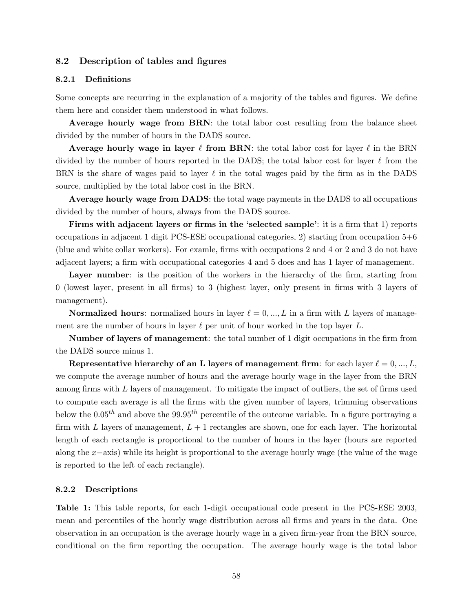#### 8.2 Description of tables and figures

#### 8.2.1 Definitions

Some concepts are recurring in the explanation of a majority of the tables and figures. We define them here and consider them understood in what follows.

Average hourly wage from BRN: the total labor cost resulting from the balance sheet divided by the number of hours in the DADS source.

Average hourly wage in layer  $\ell$  from BRN: the total labor cost for layer  $\ell$  in the BRN divided by the number of hours reported in the DADS; the total labor cost for layer  $\ell$  from the BRN is the share of wages paid to layer  $\ell$  in the total wages paid by the firm as in the DADS source, multiplied by the total labor cost in the BRN.

Average hourly wage from DADS: the total wage payments in the DADS to all occupations divided by the number of hours, always from the DADS source.

Firms with adjacent layers or firms in the 'selected sample': it is a firm that 1) reports occupations in adjacent 1 digit PCS-ESE occupational categories, 2) starting from occupation 5+6 (blue and white collar workers). For examle, firms with occupations 2 and 4 or 2 and 3 do not have adjacent layers; a firm with occupational categories 4 and 5 does and has 1 layer of management.

Layer number: is the position of the workers in the hierarchy of the firm, starting from 0 (lowest layer, present in all Örms) to 3 (highest layer, only present in Örms with 3 layers of management).

Normalized hours: normalized hours in layer  $\ell = 0, ..., L$  in a firm with L layers of management are the number of hours in layer  $\ell$  per unit of hour worked in the top layer L.

Number of layers of management: the total number of 1 digit occupations in the firm from the DADS source minus 1.

Representative hierarchy of an L layers of management firm: for each layer  $\ell = 0, ..., L$ , we compute the average number of hours and the average hourly wage in the layer from the BRN among firms with  $L$  layers of management. To mitigate the impact of outliers, the set of firms used to compute each average is all the Örms with the given number of layers, trimming observations below the  $0.05<sup>th</sup>$  and above the 99.95<sup>th</sup> percentile of the outcome variable. In a figure portraying a firm with L layers of management,  $L + 1$  rectangles are shown, one for each layer. The horizontal length of each rectangle is proportional to the number of hours in the layer (hours are reported along the  $x$ -axis) while its height is proportional to the average hourly wage (the value of the wage is reported to the left of each rectangle).

#### 8.2.2 Descriptions

Table 1: This table reports, for each 1-digit occupational code present in the PCS-ESE 2003, mean and percentiles of the hourly wage distribution across all firms and years in the data. One observation in an occupation is the average hourly wage in a given Örm-year from the BRN source, conditional on the Örm reporting the occupation. The average hourly wage is the total labor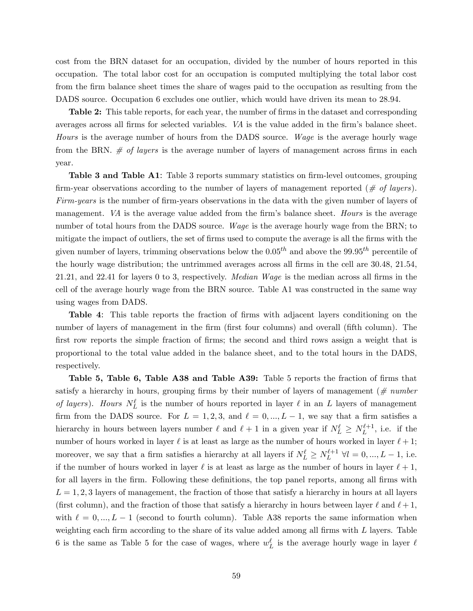cost from the BRN dataset for an occupation, divided by the number of hours reported in this occupation. The total labor cost for an occupation is computed multiplying the total labor cost from the firm balance sheet times the share of wages paid to the occupation as resulting from the DADS source. Occupation 6 excludes one outlier, which would have driven its mean to 28.94.

Table 2: This table reports, for each year, the number of firms in the dataset and corresponding averages across all firms for selected variables. VA is the value added in the firm's balance sheet. Hours is the average number of hours from the DADS source. Wage is the average hourly wage from the BRN.  $\#$  of layers is the average number of layers of management across firms in each year.

**Table 3 and Table A1**: Table 3 reports summary statistics on firm-level outcomes, grouping firm-year observations according to the number of layers of management reported ( $\#$  of layers). Firm-years is the number of firm-years observations in the data with the given number of layers of management. VA is the average value added from the firm's balance sheet. Hours is the average number of total hours from the DADS source. Wage is the average hourly wage from the BRN; to mitigate the impact of outliers, the set of firms used to compute the average is all the firms with the given number of layers, trimming observations below the  $0.05<sup>th</sup>$  and above the 99.95<sup>th</sup> percentile of the hourly wage distribution; the untrimmed averages across all firms in the cell are 30.48, 21.54, 21.21, and 22.41 for layers 0 to 3, respectively. Median Wage is the median across all Örms in the cell of the average hourly wage from the BRN source. Table A1 was constructed in the same way using wages from DADS.

Table 4: This table reports the fraction of firms with adjacent layers conditioning on the number of layers of management in the firm (first four columns) and overall (fifth column). The first row reports the simple fraction of firms; the second and third rows assign a weight that is proportional to the total value added in the balance sheet, and to the total hours in the DADS, respectively.

Table 5, Table 6, Table A38 and Table A39: Table 5 reports the fraction of firms that satisfy a hierarchy in hours, grouping firms by their number of layers of management ( $\#$  number of layers). Hours  $N_L^{\ell}$  is the number of hours reported in layer  $\ell$  in an L layers of management firm from the DADS source. For  $L = 1, 2, 3$ , and  $\ell = 0, ..., L - 1$ , we say that a firm satisfies a hierarchy in hours between layers number  $\ell$  and  $\ell + 1$  in a given year if  $N_L^{\ell} \ge N_L^{\ell+1}$  $L^{l+1}$ , i.e. if the number of hours worked in layer  $\ell$  is at least as large as the number of hours worked in layer  $\ell + 1$ ; moreover, we say that a firm satisfies a hierarchy at all layers if  $N_L^{\ell} \ge N_L^{\ell+1}$  $L^{l+1}$   $\forall l = 0, ..., L - 1$ , i.e. if the number of hours worked in layer  $\ell$  is at least as large as the number of hours in layer  $\ell + 1$ , for all layers in the firm. Following these definitions, the top panel reports, among all firms with  $L = 1, 2, 3$  layers of management, the fraction of those that satisfy a hierarchy in hours at all layers (first column), and the fraction of those that satisfy a hierarchy in hours between layer  $\ell$  and  $\ell + 1$ , with  $\ell = 0, ..., L - 1$  (second to fourth column). Table A38 reports the same information when weighting each firm according to the share of its value added among all firms with  $L$  layers. Table 6 is the same as Table 5 for the case of wages, where  $w_L^{\ell}$  is the average hourly wage in layer  $\ell$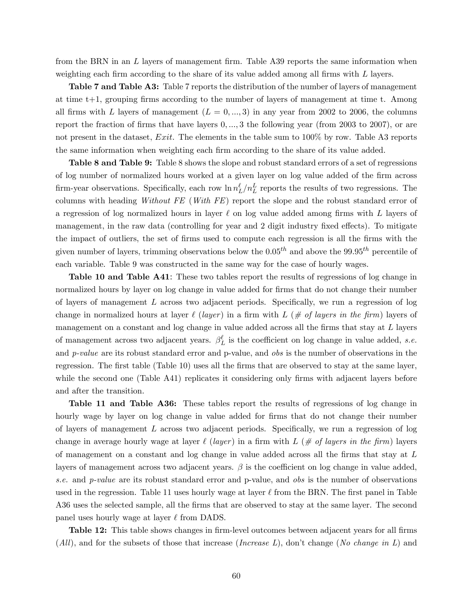from the BRN in an  $L$  layers of management firm. Table A39 reports the same information when weighting each firm according to the share of its value added among all firms with  $L$  layers.

**Table 7 and Table A3:** Table 7 reports the distribution of the number of layers of management at time  $t+1$ , grouping firms according to the number of layers of management at time t. Among all firms with L layers of management  $(L = 0, ..., 3)$  in any year from 2002 to 2006, the columns report the fraction of firms that have layers  $0, \ldots, 3$  the following year (from 2003 to 2007), or are not present in the dataset, *Exit*. The elements in the table sum to 100% by row. Table A3 reports the same information when weighting each firm according to the share of its value added.

**Table 8 and Table 9:** Table 8 shows the slope and robust standard errors of a set of regressions of log number of normalized hours worked at a given layer on log value added of the firm across firm-year observations. Specifically, each row  $\ln n_L^{\ell}/n_L^L$  reports the results of two regressions. The columns with heading Without FE (With FE) report the slope and the robust standard error of a regression of log normalized hours in layer  $\ell$  on log value added among firms with L layers of management, in the raw data (controlling for year and 2 digit industry fixed effects). To mitigate the impact of outliers, the set of firms used to compute each regression is all the firms with the given number of layers, trimming observations below the  $0.05<sup>th</sup>$  and above the 99.95<sup>th</sup> percentile of each variable. Table 9 was constructed in the same way for the case of hourly wages.

Table 10 and Table A41: These two tables report the results of regressions of log change in normalized hours by layer on log change in value added for firms that do not change their number of layers of management  $L$  across two adjacent periods. Specifically, we run a regression of log change in normalized hours at layer  $\ell$  (layer) in a firm with  $L \ (\# \ of \ layers \ in \ the \ firm)$  layers of management on a constant and  $log$  change in value added across all the firms that stay at  $L$  layers of management across two adjacent years.  $\beta_L^{\ell}$  is the coefficient on log change in value added, s.e. and *p-value* are its robust standard error and p-value, and *obs* is the number of observations in the regression. The first table (Table 10) uses all the firms that are observed to stay at the same layer, while the second one (Table A41) replicates it considering only firms with adjacent layers before and after the transition.

Table 11 and Table A36: These tables report the results of regressions of log change in hourly wage by layer on log change in value added for firms that do not change their number of layers of management  $L$  across two adjacent periods. Specifically, we run a regression of log change in average hourly wage at layer  $\ell$  (layer) in a firm with  $L \neq \ell$  of layers in the firm) layers of management on a constant and log change in value added across all the firms that stay at  $L$ layers of management across two adjacent years.  $\beta$  is the coefficient on log change in value added, s.e. and p-value are its robust standard error and p-value, and obs is the number of observations used in the regression. Table 11 uses hourly wage at layer  $\ell$  from the BRN. The first panel in Table A36 uses the selected sample, all the firms that are observed to stay at the same layer. The second panel uses hourly wage at layer  $\ell$  from DADS.

Table 12: This table shows changes in firm-level outcomes between adjacent years for all firms  $(All)$ , and for the subsets of those that increase (*Increase L*), don't change (No change in L) and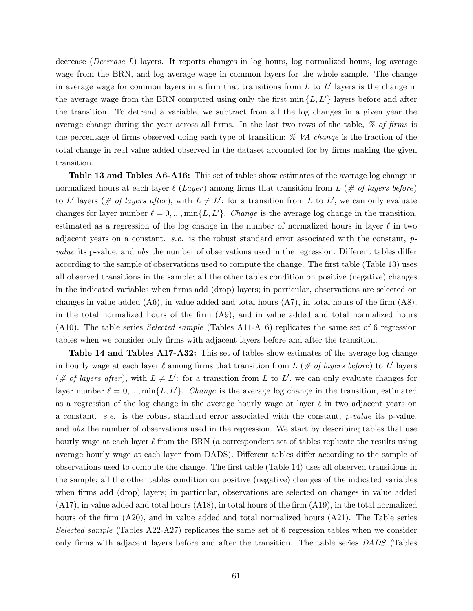decrease (Decrease L) layers. It reports changes in log hours, log normalized hours, log average wage from the BRN, and log average wage in common layers for the whole sample. The change in average wage for common layers in a firm that transitions from  $L$  to  $L'$  layers is the change in the average wage from the BRN computed using only the first  $\min\{L, L'\}$  layers before and after the transition. To detrend a variable, we subtract from all the log changes in a given year the average change during the year across all firms. In the last two rows of the table,  $\%$  of firms is the percentage of firms observed doing each type of transition;  $\%$  VA change is the fraction of the total change in real value added observed in the dataset accounted for by firms making the given transition.

Table 13 and Tables A6-A16: This set of tables show estimates of the average log change in normalized hours at each layer  $\ell$  (Layer) among firms that transition from L (# of layers before) to L' layers (# of layers after), with  $L \neq L'$ : for a transition from L to L', we can only evaluate changes for layer number  $\ell = 0, ..., \min\{L, L'\}$ . Change is the average log change in the transition, estimated as a regression of the log change in the number of normalized hours in layer  $\ell$  in two adjacent years on a constant. s.e. is the robust standard error associated with the constant,  $p$ *value* its p-value, and *obs* the number of observations used in the regression. Different tables differ according to the sample of observations used to compute the change. The first table (Table 13) uses all observed transitions in the sample; all the other tables condition on positive (negative) changes in the indicated variables when firms add (drop) layers; in particular, observations are selected on changes in value added  $(A6)$ , in value added and total hours  $(A7)$ , in total hours of the firm  $(A8)$ , in the total normalized hours of the firm  $(A9)$ , and in value added and total normalized hours (A10). The table series Selected sample (Tables A11-A16) replicates the same set of 6 regression tables when we consider only firms with adjacent layers before and after the transition.

Table 14 and Tables A17-A32: This set of tables show estimates of the average log change in hourly wage at each layer  $\ell$  among firms that transition from  $L \ (\text{\# of layers before})$  to  $L'$  layers (# of layers after), with  $L \neq L'$ : for a transition from L to L', we can only evaluate changes for layer number  $\ell = 0, ..., \min\{L, L'\}$ . Change is the average log change in the transition, estimated as a regression of the log change in the average hourly wage at layer  $\ell$  in two adjacent years on a constant. s.e. is the robust standard error associated with the constant,  $p-value$  its p-value, and obs the number of observations used in the regression. We start by describing tables that use hourly wage at each layer  $\ell$  from the BRN (a correspondent set of tables replicate the results using average hourly wage at each layer from DADS). Different tables differ according to the sample of observations used to compute the change. The Örst table (Table 14) uses all observed transitions in the sample; all the other tables condition on positive (negative) changes of the indicated variables when firms add (drop) layers; in particular, observations are selected on changes in value added  $(A17)$ , in value added and total hours  $(A18)$ , in total hours of the firm  $(A19)$ , in the total normalized hours of the firm  $(A20)$ , and in value added and total normalized hours  $(A21)$ . The Table series Selected sample (Tables A22-A27) replicates the same set of 6 regression tables when we consider only firms with adjacent layers before and after the transition. The table series DADS (Tables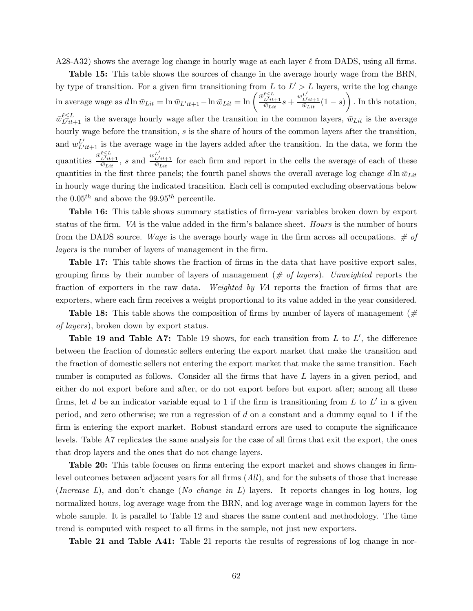A28-A32) shows the average log change in hourly wage at each layer  $\ell$  from DADS, using all firms.

Table 15: This table shows the sources of change in the average hourly wage from the BRN, by type of transition. For a given firm transitioning from L to  $L' > L$  layers, write the log change in average wage as  $d\ln \bar{w}_{Lit} = \ln \bar{w}_{L'it+1} - \ln \bar{w}_{Lit} = \ln \left( \frac{\bar{w}_{L'it+1}^{l \leq L}}{\bar{w}_{Lit}} s + \frac{w_{L'it+1}^{L'}}{\bar{w}_{Lit}} (1-s) \right)$  $\setminus$ : In this notation,  $\bar{w}^{\ell \leq L}_{L't+1}$  is the average hourly wage after the transition in the common layers,  $\bar{w}_{Lit}$  is the average hourly wage before the transition, s is the share of hours of the common layers after the transition, and  $w_{L(it+1}^{L'}$  is the average wage in the layers added after the transition. In the data, we form the quantities  $\frac{\bar{w}_{L'i_{t+1}}^{l \leq L}}{\bar{w}_{Lit}}$ , s and  $\frac{w_{L'i_{t+1}}^{L'}}{\bar{w}_{Lit}}$  for each firm and report in the cells the average of each of these quantities in the first three panels; the fourth panel shows the overall average log change  $d \ln \bar{w}_{Lit}$ in hourly wage during the indicated transition. Each cell is computed excluding observations below the  $0.05<sup>th</sup>$  and above the 99.95<sup>th</sup> percentile.

Table 16: This table shows summary statistics of firm-year variables broken down by export status of the firm. VA is the value added in the firm's balance sheet. Hours is the number of hours from the DADS source. Wage is the average hourly wage in the firm across all occupations.  $\# of$ layers is the number of layers of management in the firm.

Table 17: This table shows the fraction of firms in the data that have positive export sales, grouping firms by their number of layers of management ( $\#$  of layers). Unweighted reports the fraction of exporters in the raw data. Weighted by VA reports the fraction of firms that are exporters, where each firm receives a weight proportional to its value added in the year considered.

**Table 18:** This table shows the composition of firms by number of layers of management ( $\#$ of layers), broken down by export status.

**Table 19 and Table A7:** Table 19 shows, for each transition from  $L$  to  $L'$ , the difference between the fraction of domestic sellers entering the export market that make the transition and the fraction of domestic sellers not entering the export market that make the same transition. Each number is computed as follows. Consider all the firms that have  $L$  layers in a given period, and either do not export before and after, or do not export before but export after; among all these firms, let d be an indicator variable equal to 1 if the firm is transitioning from L to L' in a given period, and zero otherwise; we run a regression of d on a constant and a dummy equal to 1 if the firm is entering the export market. Robust standard errors are used to compute the significance levels. Table A7 replicates the same analysis for the case of all firms that exit the export, the ones that drop layers and the ones that do not change layers.

**Table 20:** This table focuses on firms entering the export market and shows changes in firmlevel outcomes between adjacent years for all firms  $(All)$ , and for the subsets of those that increase (Increase L), and don't change (No change in L) layers. It reports changes in log hours, log normalized hours, log average wage from the BRN, and log average wage in common layers for the whole sample. It is parallel to Table 12 and shares the same content and methodology. The time trend is computed with respect to all firms in the sample, not just new exporters.

Table 21 and Table A41: Table 21 reports the results of regressions of log change in nor-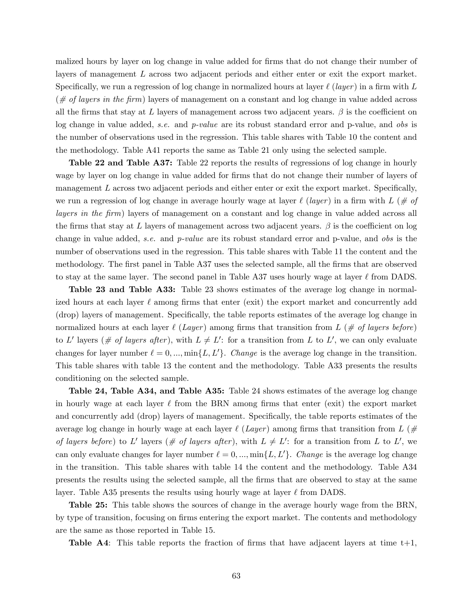malized hours by layer on log change in value added for firms that do not change their number of layers of management L across two adjacent periods and either enter or exit the export market. Specifically, we run a regression of log change in normalized hours at layer  $\ell$  (layer) in a firm with L ( $\#$  of layers in the firm) layers of management on a constant and log change in value added across all the firms that stay at L layers of management across two adjacent years.  $\beta$  is the coefficient on log change in value added, s.e. and p-value are its robust standard error and p-value, and obs is the number of observations used in the regression. This table shares with Table 10 the content and the methodology. Table A41 reports the same as Table 21 only using the selected sample.

Table 22 and Table A37: Table 22 reports the results of regressions of log change in hourly wage by layer on log change in value added for firms that do not change their number of layers of management  $L$  across two adjacent periods and either enter or exit the export market. Specifically, we run a regression of log change in average hourly wage at layer  $\ell$  (layer) in a firm with L (# of layers in the firm) layers of management on a constant and log change in value added across all the firms that stay at L layers of management across two adjacent years.  $\beta$  is the coefficient on log change in value added, s.e. and p-value are its robust standard error and p-value, and obs is the number of observations used in the regression. This table shares with Table 11 the content and the methodology. The first panel in Table A37 uses the selected sample, all the firms that are observed to stay at the same layer. The second panel in Table A37 uses hourly wage at layer  $\ell$  from DADS.

Table 23 and Table A33: Table 23 shows estimates of the average log change in normalized hours at each layer  $\ell$  among firms that enter (exit) the export market and concurrently add (drop) layers of management. Specifically, the table reports estimates of the average log change in normalized hours at each layer  $\ell$  (Layer) among firms that transition from L (# of layers before) to L' layers (# of layers after), with  $L \neq L'$ : for a transition from L to L', we can only evaluate changes for layer number  $\ell = 0, ..., \min\{L, L'\}$ . Change is the average log change in the transition. This table shares with table 13 the content and the methodology. Table A33 presents the results conditioning on the selected sample.

Table 24, Table A34, and Table A35: Table 24 shows estimates of the average log change in hourly wage at each layer  $\ell$  from the BRN among firms that enter (exit) the export market and concurrently add (drop) layers of management. Specifically, the table reports estimates of the average log change in hourly wage at each layer  $\ell$  (Layer) among firms that transition from L (# of layers before) to L' layers (# of layers after), with  $L \neq L'$ : for a transition from L to L', we can only evaluate changes for layer number  $\ell = 0, ..., \min\{L, L'\}$ . Change is the average log change in the transition. This table shares with table 14 the content and the methodology. Table A34 presents the results using the selected sample, all the Örms that are observed to stay at the same layer. Table A35 presents the results using hourly wage at layer  $\ell$  from DADS.

Table 25: This table shows the sources of change in the average hourly wage from the BRN, by type of transition, focusing on firms entering the export market. The contents and methodology are the same as those reported in Table 15.

**Table A4**: This table reports the fraction of firms that have adjacent layers at time  $t+1$ ,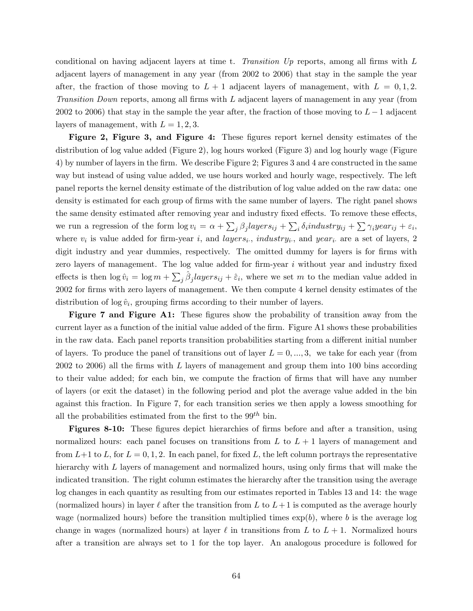conditional on having adjacent layers at time t. Transition  $Up$  reports, among all firms with  $L$ adjacent layers of management in any year (from 2002 to 2006) that stay in the sample the year after, the fraction of those moving to  $L + 1$  adjacent layers of management, with  $L = 0, 1, 2$ . Transition Down reports, among all firms with  $L$  adjacent layers of management in any year (from 2002 to 2006) that stay in the sample the year after, the fraction of those moving to  $L-1$  adjacent layers of management, with  $L = 1, 2, 3$ .

Figure 2, Figure 3, and Figure 4: These figures report kernel density estimates of the distribution of log value added (Figure 2), log hours worked (Figure 3) and log hourly wage (Figure 4) by number of layers in the Örm. We describe Figure 2; Figures 3 and 4 are constructed in the same way but instead of using value added, we use hours worked and hourly wage, respectively. The left panel reports the kernel density estimate of the distribution of log value added on the raw data: one density is estimated for each group of firms with the same number of layers. The right panel shows the same density estimated after removing year and industry fixed effects. To remove these effects, we run a regression of the form  $\log v_i = \alpha + \sum_j \beta_j layers_{ij} + \sum_i \delta_i industry_{ij} + \sum \gamma_iyear_{ij} + \varepsilon_i$ where  $v_i$  is value added for firm-year i, and layers<sub>i</sub>, industry<sub>i</sub>, and year<sub>i</sub> are a set of layers, 2 digit industry and year dummies, respectively. The omitted dummy for layers is for firms with zero layers of management. The log value added for firm-year  $i$  without year and industry fixed effects is then  $\log \hat{v}_i = \log m + \sum_j \hat{\beta}_j layers_{ij} + \hat{\varepsilon}_i$ , where we set m to the median value added in 2002 for firms with zero layers of management. We then compute 4 kernel density estimates of the distribution of  $\log \hat{v}_i$ , grouping firms according to their number of layers.

Figure 7 and Figure A1: These figures show the probability of transition away from the current layer as a function of the initial value added of the firm. Figure A1 shows these probabilities in the raw data. Each panel reports transition probabilities starting from a different initial number of layers. To produce the panel of transitions out of layer  $L = 0, ..., 3$ , we take for each year (from 2002 to 2006) all the firms with L layers of management and group them into 100 bins according to their value added; for each bin, we compute the fraction of firms that will have any number of layers (or exit the dataset) in the following period and plot the average value added in the bin against this fraction. In Figure 7, for each transition series we then apply a lowess smoothing for all the probabilities estimated from the first to the  $99^{th}$  bin.

Figures 8-10: These figures depict hierarchies of firms before and after a transition, using normalized hours: each panel focuses on transitions from  $L$  to  $L + 1$  layers of management and from  $L+1$  to L, for  $L=0,1,2$ . In each panel, for fixed L, the left column portrays the representative hierarchy with  $L$  layers of management and normalized hours, using only firms that will make the indicated transition. The right column estimates the hierarchy after the transition using the average log changes in each quantity as resulting from our estimates reported in Tables 13 and 14: the wage (normalized hours) in layer  $\ell$  after the transition from L to  $L+1$  is computed as the average hourly wage (normalized hours) before the transition multiplied times  $\exp(b)$ , where b is the average log change in wages (normalized hours) at layer  $\ell$  in transitions from L to  $L + 1$ . Normalized hours after a transition are always set to 1 for the top layer. An analogous procedure is followed for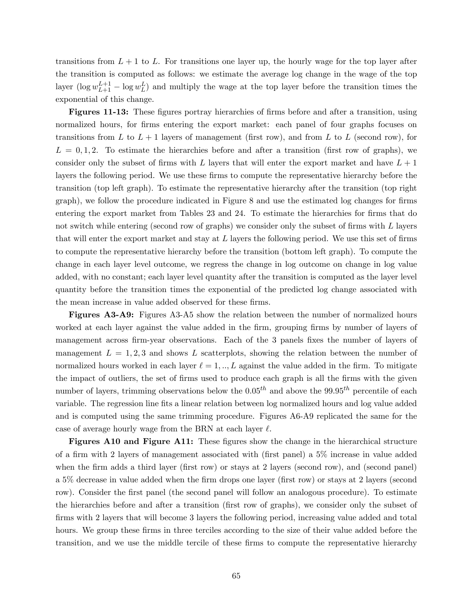transitions from  $L + 1$  to L. For transitions one layer up, the hourly wage for the top layer after the transition is computed as follows: we estimate the average log change in the wage of the top layer  $(\log w_{L+1}^{L+1} - \log w_L^L)$  and multiply the wage at the top layer before the transition times the exponential of this change.

Figures 11-13: These figures portray hierarchies of firms before and after a transition, using normalized hours, for firms entering the export market: each panel of four graphs focuses on transitions from L to  $L + 1$  layers of management (first row), and from L to L (second row), for  $L = 0, 1, 2$ . To estimate the hierarchies before and after a transition (first row of graphs), we consider only the subset of firms with L layers that will enter the export market and have  $L + 1$ layers the following period. We use these firms to compute the representative hierarchy before the transition (top left graph). To estimate the representative hierarchy after the transition (top right graph), we follow the procedure indicated in Figure 8 and use the estimated log changes for firms entering the export market from Tables 23 and 24. To estimate the hierarchies for firms that do not switch while entering (second row of graphs) we consider only the subset of firms with  $L$  layers that will enter the export market and stay at  $L$  layers the following period. We use this set of firms to compute the representative hierarchy before the transition (bottom left graph). To compute the change in each layer level outcome, we regress the change in log outcome on change in log value added, with no constant; each layer level quantity after the transition is computed as the layer level quantity before the transition times the exponential of the predicted log change associated with the mean increase in value added observed for these firms.

Figures A3-A9: Figures A3-A5 show the relation between the number of normalized hours worked at each layer against the value added in the firm, grouping firms by number of layers of management across firm-year observations. Each of the 3 panels fixes the number of layers of management  $L = 1, 2, 3$  and shows L scatterplots, showing the relation between the number of normalized hours worked in each layer  $\ell = 1, ..., L$  against the value added in the firm. To mitigate the impact of outliers, the set of firms used to produce each graph is all the firms with the given number of layers, trimming observations below the  $0.05^{th}$  and above the 99.95<sup>th</sup> percentile of each variable. The regression line fits a linear relation between log normalized hours and log value added and is computed using the same trimming procedure. Figures A6-A9 replicated the same for the case of average hourly wage from the BRN at each layer  $\ell$ .

Figures A10 and Figure A11: These figures show the change in the hierarchical structure of a firm with 2 layers of management associated with (first panel) a  $5\%$  increase in value added when the firm adds a third layer (first row) or stays at 2 layers (second row), and (second panel) a 5% decrease in value added when the Örm drops one layer (Örst row) or stays at 2 layers (second row). Consider the first panel (the second panel will follow an analogous procedure). To estimate the hierarchies before and after a transition (first row of graphs), we consider only the subset of firms with 2 layers that will become 3 layers the following period, increasing value added and total hours. We group these firms in three terciles according to the size of their value added before the transition, and we use the middle tercile of these Örms to compute the representative hierarchy